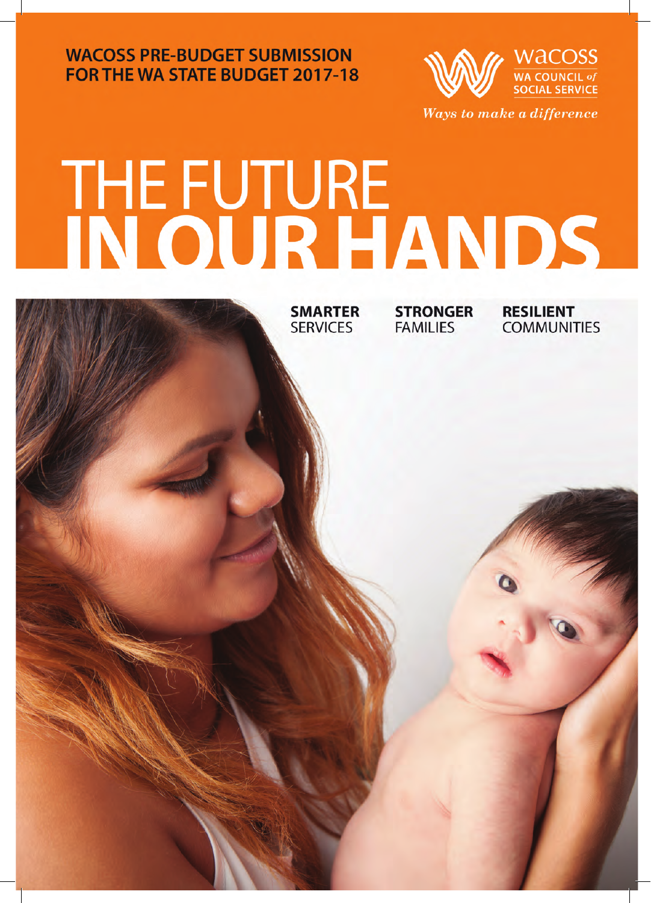**WACOSS PRE-BUDGET SUBMISSION FOR THE WA STATE BUDGET 2017-18** 



# THE FUTURE<br>IN OUR HANDS

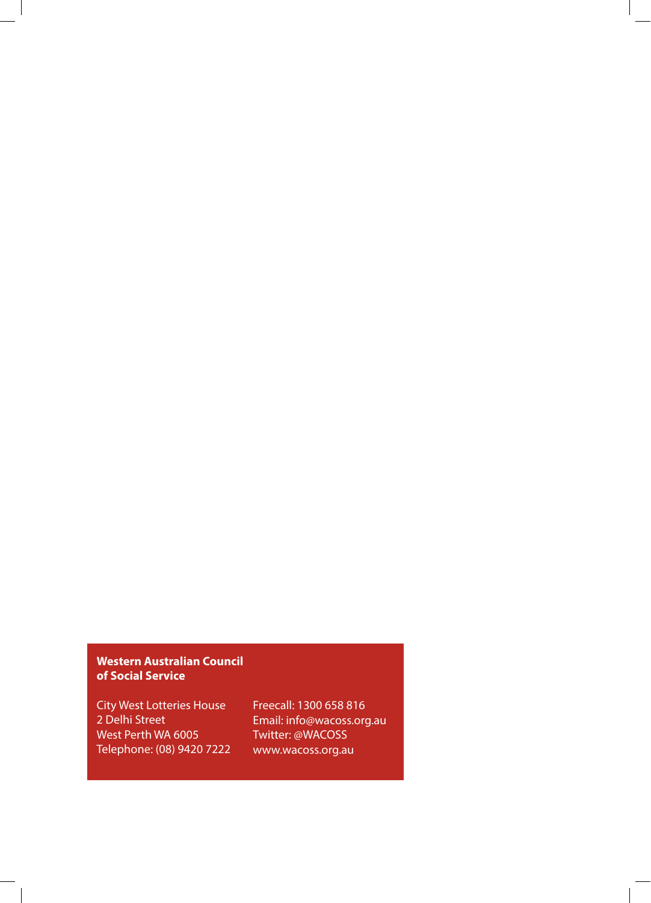#### **Western Australian Council of Social Service**

City West Lotteries House 2 Delhi Street West Perth WA 6005 Telephone: (08) 9420 7222 Freecall: 1300 658 816 Email: info@wacoss.org.au Twitter: @WACOSS www.wacoss.org.au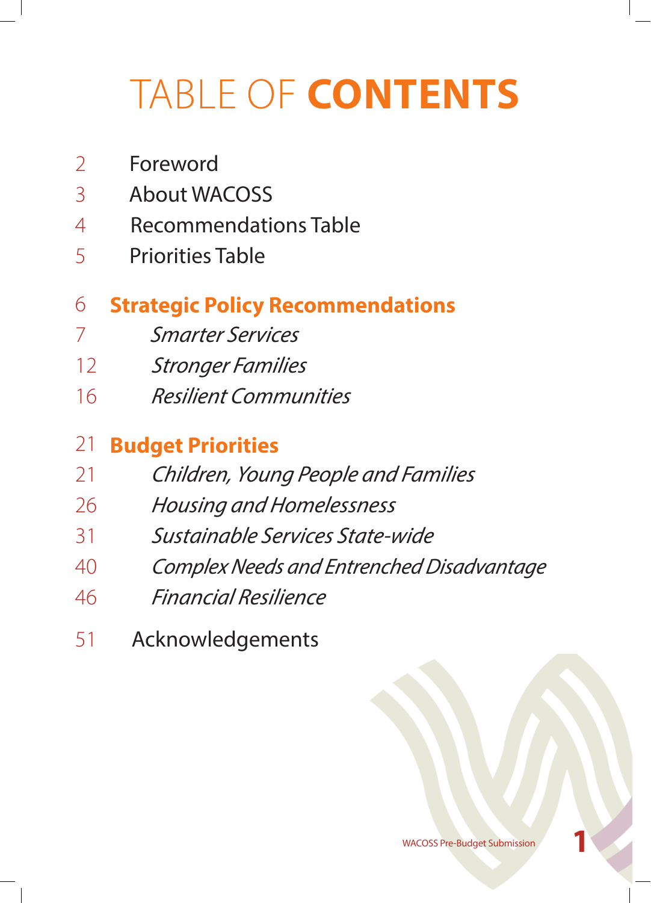# TABLE OF **CONTENTS**

- Foreword
- About WACOSS
- Recommendations Table
- Priorities Table

#### **Strategic Policy Recommendations**

- *Smarter Services*
- *Stronger Families*
- *Resilient Communities*

#### **Budget Priorities**

- *Children, Young People and Families*
- *Housing and Homelessness*
- *Sustainable Services State-wide*
- *Complex Needs and Entrenched Disadvantage*
- *Financial Resilience*
- Acknowledgements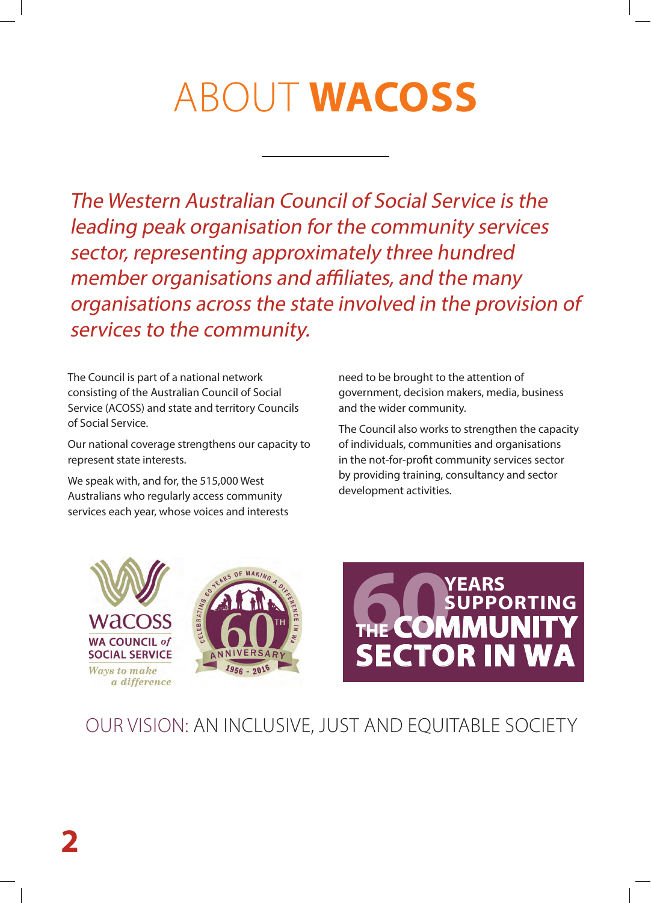# ABOUT **WACOSS**

The Western Australian Council of Social Service is the leading peak organisation for the community services sector, representing approximately three hundred member organisations and affiliates, and the many organisations across the state involved in the provision of services to the community.

The Council is part of a national network consisting of the Australian Council of Social Service (ACOSS) and state and territory Councils of Social Service.

Our national coverage strengthens our capacity to represent state interests.

We speak with, and for, the 515,000 West Australians who regularly access community services each year, whose voices and interests need to be brought to the attention of government, decision makers, media, business and the wider community.

The Council also works to strengthen the capacity of individuals, communities and organisations in the not-for-profit community services sector by providing training, consultancy and sector development activities.







#### OUR VISION: AN INCLUSIVE, JUST AND EQUITABLE SOCIETY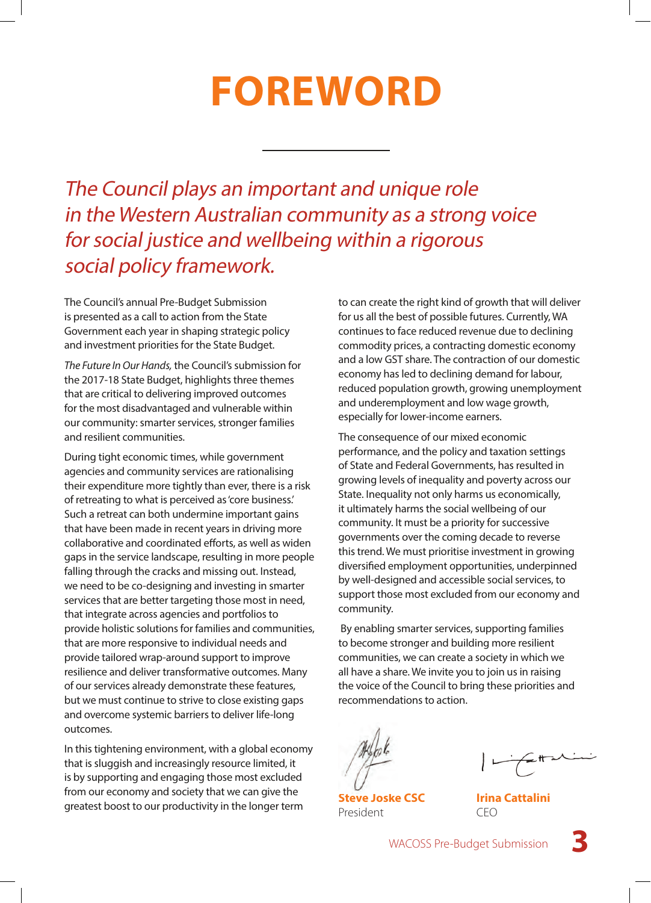## **FOREWORD**

The Council plays an important and unique role in the Western Australian community as a strong voice for social justice and wellbeing within a rigorous social policy framework.

The Council's annual Pre-Budget Submission is presented as a call to action from the State Government each year in shaping strategic policy and investment priorities for the State Budget.

*The Future In Our Hands,* the Council's submission for the 2017-18 State Budget, highlights three themes that are critical to delivering improved outcomes for the most disadvantaged and vulnerable within our community: smarter services, stronger families and resilient communities.

During tight economic times, while government agencies and community services are rationalising their expenditure more tightly than ever, there is a risk of retreating to what is perceived as 'core business.' Such a retreat can both undermine important gains that have been made in recent years in driving more collaborative and coordinated efforts, as well as widen gaps in the service landscape, resulting in more people falling through the cracks and missing out. Instead, we need to be co-designing and investing in smarter services that are better targeting those most in need, that integrate across agencies and portfolios to provide holistic solutions for families and communities, that are more responsive to individual needs and provide tailored wrap-around support to improve resilience and deliver transformative outcomes. Many of our services already demonstrate these features, but we must continue to strive to close existing gaps and overcome systemic barriers to deliver life-long outcomes.

In this tightening environment, with a global economy that is sluggish and increasingly resource limited, it is by supporting and engaging those most excluded from our economy and society that we can give the greatest boost to our productivity in the longer term

to can create the right kind of growth that will deliver for us all the best of possible futures. Currently, WA continues to face reduced revenue due to declining commodity prices, a contracting domestic economy and a low GST share. The contraction of our domestic economy has led to declining demand for labour, reduced population growth, growing unemployment and underemployment and low wage growth, especially for lower-income earners.

The consequence of our mixed economic performance, and the policy and taxation settings of State and Federal Governments, has resulted in growing levels of inequality and poverty across our State. Inequality not only harms us economically, it ultimately harms the social wellbeing of our community. It must be a priority for successive governments over the coming decade to reverse this trend. We must prioritise investment in growing diversified employment opportunities, underpinned by well-designed and accessible social services, to support those most excluded from our economy and community.

 By enabling smarter services, supporting families to become stronger and building more resilient communities, we can create a society in which we all have a share. We invite you to join us in raising the voice of the Council to bring these priorities and recommendations to action.

**Steve Joske CSC** President

**Irina Cattalini** CEO

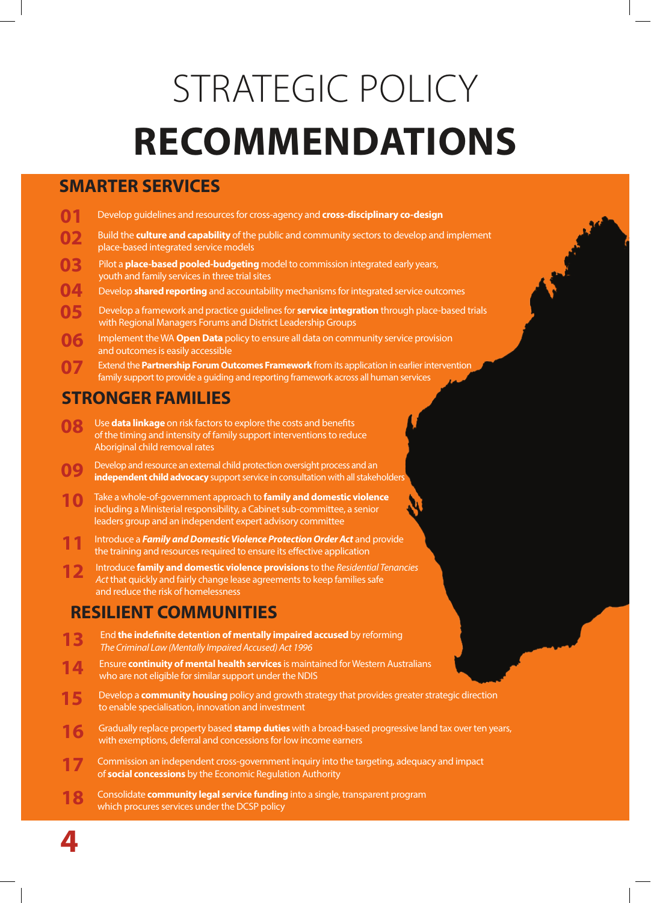# STRATEGIC POLICY **RECOMMENDATIONS**

#### **SMARTER SERVICES**

- **01** Develop guidelines and resources for cross-agency and **cross-disciplinary co-design**
- Build the **culture and capability** of the public and community sectors to develop and implement place-based integrated service models **02**
- Pilot a **place-based pooled-budgeting** model to commission integrated early years, youth and family services in three trial sites **03**
- Develop **shared reporting** and accountability mechanisms for integrated service outcomes **04**
- Develop a framework and practice guidelines for **service integration** through place-based trials with Regional Managers Forums and District Leadership Groups **05**
- Implement the WA **Open Data** policy to ensure all data on community service provision and outcomes is easily accessible **06**
- Extend the **Partnership Forum Outcomes Framework** from its application in earlier intervention family support to provide a guiding and reporting framework across all human services **07**

#### **STRONGER FAMILIES**

- Use **data linkage** on risk factors to explore the costs and benefits of the timing and intensity of family support interventions to reduce Aboriginal child removal rates **08**
- Develop and resource an external child protection oversight process and an **independent child advocacy** support service in consultation with all stakeholders **09**
- Take a whole-of-government approach to **family and domestic violence** including a Ministerial responsibility, a Cabinet sub-committee, a senior leaders group and an independent expert advisory committee **10**
- Introduce a *Family and Domestic Violence Protection Order Act* and provide the training and resources required to ensure its effective application **11**
- Introduce **family and domestic violence provisions** to the *Residential Tenancies Act* that quickly and fairly change lease agreements to keep families safe and reduce the risk of homelessness **12**

#### **RESILIENT COMMUNITIES**

- End **the indefinite detention of mentally impaired accused** by reforming *The Criminal Law (Mentally Impaired Accused) Act 1996* **13**
- Ensure **continuity of mental health services** is maintained for Western Australians who are not eligible for similar support under the NDIS **14**
- Develop a **community housing** policy and growth strategy that provides greater strategic direction to enable specialisation, innovation and investment **15**
- Gradually replace property based **stamp duties** with a broad-based progressive land tax over ten years, with exemptions, deferral and concessions for low income earners **16**
- Commission an independent cross-government inquiry into the targeting, adequacy and impact of **social concessions** by the Economic Regulation Authority **17**
- Consolidate **community legal service funding** into a single, transparent program which procures services under the DCSP policy **18**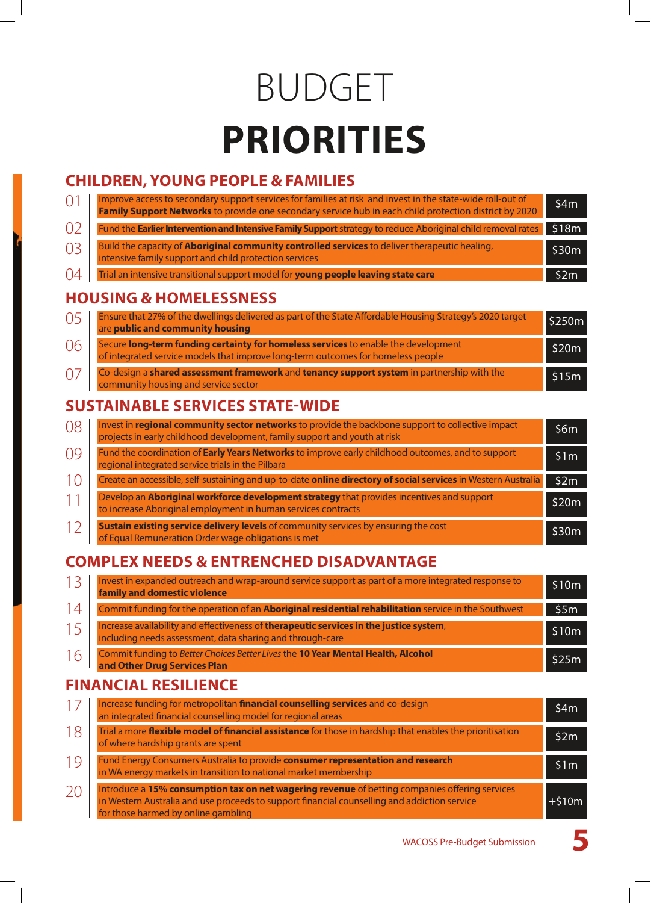# BUDGET **PRIORITIES**

#### **CHILDREN, YOUNG PEOPLE & FAMILIES**

| $\Omega$ <sup>1</sup> | Improve access to secondary support services for families at risk and invest in the state-wide roll-out of<br>Family Support Networks to provide one secondary service hub in each child protection district by 2020 | \$4m  |
|-----------------------|----------------------------------------------------------------------------------------------------------------------------------------------------------------------------------------------------------------------|-------|
| O <sub>2</sub>        | Fund the Earlier Intervention and Intensive Family Support strategy to reduce Aboriginal child removal rates                                                                                                         | \$18m |
| O <sub>3</sub>        | Build the capacity of Aboriginal community controlled services to deliver therapeutic healing,<br>intensive family support and child protection services                                                             | \$30m |
| 04                    | Trial an intensive transitional support model for young people leaving state care                                                                                                                                    | \$2m  |

#### **HOUSING & HOMELESSNESS**

| 0 <sub>5</sub> | Ensure that 27% of the dwellings delivered as part of the State Affordable Housing Strategy's 2020 target<br>are public and community housing                          | \$250m |
|----------------|------------------------------------------------------------------------------------------------------------------------------------------------------------------------|--------|
| 06             | Secure long-term funding certainty for homeless services to enable the development<br>of integrated service models that improve long-term outcomes for homeless people | \$20m  |
|                | Co-design a shared assessment framework and tenancy support system in partnership with the<br>community housing and service sector                                     | \$15m  |

#### **SUSTAINABLE SERVICES STATE-WIDE**

| 08 | Invest in regional community sector networks to provide the backbone support to collective impact<br>projects in early childhood development, family support and youth at risk | 56m   |
|----|--------------------------------------------------------------------------------------------------------------------------------------------------------------------------------|-------|
| 09 | Fund the coordination of <b>Early Years Networks</b> to improve early childhood outcomes, and to support<br>regional integrated service trials in the Pilbara                  | \$1m  |
| 10 | Create an accessible, self-sustaining and up-to-date online directory of social services in Western Australia                                                                  | \$2m  |
|    | Develop an Aboriginal workforce development strategy that provides incentives and support<br>to increase Aboriginal employment in human services contracts                     | \$20m |
| 12 | Sustain existing service delivery levels of community services by ensuring the cost<br>of Equal Remuneration Order wage obligations is met                                     | \$30m |

#### **COMPLEX NEEDS & ENTRENCHED DISADVANTAGE**

|    | Invest in expanded outreach and wrap-around service support as part of a more integrated response to<br>family and domestic violence | \$10m |
|----|--------------------------------------------------------------------------------------------------------------------------------------|-------|
|    | Commit funding for the operation of an Aboriginal residential rehabilitation service in the Southwest                                | \$5m  |
|    | Increase availability and effectiveness of <b>therapeutic services in the justice system</b> ,                                       | \$10m |
| 16 | Commit funding to Better Choices Better Lives the 10 Year Mental Health, Alcohol<br>and Other Drug Services Plan                     | \$25m |

#### **FINANCIAL RESILIENCE**

|    | Increase funding for metropolitan financial counselling services and co-design<br>an integrated financial counselling model for regional areas                                                                                        | 54m     |
|----|---------------------------------------------------------------------------------------------------------------------------------------------------------------------------------------------------------------------------------------|---------|
| 18 | Trial a more flexible model of financial assistance for those in hardship that enables the prioritisation<br>of where hardship grants are spent                                                                                       | \$2m    |
| 19 | Fund Energy Consumers Australia to provide <b>consumer representation and research</b> in WA energy markets in transition to national market membership                                                                               | S1m     |
| 20 | Introduce a 15% consumption tax on net wagering revenue of betting companies offering services<br>in Western Australia and use proceeds to support financial counselling and addiction service<br>for those harmed by online gambling | $+510m$ |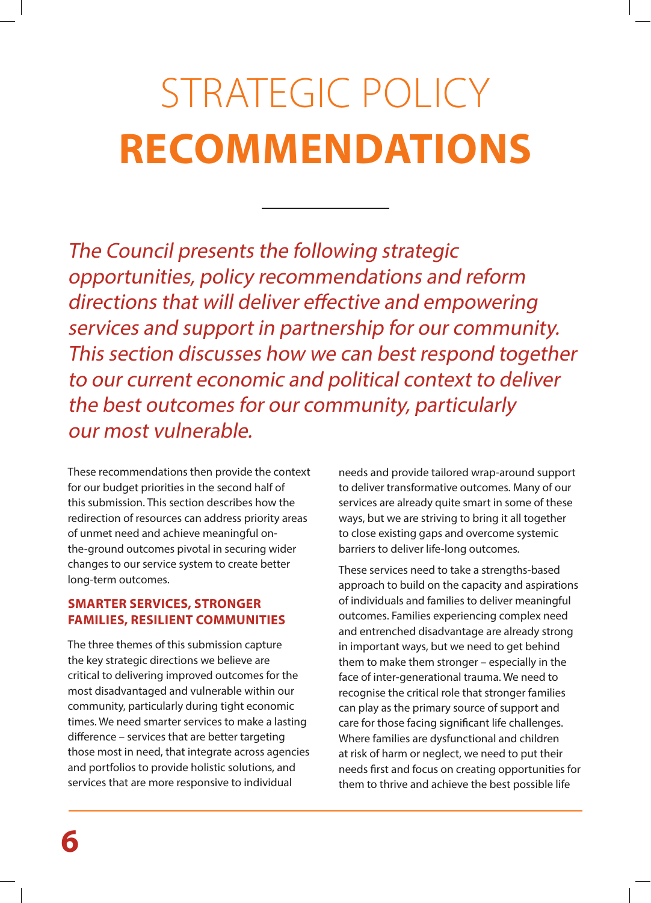# STRATEGIC POLICY **RECOMMENDATIONS**

The Council presents the following strategic opportunities, policy recommendations and reform directions that will deliver effective and empowering services and support in partnership for our community. This section discusses how we can best respond together to our current economic and political context to deliver the best outcomes for our community, particularly our most vulnerable.

These recommendations then provide the context for our budget priorities in the second half of this submission. This section describes how the redirection of resources can address priority areas of unmet need and achieve meaningful onthe-ground outcomes pivotal in securing wider changes to our service system to create better long-term outcomes.

#### **SMARTER SERVICES, STRONGER FAMILIES, RESILIENT COMMUNITIES**

The three themes of this submission capture the key strategic directions we believe are critical to delivering improved outcomes for the most disadvantaged and vulnerable within our community, particularly during tight economic times. We need smarter services to make a lasting difference – services that are better targeting those most in need, that integrate across agencies and portfolios to provide holistic solutions, and services that are more responsive to individual

needs and provide tailored wrap-around support to deliver transformative outcomes. Many of our services are already quite smart in some of these ways, but we are striving to bring it all together to close existing gaps and overcome systemic barriers to deliver life-long outcomes.

These services need to take a strengths-based approach to build on the capacity and aspirations of individuals and families to deliver meaningful outcomes. Families experiencing complex need and entrenched disadvantage are already strong in important ways, but we need to get behind them to make them stronger – especially in the face of inter-generational trauma. We need to recognise the critical role that stronger families can play as the primary source of support and care for those facing significant life challenges. Where families are dysfunctional and children at risk of harm or neglect, we need to put their needs first and focus on creating opportunities for them to thrive and achieve the best possible life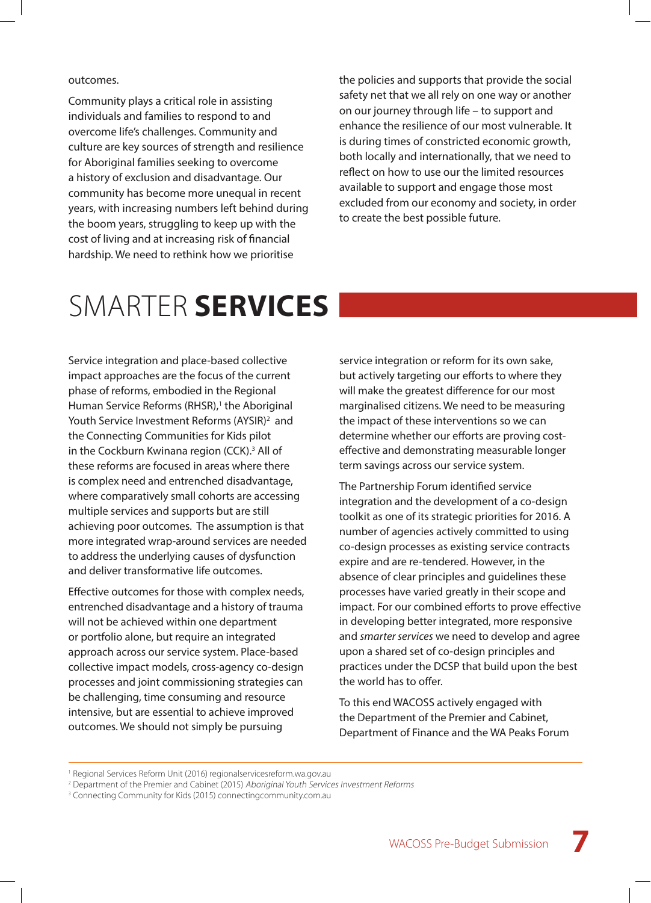outcomes.

Community plays a critical role in assisting individuals and families to respond to and overcome life's challenges. Community and culture are key sources of strength and resilience for Aboriginal families seeking to overcome a history of exclusion and disadvantage. Our community has become more unequal in recent years, with increasing numbers left behind during the boom years, struggling to keep up with the cost of living and at increasing risk of financial hardship. We need to rethink how we prioritise

the policies and supports that provide the social safety net that we all rely on one way or another on our journey through life – to support and enhance the resilience of our most vulnerable. It is during times of constricted economic growth, both locally and internationally, that we need to reflect on how to use our the limited resources available to support and engage those most excluded from our economy and society, in order to create the best possible future.

### SMARTER **SERVICES**

Service integration and place-based collective impact approaches are the focus of the current phase of reforms, embodied in the Regional Human Service Reforms (RHSR),<sup>1</sup> the Aboriginal Youth Service Investment Reforms (AYSIR)<sup>2</sup> and the Connecting Communities for Kids pilot in the Cockburn Kwinana region (CCK).<sup>3</sup> All of these reforms are focused in areas where there is complex need and entrenched disadvantage, where comparatively small cohorts are accessing multiple services and supports but are still achieving poor outcomes. The assumption is that more integrated wrap-around services are needed to address the underlying causes of dysfunction and deliver transformative life outcomes.

Effective outcomes for those with complex needs, entrenched disadvantage and a history of trauma will not be achieved within one department or portfolio alone, but require an integrated approach across our service system. Place-based collective impact models, cross-agency co-design processes and joint commissioning strategies can be challenging, time consuming and resource intensive, but are essential to achieve improved outcomes. We should not simply be pursuing

service integration or reform for its own sake, but actively targeting our efforts to where they will make the greatest difference for our most marginalised citizens. We need to be measuring the impact of these interventions so we can determine whether our efforts are proving costeffective and demonstrating measurable longer term savings across our service system.

The Partnership Forum identified service integration and the development of a co-design toolkit as one of its strategic priorities for 2016. A number of agencies actively committed to using co-design processes as existing service contracts expire and are re-tendered. However, in the absence of clear principles and guidelines these processes have varied greatly in their scope and impact. For our combined efforts to prove effective in developing better integrated, more responsive and *smarter services* we need to develop and agree upon a shared set of co-design principles and practices under the DCSP that build upon the best the world has to offer.

To this end WACOSS actively engaged with the Department of the Premier and Cabinet, Department of Finance and the WA Peaks Forum

<sup>1</sup> Regional Services Reform Unit (2016) regionalservicesreform.wa.gov.au

<sup>&</sup>lt;sup>2</sup> Department of the Premier and Cabinet (2015) Aboriginal Youth Services Investment Reforms

<sup>&</sup>lt;sup>3</sup> Connecting Community for Kids (2015) connectingcommunity.com.au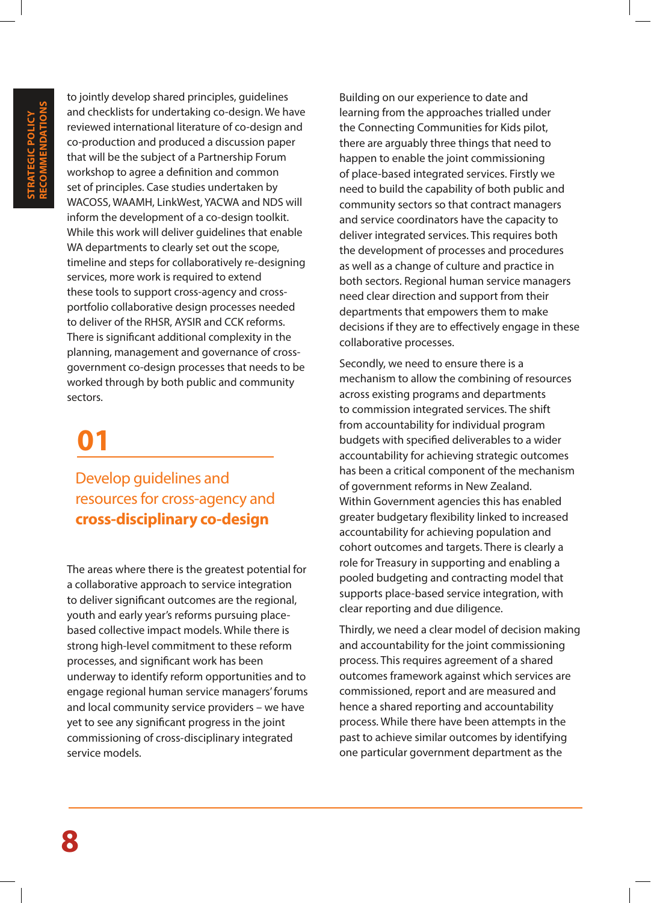to jointly develop shared principles, guidelines and checklists for undertaking co-design. We have reviewed international literature of co-design and co-production and produced a discussion paper that will be the subject of a Partnership Forum workshop to agree a definition and common set of principles. Case studies undertaken by WACOSS, WAAMH, LinkWest, YACWA and NDS will inform the development of a co-design toolkit. While this work will deliver guidelines that enable WA departments to clearly set out the scope, timeline and steps for collaboratively re-designing services, more work is required to extend these tools to support cross-agency and crossportfolio collaborative design processes needed to deliver of the RHSR, AYSIR and CCK reforms. There is significant additional complexity in the planning, management and governance of crossgovernment co-design processes that needs to be worked through by both public and community sectors.

### **01**

Develop guidelines and resources for cross-agency and **cross-disciplinary co-design**

The areas where there is the greatest potential for a collaborative approach to service integration to deliver significant outcomes are the regional, youth and early year's reforms pursuing placebased collective impact models. While there is strong high-level commitment to these reform processes, and significant work has been underway to identify reform opportunities and to engage regional human service managers' forums and local community service providers – we have yet to see any significant progress in the joint commissioning of cross-disciplinary integrated service models.

Building on our experience to date and learning from the approaches trialled under the Connecting Communities for Kids pilot, there are arguably three things that need to happen to enable the joint commissioning of place-based integrated services. Firstly we need to build the capability of both public and community sectors so that contract managers and service coordinators have the capacity to deliver integrated services. This requires both the development of processes and procedures as well as a change of culture and practice in both sectors. Regional human service managers need clear direction and support from their departments that empowers them to make decisions if they are to effectively engage in these collaborative processes.

Secondly, we need to ensure there is a mechanism to allow the combining of resources across existing programs and departments to commission integrated services. The shift from accountability for individual program budgets with specified deliverables to a wider accountability for achieving strategic outcomes has been a critical component of the mechanism of government reforms in New Zealand. Within Government agencies this has enabled greater budgetary flexibility linked to increased accountability for achieving population and cohort outcomes and targets. There is clearly a role for Treasury in supporting and enabling a pooled budgeting and contracting model that supports place-based service integration, with clear reporting and due diligence.

Thirdly, we need a clear model of decision making and accountability for the joint commissioning process. This requires agreement of a shared outcomes framework against which services are commissioned, report and are measured and hence a shared reporting and accountability process. While there have been attempts in the past to achieve similar outcomes by identifying one particular government department as the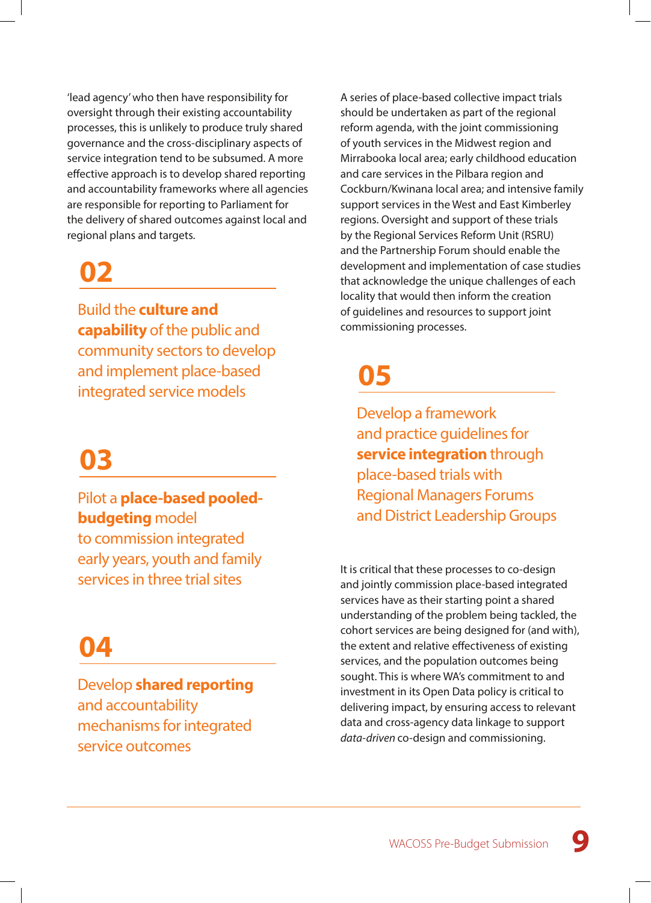'lead agency' who then have responsibility for oversight through their existing accountability processes, this is unlikely to produce truly shared governance and the cross-disciplinary aspects of service integration tend to be subsumed. A more effective approach is to develop shared reporting and accountability frameworks where all agencies are responsible for reporting to Parliament for the delivery of shared outcomes against local and regional plans and targets.

### **02**

Build the **culture and capability** of the public and community sectors to develop and implement place-based integrated service models

### **03**

Pilot a **place-based pooledbudgeting** model to commission integrated early years, youth and family services in three trial sites

### **04**

Develop **shared reporting** and accountability mechanisms for integrated service outcomes

A series of place-based collective impact trials should be undertaken as part of the regional reform agenda, with the joint commissioning of youth services in the Midwest region and Mirrabooka local area; early childhood education and care services in the Pilbara region and Cockburn/Kwinana local area; and intensive family support services in the West and East Kimberley regions. Oversight and support of these trials by the Regional Services Reform Unit (RSRU) and the Partnership Forum should enable the development and implementation of case studies that acknowledge the unique challenges of each locality that would then inform the creation of guidelines and resources to support joint commissioning processes.

### **05**

Develop a framework and practice guidelines for **service integration** through place-based trials with Regional Managers Forums and District Leadership Groups

It is critical that these processes to co-design and jointly commission place-based integrated services have as their starting point a shared understanding of the problem being tackled, the cohort services are being designed for (and with), the extent and relative effectiveness of existing services, and the population outcomes being sought. This is where WA's commitment to and investment in its Open Data policy is critical to delivering impact, by ensuring access to relevant data and cross-agency data linkage to support *data-driven* co-design and commissioning.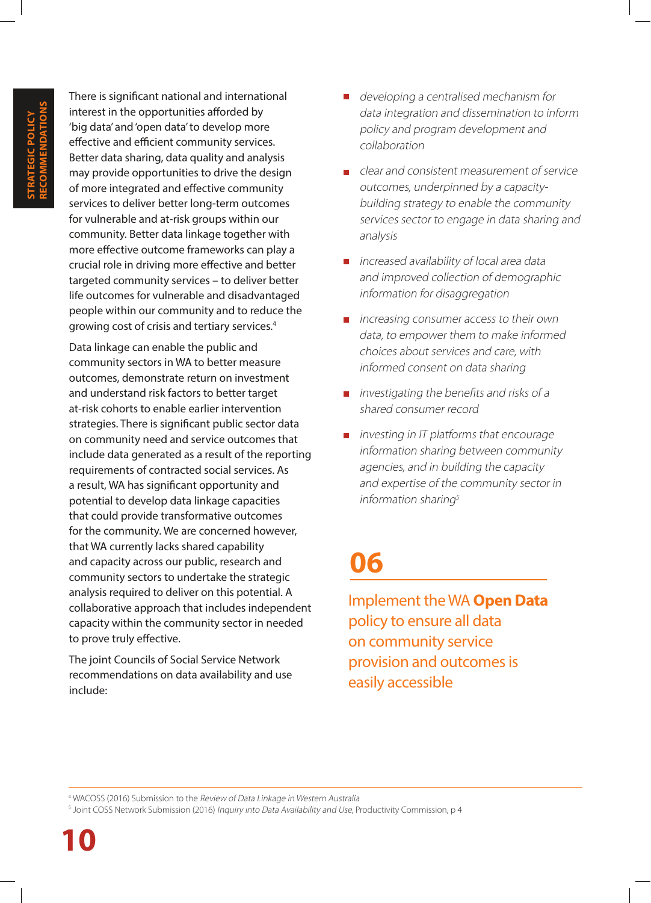There is significant national and international interest in the opportunities afforded by 'big data' and 'open data' to develop more effective and efficient community services. Better data sharing, data quality and analysis may provide opportunities to drive the design of more integrated and effective community services to deliver better long-term outcomes for vulnerable and at-risk groups within our community. Better data linkage together with more effective outcome frameworks can play a crucial role in driving more effective and better targeted community services – to deliver better life outcomes for vulnerable and disadvantaged people within our community and to reduce the growing cost of crisis and tertiary services.4

Data linkage can enable the public and community sectors in WA to better measure outcomes, demonstrate return on investment and understand risk factors to better target at-risk cohorts to enable earlier intervention strategies. There is significant public sector data on community need and service outcomes that include data generated as a result of the reporting requirements of contracted social services. As a result, WA has significant opportunity and potential to develop data linkage capacities that could provide transformative outcomes for the community. We are concerned however, that WA currently lacks shared capability and capacity across our public, research and community sectors to undertake the strategic analysis required to deliver on this potential. A collaborative approach that includes independent capacity within the community sector in needed to prove truly effective.

The joint Councils of Social Service Network recommendations on data availability and use include:

- developing a centralised mechanism for data integration and dissemination to inform policy and program development and collaboration
- $\Box$  clear and consistent measurement of service outcomes, underpinned by a capacitybuilding strategy to enable the community services sector to engage in data sharing and analysis
- **n** increased availability of local area data and improved collection of demographic information for disaggregation
- $\blacksquare$  increasing consumer access to their own data, to empower them to make informed choices about services and care, with informed consent on data sharing
- $\blacksquare$  investigating the benefits and risks of a shared consumer record
- $\blacksquare$  investing in IT platforms that encourage information sharing between community agencies, and in building the capacity and expertise of the community sector in information sharing $5$

### **06**

Implement the WA **Open Data**  policy to ensure all data on community service provision and outcomes is easily accessible

4 WACOSS (2016) Submission to the Review of Data Linkage in Western Australia

<sup>&</sup>lt;sup>5</sup> Joint COSS Network Submission (2016) *Inquiry into Data Availability and Use*, Productivity Commission, p 4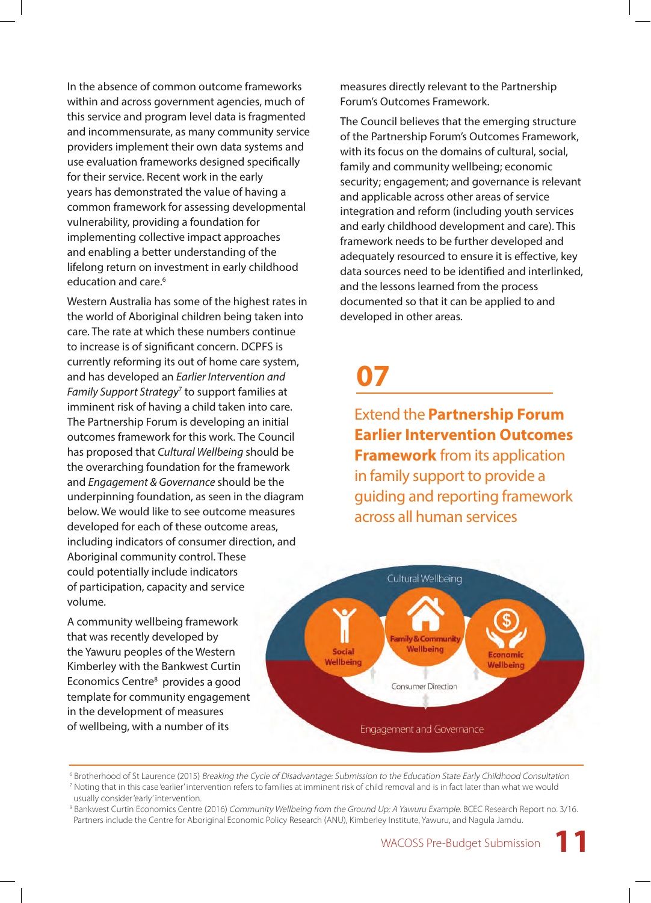In the absence of common outcome frameworks within and across government agencies, much of this service and program level data is fragmented and incommensurate, as many community service providers implement their own data systems and use evaluation frameworks designed specifically for their service. Recent work in the early years has demonstrated the value of having a common framework for assessing developmental vulnerability, providing a foundation for implementing collective impact approaches and enabling a better understanding of the lifelong return on investment in early childhood education and care.<sup>6</sup>

Western Australia has some of the highest rates in the world of Aboriginal children being taken into care. The rate at which these numbers continue to increase is of significant concern. DCPFS is currently reforming its out of home care system, and has developed an *Earlier Intervention and Family Support Strategy*<sup>7</sup> to support families at imminent risk of having a child taken into care. The Partnership Forum is developing an initial outcomes framework for this work. The Council has proposed that *Cultural Wellbeing* should be the overarching foundation for the framework and *Engagement & Governance* should be the underpinning foundation, as seen in the diagram below. We would like to see outcome measures developed for each of these outcome areas, including indicators of consumer direction, and Aboriginal community control. These could potentially include indicators of participation, capacity and service volume.

A community wellbeing framework that was recently developed by the Yawuru peoples of the Western Kimberley with the Bankwest Curtin Economics Centre<sup>8</sup> provides a good template for community engagement in the development of measures of wellbeing, with a number of its

measures directly relevant to the Partnership Forum's Outcomes Framework.

The Council believes that the emerging structure of the Partnership Forum's Outcomes Framework, with its focus on the domains of cultural, social, family and community wellbeing; economic security; engagement; and governance is relevant and applicable across other areas of service integration and reform (including youth services and early childhood development and care). This framework needs to be further developed and adequately resourced to ensure it is effective, key data sources need to be identified and interlinked, and the lessons learned from the process documented so that it can be applied to and developed in other areas.

### **07**

Extend the **Partnership Forum Earlier Intervention Outcomes Framework** from its application in family support to provide a guiding and reporting framework across all human services



6 Brotherhood of St Laurence (2015) Breaking the Cycle of Disadvantage: Submission to the Education State Early Childhood Consultation 7 Noting that in this case 'earlier' intervention refers to families at imminent risk of child removal and is in fact later than what we would usually consider 'early' intervention.

**11**

<sup>&</sup>lt;sup>8</sup> Bankwest Curtin Economics Centre (2016) *Community Wellbeing from the Ground Up: A Yawuru Example*. BCEC Research Report no. 3/16. Partners include the Centre for Aboriginal Economic Policy Research (ANU), Kimberley Institute, Yawuru, and Nagula Jarndu.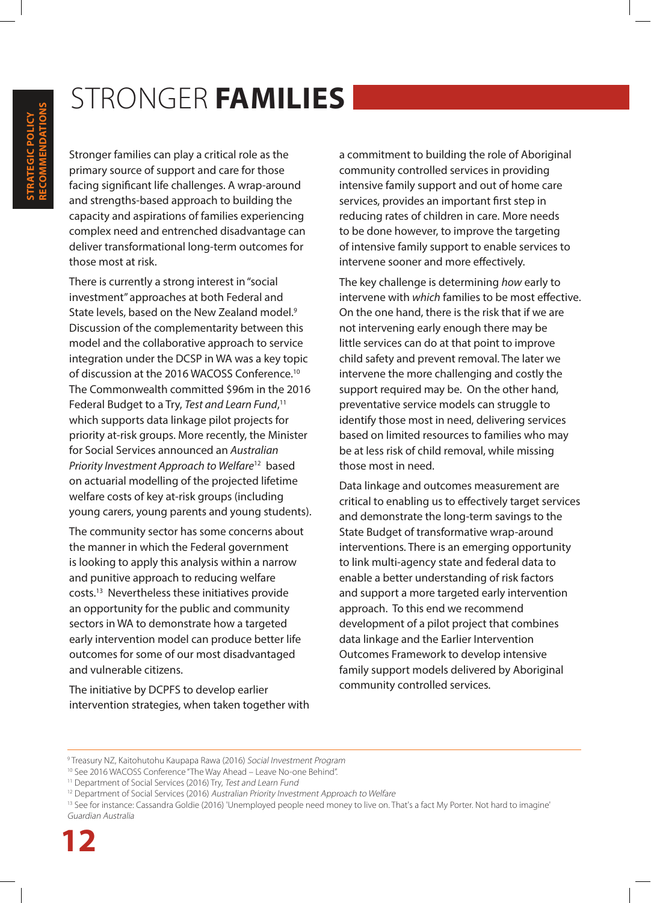### STRONGER **FAMILIES**

Stronger families can play a critical role as the primary source of support and care for those facing significant life challenges. A wrap-around and strengths-based approach to building the capacity and aspirations of families experiencing complex need and entrenched disadvantage can deliver transformational long-term outcomes for those most at risk.

There is currently a strong interest in "social investment" approaches at both Federal and State levels, based on the New Zealand model.<sup>9</sup> Discussion of the complementarity between this model and the collaborative approach to service integration under the DCSP in WA was a key topic of discussion at the 2016 WACOSS Conference.10 The Commonwealth committed \$96m in the 2016 Federal Budget to a Try, *Test and Learn Fund*, 11 which supports data linkage pilot projects for priority at-risk groups. More recently, the Minister for Social Services announced an *Australian Priority Investment Approach to Welfare*12 based on actuarial modelling of the projected lifetime welfare costs of key at-risk groups (including young carers, young parents and young students).

The community sector has some concerns about the manner in which the Federal government is looking to apply this analysis within a narrow and punitive approach to reducing welfare costs.13 Nevertheless these initiatives provide an opportunity for the public and community sectors in WA to demonstrate how a targeted early intervention model can produce better life outcomes for some of our most disadvantaged and vulnerable citizens.

The initiative by DCPFS to develop earlier intervention strategies, when taken together with a commitment to building the role of Aboriginal community controlled services in providing intensive family support and out of home care services, provides an important first step in reducing rates of children in care. More needs to be done however, to improve the targeting of intensive family support to enable services to intervene sooner and more effectively.

The key challenge is determining *how* early to intervene with *which* families to be most effective. On the one hand, there is the risk that if we are not intervening early enough there may be little services can do at that point to improve child safety and prevent removal. The later we intervene the more challenging and costly the support required may be. On the other hand, preventative service models can struggle to identify those most in need, delivering services based on limited resources to families who may be at less risk of child removal, while missing those most in need.

Data linkage and outcomes measurement are critical to enabling us to effectively target services and demonstrate the long-term savings to the State Budget of transformative wrap-around interventions. There is an emerging opportunity to link multi-agency state and federal data to enable a better understanding of risk factors and support a more targeted early intervention approach. To this end we recommend development of a pilot project that combines data linkage and the Earlier Intervention Outcomes Framework to develop intensive family support models delivered by Aboriginal community controlled services.

**STRATEGIC POLICY RECOMMENDATIONS**

<sup>&</sup>lt;sup>9</sup> Treasury NZ, Kaitohutohu Kaupapa Rawa (2016) *Social Investment Program* 

<sup>&</sup>lt;sup>10</sup> See 2016 WACOSS Conference "The Way Ahead – Leave No-one Behind".

<sup>&</sup>lt;sup>11</sup> Department of Social Services (2016) Try, Test and Learn Fund

<sup>&</sup>lt;sup>12</sup> Department of Social Services (2016) Australian Priority Investment Approach to Welfare

<sup>&</sup>lt;sup>13</sup> See for instance: Cassandra Goldie (2016) 'Unemployed people need money to live on. That's a fact My Porter. Not hard to imagine' Guardian Australia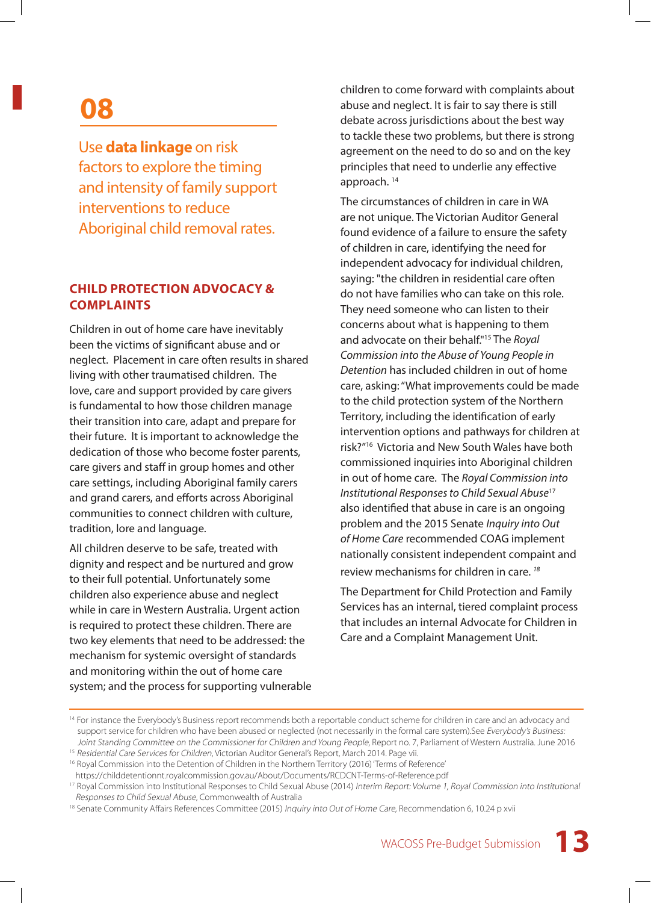### **08**

#### Use **data linkage** on risk factors to explore the timing and intensity of family support interventions to reduce Aboriginal child removal rates.

#### **CHILD PROTECTION ADVOCACY & COMPLAINTS**

Children in out of home care have inevitably been the victims of significant abuse and or neglect. Placement in care often results in shared living with other traumatised children. The love, care and support provided by care givers is fundamental to how those children manage their transition into care, adapt and prepare for their future. It is important to acknowledge the dedication of those who become foster parents, care givers and staff in group homes and other care settings, including Aboriginal family carers and grand carers, and efforts across Aboriginal communities to connect children with culture, tradition, lore and language.

All children deserve to be safe, treated with dignity and respect and be nurtured and grow to their full potential. Unfortunately some children also experience abuse and neglect while in care in Western Australia. Urgent action is required to protect these children. There are two key elements that need to be addressed: the mechanism for systemic oversight of standards and monitoring within the out of home care system; and the process for supporting vulnerable children to come forward with complaints about abuse and neglect. It is fair to say there is still debate across jurisdictions about the best way to tackle these two problems, but there is strong agreement on the need to do so and on the key principles that need to underlie any effective approach. 14

The circumstances of children in care in WA are not unique. The Victorian Auditor General found evidence of a failure to ensure the safety of children in care, identifying the need for independent advocacy for individual children, saying: "the children in residential care often do not have families who can take on this role. They need someone who can listen to their concerns about what is happening to them and advocate on their behalf."15 The *Royal Commission into the Abuse of Young People in Detention* has included children in out of home care, asking: "What improvements could be made to the child protection system of the Northern Territory, including the identification of early intervention options and pathways for children at risk?"16 Victoria and New South Wales have both commissioned inquiries into Aboriginal children in out of home care. The *Royal Commission into Institutional Responses to Child Sexual Abuse*<sup>17</sup> also identified that abuse in care is an ongoing problem and the 2015 Senate *Inquiry into Out of Home Care* recommended COAG implement nationally consistent independent compaint and review mechanisms for children in care. *<sup>18</sup>*

The Department for Child Protection and Family Services has an internal, tiered complaint process that includes an internal Advocate for Children in Care and a Complaint Management Unit.

<sup>&</sup>lt;sup>14</sup> For instance the Everybody's Business report recommends both a reportable conduct scheme for children in care and an advocacy and support service for children who have been abused or neglected (not necessarily in the formal care system). See Everybody's Business: Joint Standing Committee on the Commissioner for Children and Young People, Report no. 7, Parliament of Western Australia. June 2016

<sup>&</sup>lt;sup>15</sup> Residential Care Services for Children, Victorian Auditor General's Report, March 2014. Page vii.

<sup>&</sup>lt;sup>16</sup> Royal Commission into the Detention of Children in the Northern Territory (2016) 'Terms of Reference'

https://childdetentionnt.royalcommission.gov.au/About/Documents/RCDCNT-Terms-of-Reference.pdf

<sup>&</sup>lt;sup>17</sup> Royal Commission into Institutional Responses to Child Sexual Abuse (2014) Interim Report: Volume 1, Royal Commission into Institutional Responses to Child Sexual Abuse, Commonwealth of Australia

<sup>&</sup>lt;sup>18</sup> Senate Community Affairs References Committee (2015) Inquiry into Out of Home Care, Recommendation 6, 10.24 p xvii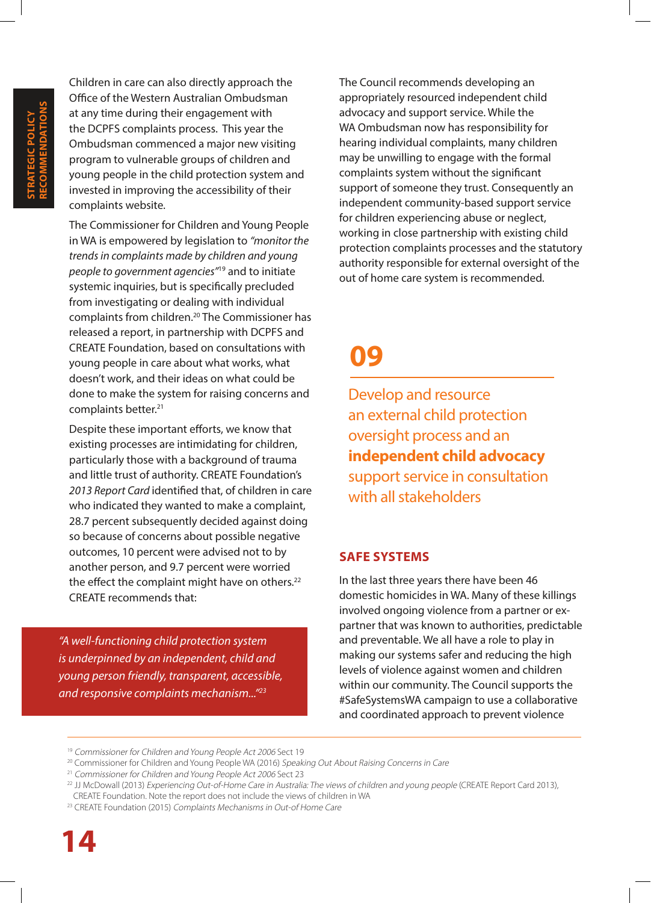Children in care can also directly approach the Office of the Western Australian Ombudsman at any time during their engagement with the DCPFS complaints process. This year the Ombudsman commenced a major new visiting program to vulnerable groups of children and young people in the child protection system and invested in improving the accessibility of their complaints website.

The Commissioner for Children and Young People in WA is empowered by legislation to *"monitor the trends in complaints made by children and young people to government agencies"*19 and to initiate systemic inquiries, but is specifically precluded from investigating or dealing with individual complaints from children.20 The Commissioner has released a report, in partnership with DCPFS and CREATE Foundation, based on consultations with young people in care about what works, what doesn't work, and their ideas on what could be done to make the system for raising concerns and complaints better.<sup>21</sup>

Despite these important efforts, we know that existing processes are intimidating for children, particularly those with a background of trauma and little trust of authority. CREATE Foundation's *2013 Report Card* identified that, of children in care who indicated they wanted to make a complaint, 28.7 percent subsequently decided against doing so because of concerns about possible negative outcomes, 10 percent were advised not to by another person, and 9.7 percent were worried the effect the complaint might have on others.<sup>22</sup> CREATE recommends that:

*"A well-functioning child protection system is underpinned by an independent, child and young person friendly, transparent, accessible, and responsive complaints mechanism..."23*

The Council recommends developing an appropriately resourced independent child advocacy and support service. While the WA Ombudsman now has responsibility for hearing individual complaints, many children may be unwilling to engage with the formal complaints system without the significant support of someone they trust. Consequently an independent community-based support service for children experiencing abuse or neglect, working in close partnership with existing child protection complaints processes and the statutory authority responsible for external oversight of the out of home care system is recommended.

### **09**

Develop and resource an external child protection oversight process and an **independent child advocacy** support service in consultation with all stakeholders

#### **SAFE SYSTEMS**

In the last three years there have been 46 domestic homicides in WA. Many of these killings involved ongoing violence from a partner or expartner that was known to authorities, predictable and preventable. We all have a role to play in making our systems safer and reducing the high levels of violence against women and children within our community. The Council supports the #SafeSystemsWA campaign to use a collaborative and coordinated approach to prevent violence

<sup>&</sup>lt;sup>19</sup> Commissioner for Children and Young People Act 2006 Sect 19

<sup>&</sup>lt;sup>20</sup> Commissioner for Children and Young People WA (2016) Speaking Out About Raising Concerns in Care

<sup>&</sup>lt;sup>21</sup> Commissioner for Children and Young People Act 2006 Sect 23

<sup>&</sup>lt;sup>22</sup> JJ McDowall (2013) Experiencing Out-of-Home Care in Australia: The views of children and young people (CREATE Report Card 2013), CREATE Foundation. Note the report does not include the views of children in WA

<sup>&</sup>lt;sup>23</sup> CREATE Foundation (2015) Complaints Mechanisms in Out-of Home Care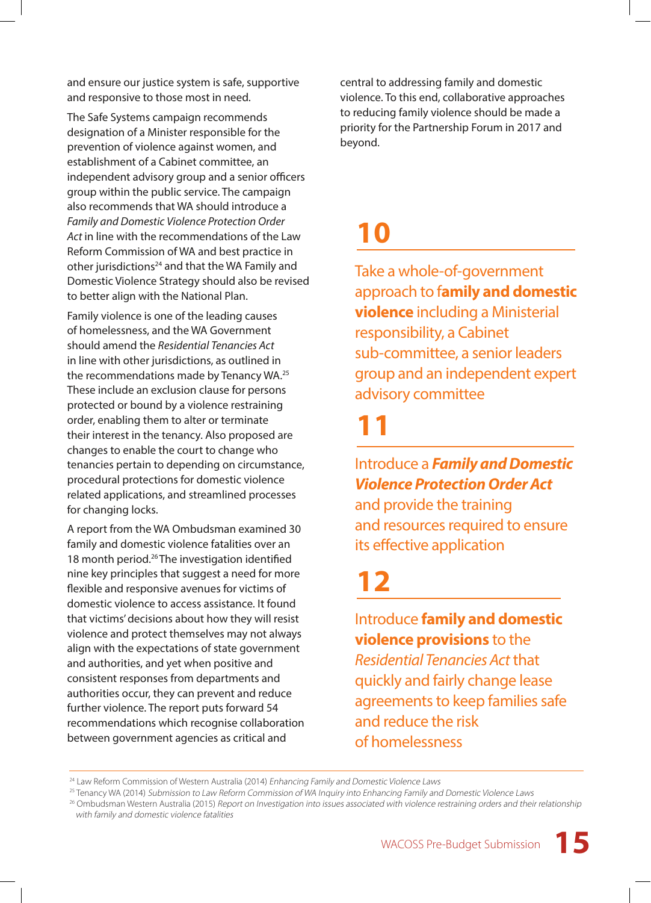and ensure our justice system is safe, supportive and responsive to those most in need.

The Safe Systems campaign recommends designation of a Minister responsible for the prevention of violence against women, and establishment of a Cabinet committee, an independent advisory group and a senior officers group within the public service. The campaign also recommends that WA should introduce a *Family and Domestic Violence Protection Order Act* in line with the recommendations of the Law Reform Commission of WA and best practice in other jurisdictions<sup>24</sup> and that the WA Family and Domestic Violence Strategy should also be revised to better align with the National Plan.

Family violence is one of the leading causes of homelessness, and the WA Government should amend the *Residential Tenancies Act* in line with other jurisdictions, as outlined in the recommendations made by Tenancy WA.25 These include an exclusion clause for persons protected or bound by a violence restraining order, enabling them to alter or terminate their interest in the tenancy. Also proposed are changes to enable the court to change who tenancies pertain to depending on circumstance, procedural protections for domestic violence related applications, and streamlined processes for changing locks.

A report from the WA Ombudsman examined 30 family and domestic violence fatalities over an 18 month period.26 The investigation identified nine key principles that suggest a need for more flexible and responsive avenues for victims of domestic violence to access assistance. It found that victims' decisions about how they will resist violence and protect themselves may not always align with the expectations of state government and authorities, and yet when positive and consistent responses from departments and authorities occur, they can prevent and reduce further violence. The report puts forward 54 recommendations which recognise collaboration between government agencies as critical and

central to addressing family and domestic violence. To this end, collaborative approaches to reducing family violence should be made a priority for the Partnership Forum in 2017 and beyond.

### **10**

Take a whole-of-government approach to f**amily and domestic violence** including a Ministerial responsibility, a Cabinet sub-committee, a senior leaders group and an independent expert advisory committee

### **11**

Introduce a *Family and Domestic Violence Protection Order Act* and provide the training

and resources required to ensure its effective application

### **12**

Introduce **family and domestic violence provisions** to the *Residential Tenancies Act* that quickly and fairly change lease agreements to keep families safe and reduce the risk of homelessness

<sup>&</sup>lt;sup>24</sup> Law Reform Commission of Western Australia (2014) Enhancing Family and Domestic Violence Laws

<sup>&</sup>lt;sup>25</sup> Tenancy WA (2014) Submission to Law Reform Commission of WA Inquiry into Enhancing Family and Domestic Violence Laws

<sup>&</sup>lt;sup>26</sup> Ombudsman Western Australia (2015) Report on Investigation into issues associated with violence restraining orders and their relationship with family and domestic violence fatalities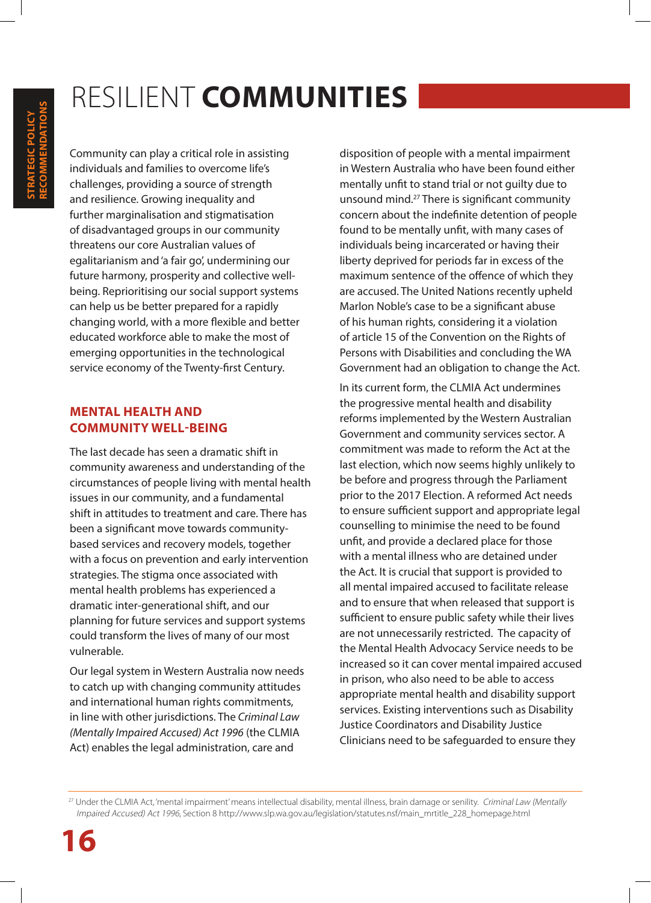### RESILIENT **COMMUNITIES**

Community can play a critical role in assisting individuals and families to overcome life's challenges, providing a source of strength and resilience. Growing inequality and further marginalisation and stigmatisation of disadvantaged groups in our community threatens our core Australian values of egalitarianism and 'a fair go', undermining our future harmony, prosperity and collective wellbeing. Reprioritising our social support systems can help us be better prepared for a rapidly changing world, with a more flexible and better educated workforce able to make the most of emerging opportunities in the technological service economy of the Twenty-first Century.

#### **MENTAL HEALTH AND COMMUNITY WELL-BEING**

The last decade has seen a dramatic shift in community awareness and understanding of the circumstances of people living with mental health issues in our community, and a fundamental shift in attitudes to treatment and care. There has been a significant move towards communitybased services and recovery models, together with a focus on prevention and early intervention strategies. The stigma once associated with mental health problems has experienced a dramatic inter-generational shift, and our planning for future services and support systems could transform the lives of many of our most vulnerable.

Our legal system in Western Australia now needs to catch up with changing community attitudes and international human rights commitments, in line with other jurisdictions. The *Criminal Law (Mentally Impaired Accused) Act 1996* (the CLMIA Act) enables the legal administration, care and

disposition of people with a mental impairment in Western Australia who have been found either mentally unfit to stand trial or not guilty due to unsound mind.27 There is significant community concern about the indefinite detention of people found to be mentally unfit, with many cases of individuals being incarcerated or having their liberty deprived for periods far in excess of the maximum sentence of the offence of which they are accused. The United Nations recently upheld Marlon Noble's case to be a significant abuse of his human rights, considering it a violation of article 15 of the Convention on the Rights of Persons with Disabilities and concluding the WA Government had an obligation to change the Act.

In its current form, the CLMIA Act undermines the progressive mental health and disability reforms implemented by the Western Australian Government and community services sector. A commitment was made to reform the Act at the last election, which now seems highly unlikely to be before and progress through the Parliament prior to the 2017 Election. A reformed Act needs to ensure sufficient support and appropriate legal counselling to minimise the need to be found unfit, and provide a declared place for those with a mental illness who are detained under the Act. It is crucial that support is provided to all mental impaired accused to facilitate release and to ensure that when released that support is sufficient to ensure public safety while their lives are not unnecessarily restricted. The capacity of the Mental Health Advocacy Service needs to be increased so it can cover mental impaired accused in prison, who also need to be able to access appropriate mental health and disability support services. Existing interventions such as Disability Justice Coordinators and Disability Justice Clinicians need to be safeguarded to ensure they

<sup>&</sup>lt;sup>27</sup> Under the CLMIA Act, 'mental impairment' means intellectual disability, mental illness, brain damage or senility. Criminal Law (Mentally Impaired Accused) Act 1996, Section 8 http://www.slp.wa.gov.au/legislation/statutes.nsf/main\_mrtitle\_228\_homepage.html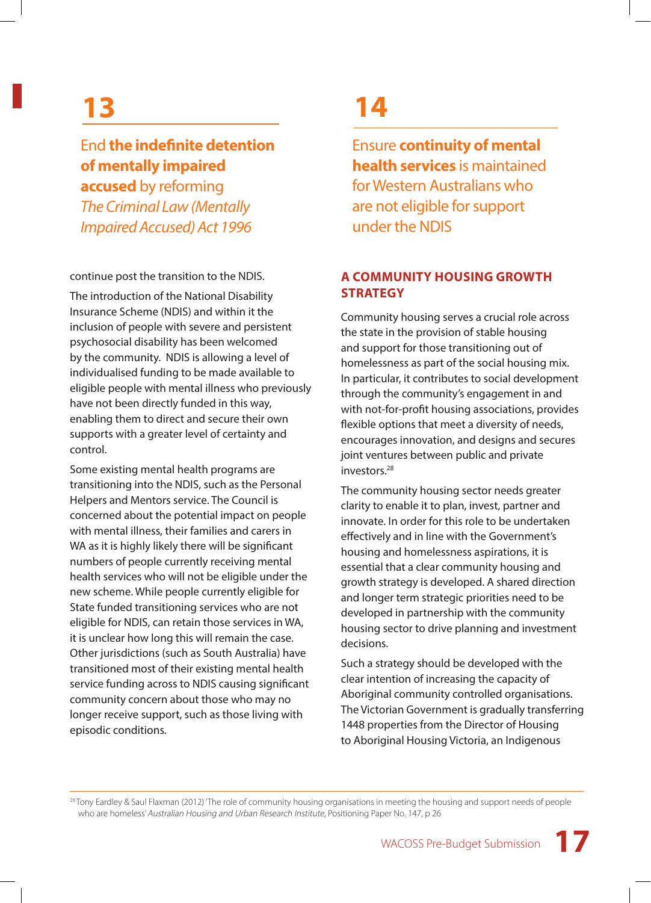### **13**

#### End **the indefinite detention of mentally impaired**

**accused** by reforming *The Criminal Law (Mentally Impaired Accused) Act 1996*

continue post the transition to the NDIS.

The introduction of the National Disability Insurance Scheme (NDIS) and within it the inclusion of people with severe and persistent psychosocial disability has been welcomed by the community. NDIS is allowing a level of individualised funding to be made available to eligible people with mental illness who previously have not been directly funded in this way, enabling them to direct and secure their own supports with a greater level of certainty and control.

Some existing mental health programs are transitioning into the NDIS, such as the Personal Helpers and Mentors service. The Council is concerned about the potential impact on people with mental illness, their families and carers in WA as it is highly likely there will be significant numbers of people currently receiving mental health services who will not be eligible under the new scheme. While people currently eligible for State funded transitioning services who are not eligible for NDIS, can retain those services in WA, it is unclear how long this will remain the case. Other jurisdictions (such as South Australia) have transitioned most of their existing mental health service funding across to NDIS causing significant community concern about those who may no longer receive support, such as those living with episodic conditions.

### **14**

Ensure **continuity of mental health services** is maintained for Western Australians who are not eligible for support under the NDIS

#### **A COMMUNITY HOUSING GROWTH STRATEGY**

Community housing serves a crucial role across the state in the provision of stable housing and support for those transitioning out of homelessness as part of the social housing mix. In particular, it contributes to social development through the community's engagement in and with not-for-profit housing associations, provides flexible options that meet a diversity of needs, encourages innovation, and designs and secures joint ventures between public and private investors.28

The community housing sector needs greater clarity to enable it to plan, invest, partner and innovate. In order for this role to be undertaken effectively and in line with the Government's housing and homelessness aspirations, it is essential that a clear community housing and growth strategy is developed. A shared direction and longer term strategic priorities need to be developed in partnership with the community housing sector to drive planning and investment decisions.

Such a strategy should be developed with the clear intention of increasing the capacity of Aboriginal community controlled organisations. The Victorian Government is gradually transferring 1448 properties from the Director of Housing to Aboriginal Housing Victoria, an Indigenous

<sup>28</sup> Tony Eardley & Saul Flaxman (2012) 'The role of community housing organisations in meeting the housing and support needs of people who are homeless' Australian Housing and Urban Research Institute, Positioning Paper No. 147, p 26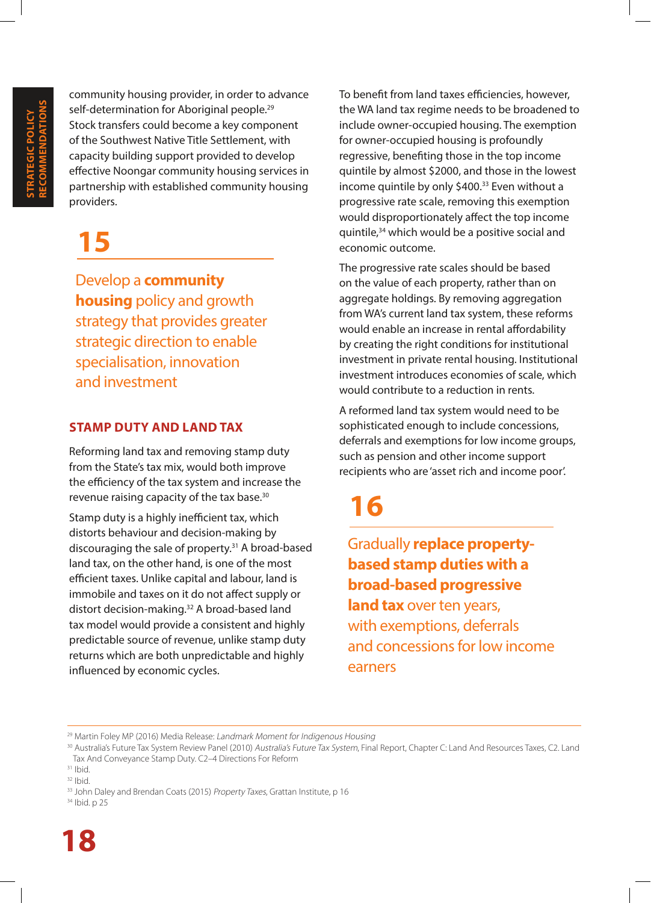community housing provider, in order to advance self-determination for Aboriginal people.<sup>29</sup> Stock transfers could become a key component of the Southwest Native Title Settlement, with capacity building support provided to develop effective Noongar community housing services in partnership with established community housing providers.

### **15**

Develop a **community housing** policy and growth strategy that provides greater strategic direction to enable specialisation, innovation and investment

#### **STAMP DUTY AND LAND TAX**

Reforming land tax and removing stamp duty from the State's tax mix, would both improve the efficiency of the tax system and increase the revenue raising capacity of the tax base.30

Stamp duty is a highly inefficient tax, which distorts behaviour and decision-making by discouraging the sale of property.<sup>31</sup> A broad-based land tax, on the other hand, is one of the most efficient taxes. Unlike capital and labour, land is immobile and taxes on it do not affect supply or distort decision-making.32 A broad-based land tax model would provide a consistent and highly predictable source of revenue, unlike stamp duty returns which are both unpredictable and highly influenced by economic cycles.

To benefit from land taxes efficiencies, however, the WA land tax regime needs to be broadened to include owner-occupied housing. The exemption for owner-occupied housing is profoundly regressive, benefiting those in the top income quintile by almost \$2000, and those in the lowest income quintile by only \$400.<sup>33</sup> Even without a progressive rate scale, removing this exemption would disproportionately affect the top income quintile,34 which would be a positive social and economic outcome.

The progressive rate scales should be based on the value of each property, rather than on aggregate holdings. By removing aggregation from WA's current land tax system, these reforms would enable an increase in rental affordability by creating the right conditions for institutional investment in private rental housing. Institutional investment introduces economies of scale, which would contribute to a reduction in rents.

A reformed land tax system would need to be sophisticated enough to include concessions, deferrals and exemptions for low income groups, such as pension and other income support recipients who are 'asset rich and income poor'.

### **16**

Gradually **replace propertybased stamp duties with a broad-based progressive land tax** over ten years, with exemptions, deferrals and concessions for low income earners

<sup>&</sup>lt;sup>29</sup> Martin Foley MP (2016) Media Release: Landmark Moment for Indigenous Housing

<sup>30</sup> Australia's Future Tax System Review Panel (2010) Australia's Future Tax System, Final Report, Chapter C: Land And Resources Taxes, C2. Land Tax And Conveyance Stamp Duty. C2–4 Directions For Reform

 $31$  Ibid.

 $32$  Ibid.

<sup>&</sup>lt;sup>33</sup> John Daley and Brendan Coats (2015) Property Taxes, Grattan Institute, p 16

<sup>34</sup> Ibid. p 25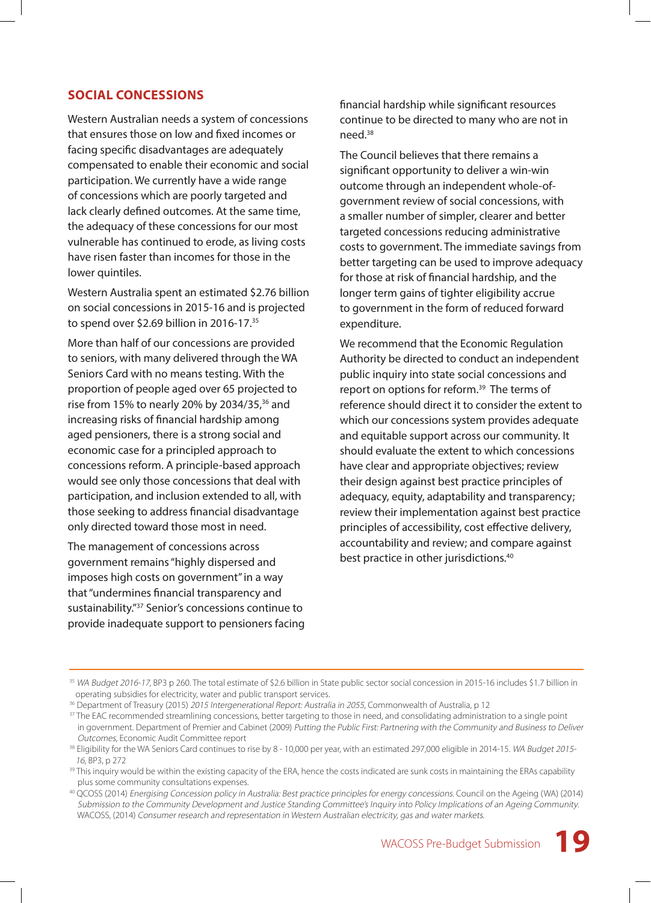#### **SOCIAL CONCESSIONS**

Western Australian needs a system of concessions that ensures those on low and fixed incomes or facing specific disadvantages are adequately compensated to enable their economic and social participation. We currently have a wide range of concessions which are poorly targeted and lack clearly defined outcomes. At the same time, the adequacy of these concessions for our most vulnerable has continued to erode, as living costs have risen faster than incomes for those in the lower quintiles.

Western Australia spent an estimated \$2.76 billion on social concessions in 2015-16 and is projected to spend over \$2.69 billion in 2016-17.<sup>35</sup>

More than half of our concessions are provided to seniors, with many delivered through the WA Seniors Card with no means testing. With the proportion of people aged over 65 projected to rise from 15% to nearly 20% by 2034/35, $36$  and increasing risks of financial hardship among aged pensioners, there is a strong social and economic case for a principled approach to concessions reform. A principle-based approach would see only those concessions that deal with participation, and inclusion extended to all, with those seeking to address financial disadvantage only directed toward those most in need.

The management of concessions across government remains "highly dispersed and imposes high costs on government" in a way that "undermines financial transparency and sustainability."37 Senior's concessions continue to provide inadequate support to pensioners facing financial hardship while significant resources continue to be directed to many who are not in need.38

The Council believes that there remains a significant opportunity to deliver a win-win outcome through an independent whole-ofgovernment review of social concessions, with a smaller number of simpler, clearer and better targeted concessions reducing administrative costs to government. The immediate savings from better targeting can be used to improve adequacy for those at risk of financial hardship, and the longer term gains of tighter eligibility accrue to government in the form of reduced forward expenditure.

We recommend that the Economic Regulation Authority be directed to conduct an independent public inquiry into state social concessions and report on options for reform.39 The terms of reference should direct it to consider the extent to which our concessions system provides adequate and equitable support across our community. It should evaluate the extent to which concessions have clear and appropriate objectives; review their design against best practice principles of adequacy, equity, adaptability and transparency; review their implementation against best practice principles of accessibility, cost effective delivery, accountability and review; and compare against best practice in other jurisdictions.40

<sup>&</sup>lt;sup>35</sup> WA Budget 2016-17, BP3 p 260. The total estimate of \$2.6 billion in State public sector social concession in 2015-16 includes \$1.7 billion in operating subsidies for electricity, water and public transport services.

<sup>&</sup>lt;sup>36</sup> Department of Treasury (2015) 2015 Intergenerational Report: Australia in 2055, Commonwealth of Australia, p 12

<sup>&</sup>lt;sup>37</sup> The EAC recommended streamlining concessions, better targeting to those in need, and consolidating administration to a single point in government. Department of Premier and Cabinet (2009) Putting the Public First: Partnering with the Community and Business to Deliver Outcomes, Economic Audit Committee report

<sup>&</sup>lt;sup>38</sup> Eligibility for the WA Seniors Card continues to rise by 8 - 10,000 per year, with an estimated 297,000 eligible in 2014-15. WA Budget 2015-<sup>16</sup>, BP3, p 272

<sup>&</sup>lt;sup>39</sup> This inquiry would be within the existing capacity of the ERA, hence the costs indicated are sunk costs in maintaining the ERAs capability plus some community consultations expenses.

<sup>40</sup> QCOSS (2014) Energising Concession policy in Australia: Best practice principles for energy concessions. Council on the Ageing (WA) (2014) Submission to the Community Development and Justice Standing Committee's Inquiry into Policy Implications of an Ageing Community. WACOSS, (2014) Consumer research and representation in Western Australian electricity, gas and water markets.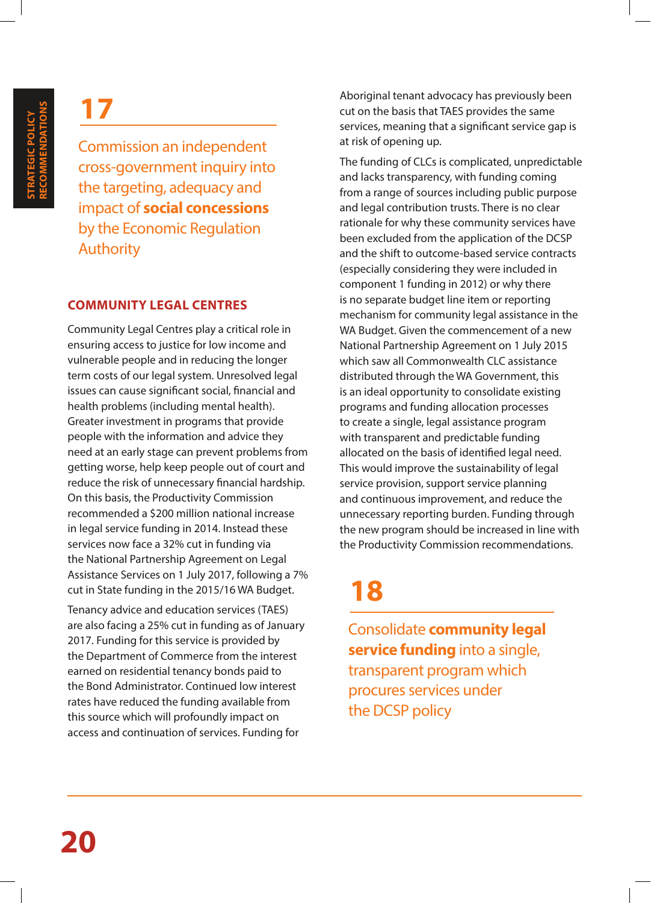Commission an independent cross-government inquiry into the targeting, adequacy and impact of **social concessions** by the Economic Regulation Authority

#### **COMMUNITY LEGAL CENTRES**

Community Legal Centres play a critical role in ensuring access to justice for low income and vulnerable people and in reducing the longer term costs of our legal system. Unresolved legal issues can cause significant social, financial and health problems (including mental health). Greater investment in programs that provide people with the information and advice they need at an early stage can prevent problems from getting worse, help keep people out of court and reduce the risk of unnecessary financial hardship. On this basis, the Productivity Commission recommended a \$200 million national increase in legal service funding in 2014. Instead these services now face a 32% cut in funding via the National Partnership Agreement on Legal Assistance Services on 1 July 2017, following a 7% cut in State funding in the 2015/16 WA Budget.

Tenancy advice and education services (TAES) are also facing a 25% cut in funding as of January 2017. Funding for this service is provided by the Department of Commerce from the interest earned on residential tenancy bonds paid to the Bond Administrator. Continued low interest rates have reduced the funding available from this source which will profoundly impact on access and continuation of services. Funding for

Aboriginal tenant advocacy has previously been cut on the basis that TAES provides the same services, meaning that a significant service gap is at risk of opening up.

The funding of CLCs is complicated, unpredictable and lacks transparency, with funding coming from a range of sources including public purpose and legal contribution trusts. There is no clear rationale for why these community services have been excluded from the application of the DCSP and the shift to outcome-based service contracts (especially considering they were included in component 1 funding in 2012) or why there is no separate budget line item or reporting mechanism for community legal assistance in the WA Budget. Given the commencement of a new National Partnership Agreement on 1 July 2015 which saw all Commonwealth CLC assistance distributed through the WA Government, this is an ideal opportunity to consolidate existing programs and funding allocation processes to create a single, legal assistance program with transparent and predictable funding allocated on the basis of identified legal need. This would improve the sustainability of legal service provision, support service planning and continuous improvement, and reduce the unnecessary reporting burden. Funding through the new program should be increased in line with the Productivity Commission recommendations.

### **18**

Consolidate **community legal service funding** into a single, transparent program which procures services under the DCSP policy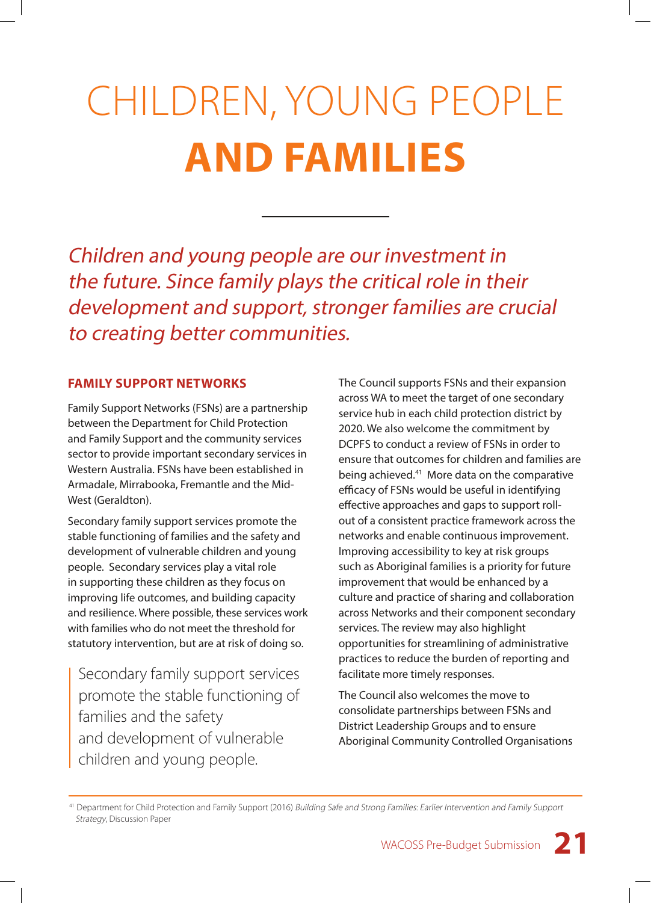# CHILDREN, YOUNG PEOPLE **AND FAMILIES**

Children and young people are our investment in the future. Since family plays the critical role in their development and support, stronger families are crucial to creating better communities.

#### **FAMILY SUPPORT NETWORKS**

Family Support Networks (FSNs) are a partnership between the Department for Child Protection and Family Support and the community services sector to provide important secondary services in Western Australia. FSNs have been established in Armadale, Mirrabooka, Fremantle and the Mid-West (Geraldton).

Secondary family support services promote the stable functioning of families and the safety and development of vulnerable children and young people. Secondary services play a vital role in supporting these children as they focus on improving life outcomes, and building capacity and resilience. Where possible, these services work with families who do not meet the threshold for statutory intervention, but are at risk of doing so.

Secondary family support services promote the stable functioning of families and the safety and development of vulnerable children and young people.

The Council supports FSNs and their expansion across WA to meet the target of one secondary service hub in each child protection district by 2020. We also welcome the commitment by DCPFS to conduct a review of FSNs in order to ensure that outcomes for children and families are being achieved.41 More data on the comparative efficacy of FSNs would be useful in identifying effective approaches and gaps to support rollout of a consistent practice framework across the networks and enable continuous improvement. Improving accessibility to key at risk groups such as Aboriginal families is a priority for future improvement that would be enhanced by a culture and practice of sharing and collaboration across Networks and their component secondary services. The review may also highlight opportunities for streamlining of administrative practices to reduce the burden of reporting and facilitate more timely responses.

The Council also welcomes the move to consolidate partnerships between FSNs and District Leadership Groups and to ensure Aboriginal Community Controlled Organisations

41 Department for Child Protection and Family Support (2016) Building Safe and Strong Families: Earlier Intervention and Family Support Strategy, Discussion Paper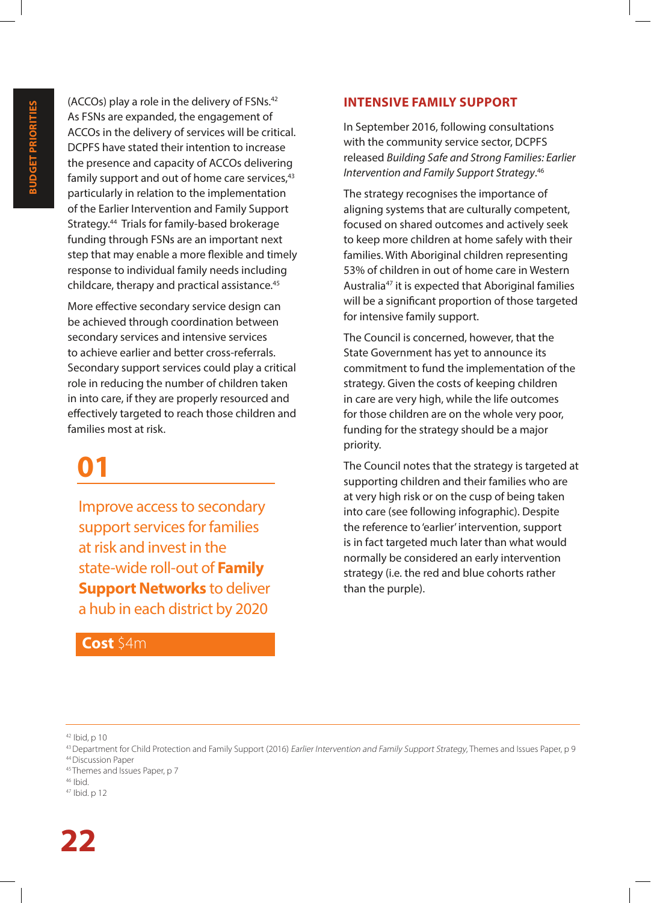(ACCOs) play a role in the delivery of FSNs.42 As FSNs are expanded, the engagement of ACCOs in the delivery of services will be critical. DCPFS have stated their intention to increase the presence and capacity of ACCOs delivering family support and out of home care services, $43$ particularly in relation to the implementation of the Earlier Intervention and Family Support Strategy.44 Trials for family-based brokerage funding through FSNs are an important next step that may enable a more flexible and timely response to individual family needs including childcare, therapy and practical assistance.45

More effective secondary service design can be achieved through coordination between secondary services and intensive services to achieve earlier and better cross-referrals. Secondary support services could play a critical role in reducing the number of children taken in into care, if they are properly resourced and effectively targeted to reach those children and families most at risk.

### **01**

Improve access to secondary support services for families at risk and invest in the state-wide roll-out of **Family Support Networks** to deliver a hub in each district by 2020

#### **Cost** \$4m

#### **INTENSIVE FAMILY SUPPORT**

In September 2016, following consultations with the community service sector, DCPFS released *Building Safe and Strong Families: Earlier Intervention and Family Support Strategy*. 46

The strategy recognises the importance of aligning systems that are culturally competent, focused on shared outcomes and actively seek to keep more children at home safely with their families. With Aboriginal children representing 53% of children in out of home care in Western Australia<sup>47</sup> it is expected that Aboriginal families will be a significant proportion of those targeted for intensive family support.

The Council is concerned, however, that the State Government has yet to announce its commitment to fund the implementation of the strategy. Given the costs of keeping children in care are very high, while the life outcomes for those children are on the whole very poor, funding for the strategy should be a major priority.

The Council notes that the strategy is targeted at supporting children and their families who are at very high risk or on the cusp of being taken into care (see following infographic). Despite the reference to 'earlier' intervention, support is in fact targeted much later than what would normally be considered an early intervention strategy (i.e. the red and blue cohorts rather than the purple).

- 45 Themes and Issues Paper, p 7
- $46$  Ibid.
- 47 Ibid. p 12

 $42$  Ibid, p 10

<sup>&</sup>lt;sup>43</sup> Department for Child Protection and Family Support (2016) *Earlier Intervention and Family Support Strategy*, Themes and Issues Paper, p 9 44 Discussion Paper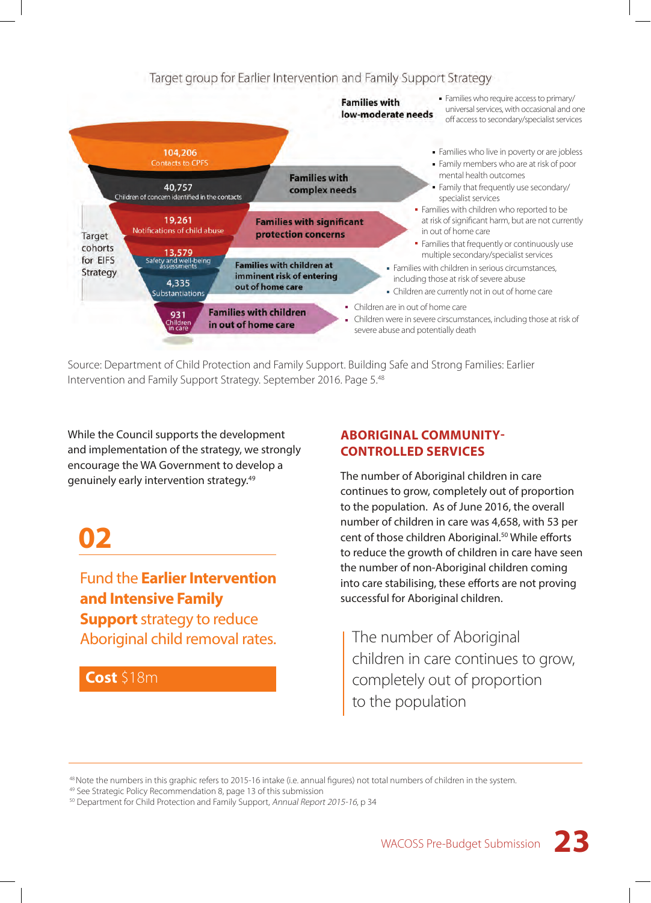#### Target group for Earlier Intervention and Family Support Strategy



Source: Department of Child Protection and Family Support. Building Safe and Strong Families: Earlier Intervention and Family Support Strategy. September 2016. Page 5.48

While the Council supports the development and implementation of the strategy, we strongly encourage the WA Government to develop a genuinely early intervention strategy.49

### **02**

Fund the **Earlier Intervention and Intensive Family Support** strategy to reduce Aboriginal child removal rates.

#### **Cost** \$18m

#### **ABORIGINAL COMMUNITY-CONTROLLED SERVICES**

The number of Aboriginal children in care continues to grow, completely out of proportion to the population. As of June 2016, the overall number of children in care was 4,658, with 53 per cent of those children Aboriginal.<sup>50</sup> While efforts to reduce the growth of children in care have seen the number of non-Aboriginal children coming into care stabilising, these efforts are not proving successful for Aboriginal children.

The number of Aboriginal children in care continues to grow, completely out of proportion to the population

<sup>48</sup> Note the numbers in this graphic refers to 2015-16 intake (i.e. annual figures) not total numbers of children in the system.

<sup>49</sup> See Strategic Policy Recommendation 8, page 13 of this submission

<sup>&</sup>lt;sup>50</sup> Department for Child Protection and Family Support, Annual Report 2015-16, p 34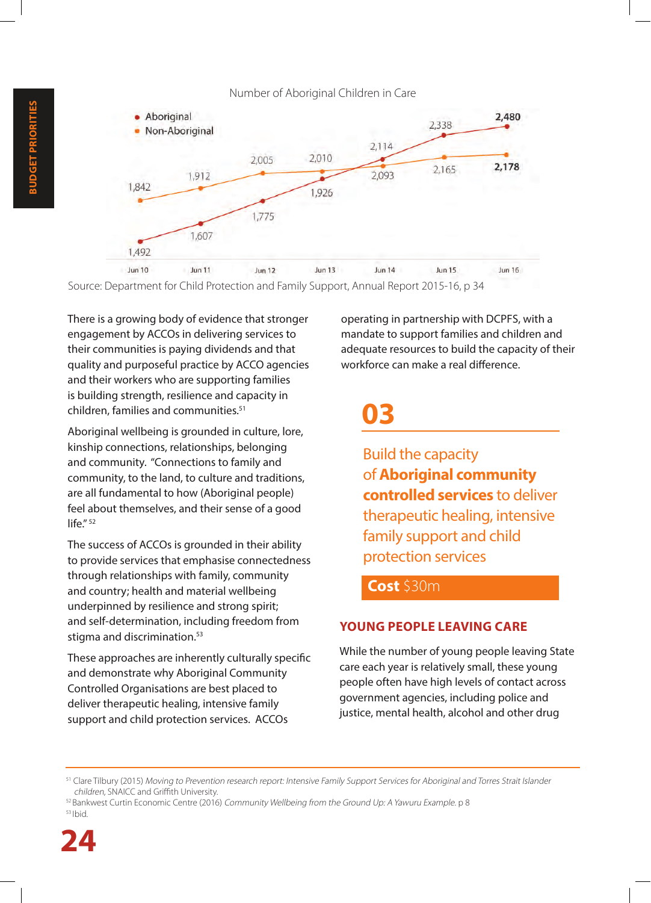

Source: Department for Child Protection and Family Support, Annual Report 2015-16, p 34

There is a growing body of evidence that stronger engagement by ACCOs in delivering services to their communities is paying dividends and that quality and purposeful practice by ACCO agencies and their workers who are supporting families is building strength, resilience and capacity in children, families and communities.51

Aboriginal wellbeing is grounded in culture, lore, kinship connections, relationships, belonging and community. "Connections to family and community, to the land, to culture and traditions, are all fundamental to how (Aboriginal people) feel about themselves, and their sense of a good  $l$ ife"<sup>52</sup>

The success of ACCOs is grounded in their ability to provide services that emphasise connectedness through relationships with family, community and country; health and material wellbeing underpinned by resilience and strong spirit; and self-determination, including freedom from stigma and discrimination.<sup>53</sup>

These approaches are inherently culturally specific and demonstrate why Aboriginal Community Controlled Organisations are best placed to deliver therapeutic healing, intensive family support and child protection services. ACCOs

operating in partnership with DCPFS, with a mandate to support families and children and adequate resources to build the capacity of their workforce can make a real difference.

### **03**

Build the capacity of **Aboriginal community controlled services** to deliver therapeutic healing, intensive family support and child protection services

#### **Cost** \$30m

#### **YOUNG PEOPLE LEAVING CARE**

While the number of young people leaving State care each year is relatively small, these young people often have high levels of contact across government agencies, including police and justice, mental health, alcohol and other drug

<sup>&</sup>lt;sup>51</sup> Clare Tilbury (2015) Moving to Prevention research report: Intensive Family Support Services for Aboriginal and Torres Strait Islander children, SNAICC and Griffith University.

 $52$  Bankwest Curtin Economic Centre (2016) Community Wellbeing from the Ground Up: A Yawuru Example. p 8  $53$  Ibid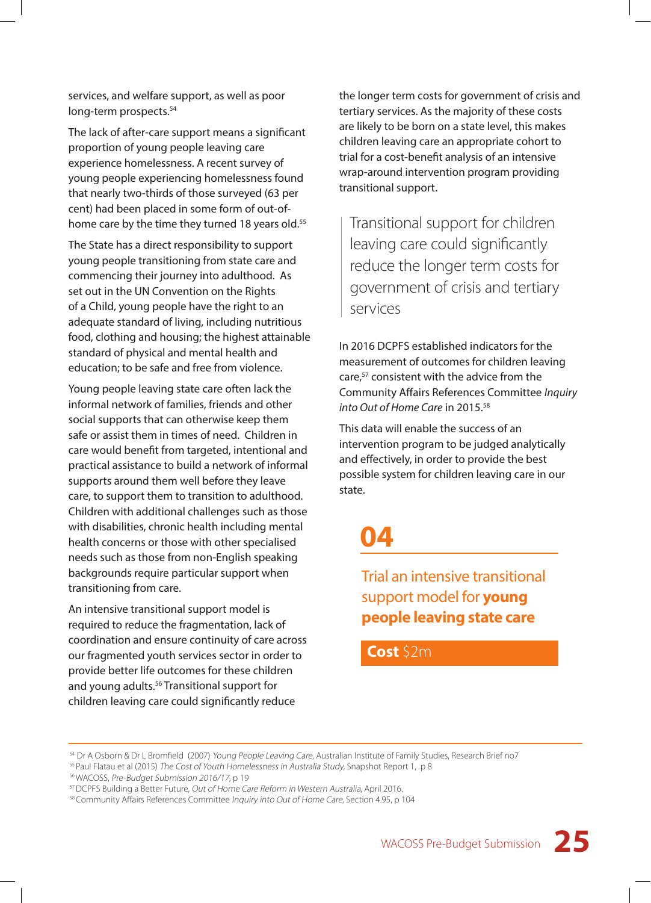services, and welfare support, as well as poor long-term prospects.<sup>54</sup>

The lack of after-care support means a significant proportion of young people leaving care experience homelessness. A recent survey of young people experiencing homelessness found that nearly two-thirds of those surveyed (63 per cent) had been placed in some form of out-ofhome care by the time they turned 18 years old.<sup>55</sup>

The State has a direct responsibility to support young people transitioning from state care and commencing their journey into adulthood. As set out in the UN Convention on the Rights of a Child, young people have the right to an adequate standard of living, including nutritious food, clothing and housing; the highest attainable standard of physical and mental health and education; to be safe and free from violence.

Young people leaving state care often lack the informal network of families, friends and other social supports that can otherwise keep them safe or assist them in times of need. Children in care would benefit from targeted, intentional and practical assistance to build a network of informal supports around them well before they leave care, to support them to transition to adulthood. Children with additional challenges such as those with disabilities, chronic health including mental health concerns or those with other specialised needs such as those from non-English speaking backgrounds require particular support when transitioning from care.

An intensive transitional support model is required to reduce the fragmentation, lack of coordination and ensure continuity of care across our fragmented youth services sector in order to provide better life outcomes for these children and young adults.<sup>56</sup> Transitional support for children leaving care could significantly reduce

the longer term costs for government of crisis and tertiary services. As the majority of these costs are likely to be born on a state level, this makes children leaving care an appropriate cohort to trial for a cost-benefit analysis of an intensive wrap-around intervention program providing transitional support.

Transitional support for children leaving care could significantly reduce the longer term costs for government of crisis and tertiary services

In 2016 DCPFS established indicators for the measurement of outcomes for children leaving care,<sup>57</sup> consistent with the advice from the Community Affairs References Committee *Inquiry into Out of Home Care* in 2015.58

This data will enable the success of an intervention program to be judged analytically and effectively, in order to provide the best possible system for children leaving care in our state.

### **04**

Trial an intensive transitional support model for **young people leaving state care**

**Cost** \$2m

<sup>54</sup> Dr A Osborn & Dr L Bromfield (2007) Young People Leaving Care, Australian Institute of Family Studies, Research Brief no7

<sup>55</sup> Paul Flatau et al (2015) The Cost of Youth Homelessness in Australia Study, Snapshot Report 1, p 8

<sup>56</sup> WACOSS, Pre-Budget Submission 2016/17, p 19

<sup>57</sup> DCPFS Building a Better Future, Out of Home Care Reform in Western Australia, April 2016.

<sup>&</sup>lt;sup>58</sup> Community Affairs References Committee Inquiry into Out of Home Care, Section 4.95, p 104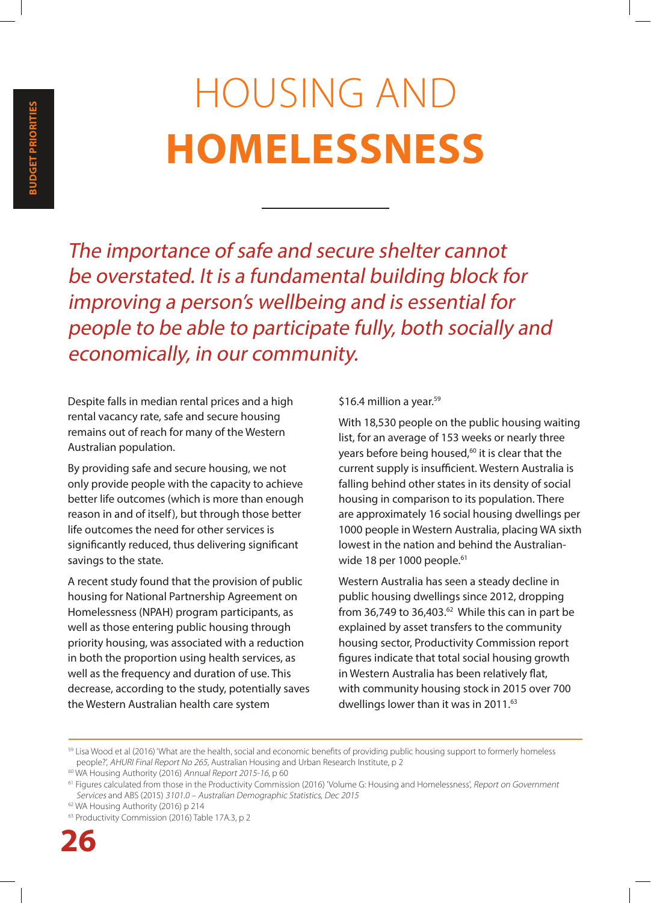# HOUSING AND **HOMELESSNESS**

The importance of safe and secure shelter cannot be overstated. It is a fundamental building block for improving a person's wellbeing and is essential for people to be able to participate fully, both socially and economically, in our community.

Despite falls in median rental prices and a high rental vacancy rate, safe and secure housing remains out of reach for many of the Western Australian population.

By providing safe and secure housing, we not only provide people with the capacity to achieve better life outcomes (which is more than enough reason in and of itself), but through those better life outcomes the need for other services is significantly reduced, thus delivering significant savings to the state.

A recent study found that the provision of public housing for National Partnership Agreement on Homelessness (NPAH) program participants, as well as those entering public housing through priority housing, was associated with a reduction in both the proportion using health services, as well as the frequency and duration of use. This decrease, according to the study, potentially saves the Western Australian health care system

#### \$16.4 million a year.<sup>59</sup>

With 18,530 people on the public housing waiting list, for an average of 153 weeks or nearly three years before being housed,<sup>60</sup> it is clear that the current supply is insufficient. Western Australia is falling behind other states in its density of social housing in comparison to its population. There are approximately 16 social housing dwellings per 1000 people in Western Australia, placing WA sixth lowest in the nation and behind the Australianwide 18 per 1000 people.<sup>61</sup>

Western Australia has seen a steady decline in public housing dwellings since 2012, dropping from 36,749 to 36,403. $62$  While this can in part be explained by asset transfers to the community housing sector, Productivity Commission report figures indicate that total social housing growth in Western Australia has been relatively flat, with community housing stock in 2015 over 700 dwellings lower than it was in 2011.<sup>63</sup>

<sup>&</sup>lt;sup>59</sup> Lisa Wood et al (2016) 'What are the health, social and economic benefits of providing public housing support to formerly homeless people?', AHURI Final Report No 265, Australian Housing and Urban Research Institute, p 2

<sup>&</sup>lt;sup>60</sup> WA Housing Authority (2016) Annual Report 2015-16, p 60

<sup>&</sup>lt;sup>61</sup> Figures calculated from those in the Productivity Commission (2016) 'Volume G: Housing and Homelessness', Report on Government Services and ABS (2015) 3101.0 – Australian Demographic Statistics, Dec 2015

<sup>62</sup> WA Housing Authority (2016) p 214

<sup>63</sup> Productivity Commission (2016) Table 17A.3, p 2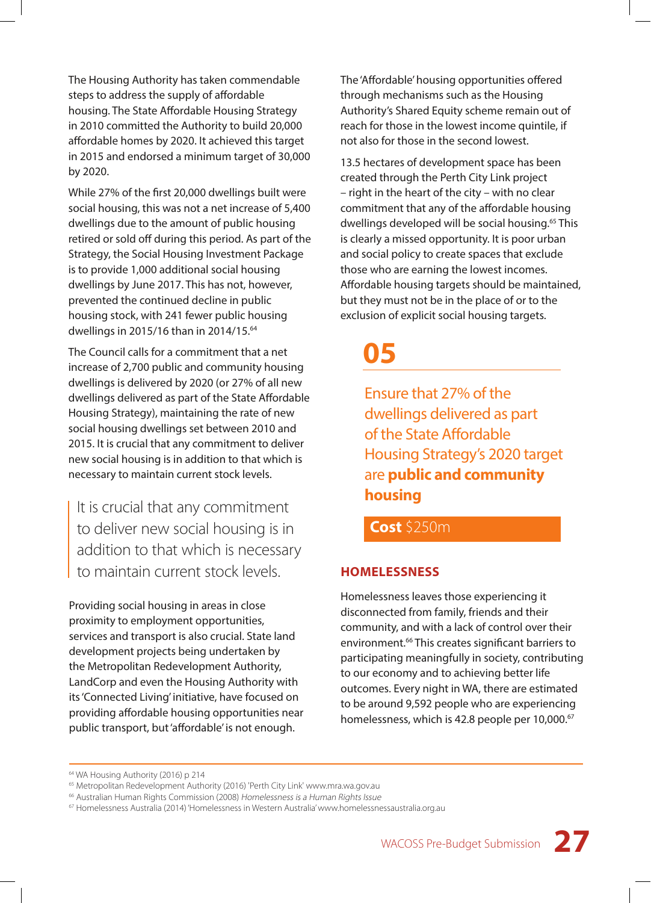The Housing Authority has taken commendable steps to address the supply of affordable housing. The State Affordable Housing Strategy in 2010 committed the Authority to build 20,000 affordable homes by 2020. It achieved this target in 2015 and endorsed a minimum target of 30,000 by 2020.

While 27% of the first 20,000 dwellings built were social housing, this was not a net increase of 5,400 dwellings due to the amount of public housing retired or sold off during this period. As part of the Strategy, the Social Housing Investment Package is to provide 1,000 additional social housing dwellings by June 2017. This has not, however, prevented the continued decline in public housing stock, with 241 fewer public housing dwellings in 2015/16 than in 2014/15.64

The Council calls for a commitment that a net increase of 2,700 public and community housing dwellings is delivered by 2020 (or 27% of all new dwellings delivered as part of the State Affordable Housing Strategy), maintaining the rate of new social housing dwellings set between 2010 and 2015. It is crucial that any commitment to deliver new social housing is in addition to that which is necessary to maintain current stock levels.

It is crucial that any commitment to deliver new social housing is in addition to that which is necessary to maintain current stock levels.

Providing social housing in areas in close proximity to employment opportunities, services and transport is also crucial. State land development projects being undertaken by the Metropolitan Redevelopment Authority, LandCorp and even the Housing Authority with its 'Connected Living' initiative, have focused on providing affordable housing opportunities near public transport, but 'affordable' is not enough.

The 'Affordable' housing opportunities offered through mechanisms such as the Housing Authority's Shared Equity scheme remain out of reach for those in the lowest income quintile, if not also for those in the second lowest.

13.5 hectares of development space has been created through the Perth City Link project – right in the heart of the city – with no clear commitment that any of the affordable housing dwellings developed will be social housing.<sup>65</sup> This is clearly a missed opportunity. It is poor urban and social policy to create spaces that exclude those who are earning the lowest incomes. Affordable housing targets should be maintained, but they must not be in the place of or to the exclusion of explicit social housing targets.

### **05**

Ensure that 27% of the dwellings delivered as part of the State Affordable Housing Strategy's 2020 target are **public and community housing**

**Cost** \$250m

#### **HOMELESSNESS**

Homelessness leaves those experiencing it disconnected from family, friends and their community, and with a lack of control over their environment.66 This creates significant barriers to participating meaningfully in society, contributing to our economy and to achieving better life outcomes. Every night in WA, there are estimated to be around 9,592 people who are experiencing homelessness, which is 42.8 people per 10,000.<sup>67</sup>

<sup>&</sup>lt;sup>64</sup> WA Housing Authority (2016) p 214

<sup>65</sup> Metropolitan Redevelopment Authority (2016) 'Perth City Link' www.mra.wa.gov.au

<sup>&</sup>lt;sup>66</sup> Australian Human Rights Commission (2008) Homelessness is a Human Rights Issue

<sup>67</sup> Homelessness Australia (2014) 'Homelessness in Western Australia' www.homelessnessaustralia.org.au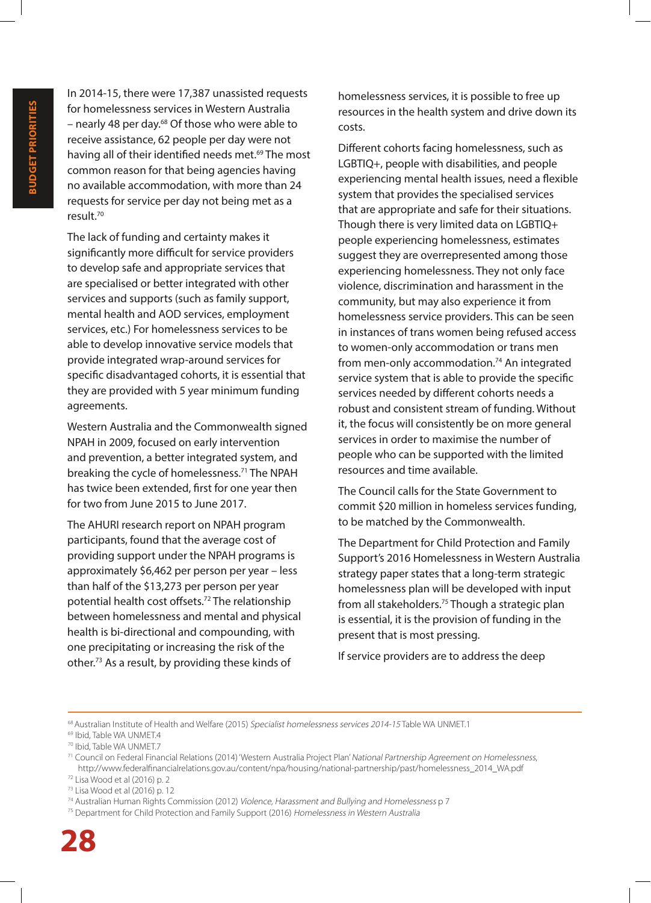In 2014-15, there were 17,387 unassisted requests for homelessness services in Western Australia – nearly 48 per day.<sup>68</sup> Of those who were able to receive assistance, 62 people per day were not having all of their identified needs met.<sup>69</sup> The most common reason for that being agencies having no available accommodation, with more than 24 requests for service per day not being met as a result.70

The lack of funding and certainty makes it significantly more difficult for service providers to develop safe and appropriate services that are specialised or better integrated with other services and supports (such as family support, mental health and AOD services, employment services, etc.) For homelessness services to be able to develop innovative service models that provide integrated wrap-around services for specific disadvantaged cohorts, it is essential that they are provided with 5 year minimum funding agreements.

Western Australia and the Commonwealth signed NPAH in 2009, focused on early intervention and prevention, a better integrated system, and breaking the cycle of homelessness.<sup>71</sup> The NPAH has twice been extended, first for one year then for two from June 2015 to June 2017.

The AHURI research report on NPAH program participants, found that the average cost of providing support under the NPAH programs is approximately \$6,462 per person per year – less than half of the \$13,273 per person per year potential health cost offsets.72 The relationship between homelessness and mental and physical health is bi-directional and compounding, with one precipitating or increasing the risk of the other.73 As a result, by providing these kinds of

homelessness services, it is possible to free up resources in the health system and drive down its costs.

Different cohorts facing homelessness, such as LGBTIQ+, people with disabilities, and people experiencing mental health issues, need a flexible system that provides the specialised services that are appropriate and safe for their situations. Though there is very limited data on LGBTIQ+ people experiencing homelessness, estimates suggest they are overrepresented among those experiencing homelessness. They not only face violence, discrimination and harassment in the community, but may also experience it from homelessness service providers. This can be seen in instances of trans women being refused access to women-only accommodation or trans men from men-only accommodation.<sup>74</sup> An integrated service system that is able to provide the specific services needed by different cohorts needs a robust and consistent stream of funding. Without it, the focus will consistently be on more general services in order to maximise the number of people who can be supported with the limited resources and time available.

The Council calls for the State Government to commit \$20 million in homeless services funding, to be matched by the Commonwealth.

The Department for Child Protection and Family Support's 2016 Homelessness in Western Australia strategy paper states that a long-term strategic homelessness plan will be developed with input from all stakeholders.75 Though a strategic plan is essential, it is the provision of funding in the present that is most pressing.

If service providers are to address the deep

<sup>&</sup>lt;sup>68</sup> Australian Institute of Health and Welfare (2015) Specialist homelessness services 2014-15 Table WA UNMET.1

<sup>69</sup> Ibid, Table WA UNMET.4

<sup>70</sup> Ibid, Table WA UNMET.7

<sup>71</sup> Council on Federal Financial Relations (2014) 'Western Australia Project Plan' National Partnership Agreement on Homelessness, http://www.federalfinancialrelations.gov.au/content/npa/housing/national-partnership/past/homelessness\_2014\_WA.pdf 72 Lisa Wood et al (2016) p. 2

<sup>73</sup> Lisa Wood et al (2016) p. 12

<sup>74</sup> Australian Human Rights Commission (2012) Violence, Harassment and Bullying and Homelessness p 7

<sup>75</sup> Department for Child Protection and Family Support (2016) Homelessness in Western Australia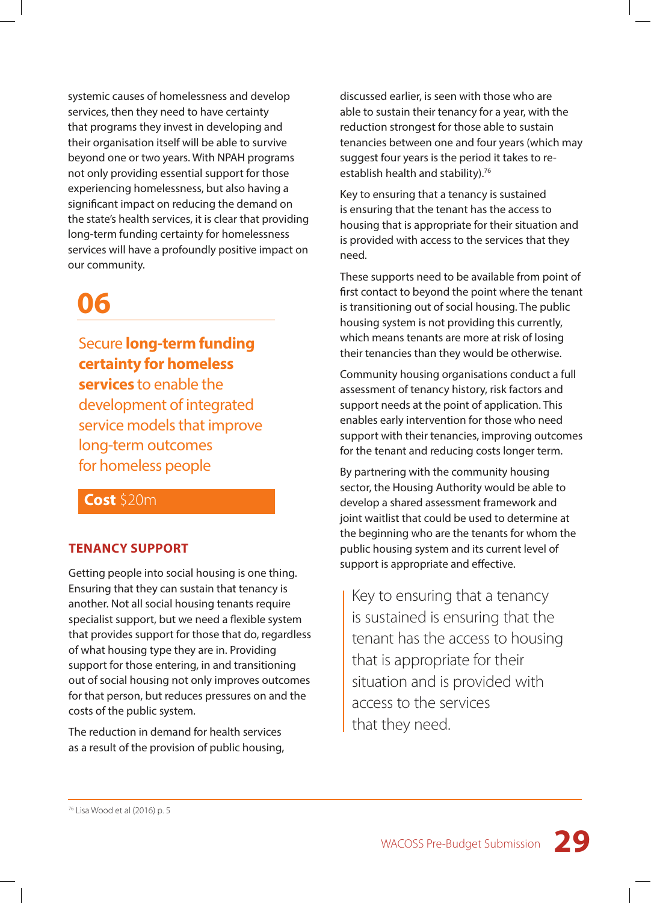systemic causes of homelessness and develop services, then they need to have certainty that programs they invest in developing and their organisation itself will be able to survive beyond one or two years. With NPAH programs not only providing essential support for those experiencing homelessness, but also having a significant impact on reducing the demand on the state's health services, it is clear that providing long-term funding certainty for homelessness services will have a profoundly positive impact on our community.

### **06**

Secure **long-term funding certainty for homeless services** to enable the development of integrated service models that improve long-term outcomes for homeless people

#### **Cost** \$20m

#### **TENANCY SUPPORT**

Getting people into social housing is one thing. Ensuring that they can sustain that tenancy is another. Not all social housing tenants require specialist support, but we need a flexible system that provides support for those that do, regardless of what housing type they are in. Providing support for those entering, in and transitioning out of social housing not only improves outcomes for that person, but reduces pressures on and the costs of the public system.

The reduction in demand for health services as a result of the provision of public housing, discussed earlier, is seen with those who are able to sustain their tenancy for a year, with the reduction strongest for those able to sustain tenancies between one and four years (which may suggest four years is the period it takes to reestablish health and stability).<sup>76</sup>

Key to ensuring that a tenancy is sustained is ensuring that the tenant has the access to housing that is appropriate for their situation and is provided with access to the services that they need.

These supports need to be available from point of first contact to beyond the point where the tenant is transitioning out of social housing. The public housing system is not providing this currently, which means tenants are more at risk of losing their tenancies than they would be otherwise.

Community housing organisations conduct a full assessment of tenancy history, risk factors and support needs at the point of application. This enables early intervention for those who need support with their tenancies, improving outcomes for the tenant and reducing costs longer term.

By partnering with the community housing sector, the Housing Authority would be able to develop a shared assessment framework and joint waitlist that could be used to determine at the beginning who are the tenants for whom the public housing system and its current level of support is appropriate and effective.

Key to ensuring that a tenancy is sustained is ensuring that the tenant has the access to housing that is appropriate for their situation and is provided with access to the services that they need.

76 Lisa Wood et al (2016) p. 5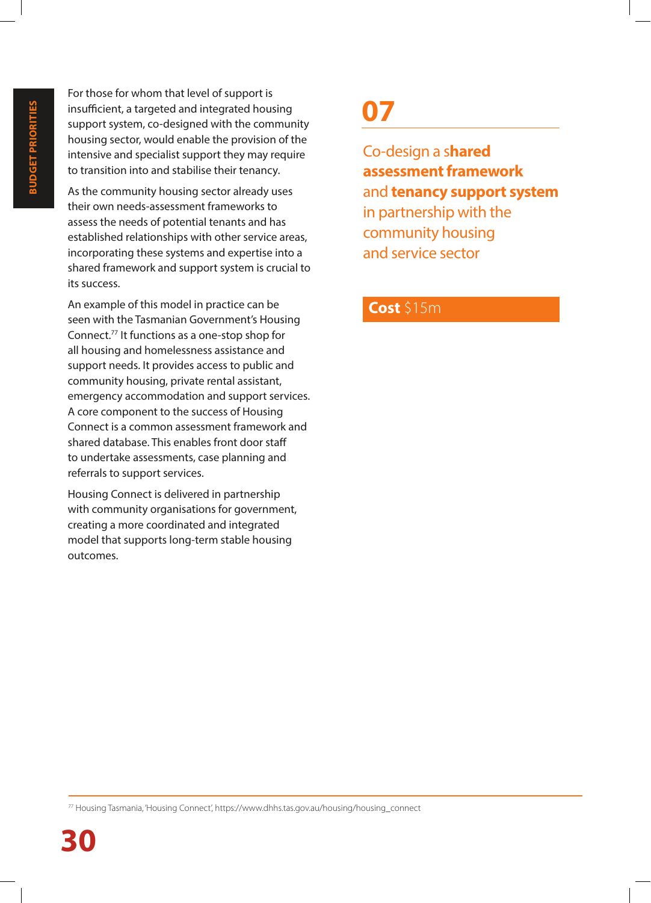For those for whom that level of support is insufficient, a targeted and integrated housing support system, co-designed with the community housing sector, would enable the provision of the intensive and specialist support they may require to transition into and stabilise their tenancy.

As the community housing sector already uses their own needs-assessment frameworks to assess the needs of potential tenants and has established relationships with other service areas, incorporating these systems and expertise into a shared framework and support system is crucial to its success.

An example of this model in practice can be seen with the Tasmanian Government's Housing Connect.77 It functions as a one-stop shop for all housing and homelessness assistance and support needs. It provides access to public and community housing, private rental assistant, emergency accommodation and support services. A core component to the success of Housing Connect is a common assessment framework and shared database. This enables front door staff to undertake assessments, case planning and referrals to support services.

Housing Connect is delivered in partnership with community organisations for government, creating a more coordinated and integrated model that supports long-term stable housing outcomes.

### **07**

Co-design a s**hared assessment framework** and **tenancy support system** in partnership with the community housing and service sector

#### **Cost** \$15m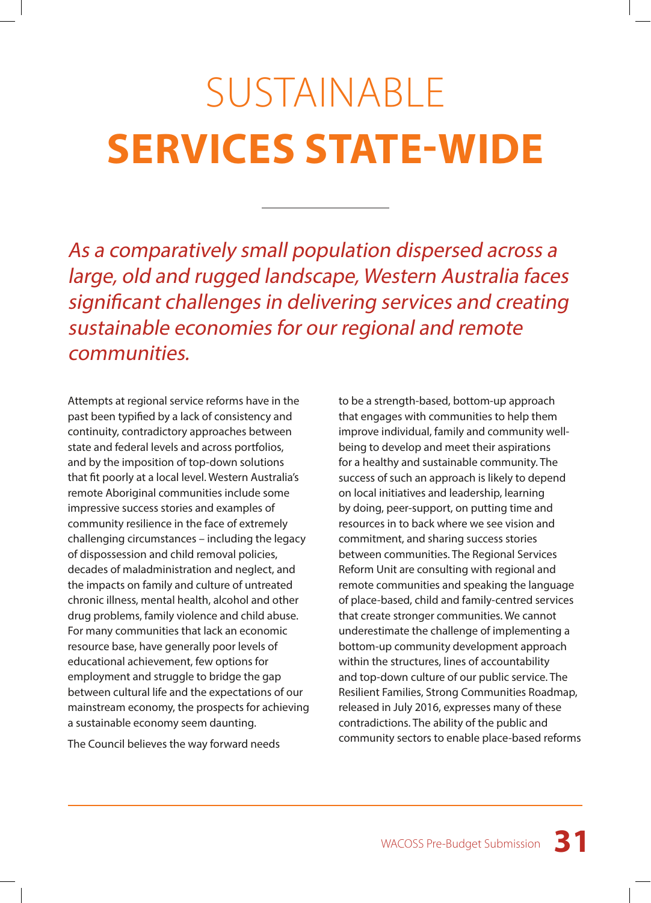# SUSTAINABLE **SERVICES STATE-WIDE**

As a comparatively small population dispersed across a large, old and rugged landscape, Western Australia faces significant challenges in delivering services and creating sustainable economies for our regional and remote communities.

Attempts at regional service reforms have in the past been typified by a lack of consistency and continuity, contradictory approaches between state and federal levels and across portfolios, and by the imposition of top-down solutions that fit poorly at a local level. Western Australia's remote Aboriginal communities include some impressive success stories and examples of community resilience in the face of extremely challenging circumstances – including the legacy of dispossession and child removal policies, decades of maladministration and neglect, and the impacts on family and culture of untreated chronic illness, mental health, alcohol and other drug problems, family violence and child abuse. For many communities that lack an economic resource base, have generally poor levels of educational achievement, few options for employment and struggle to bridge the gap between cultural life and the expectations of our mainstream economy, the prospects for achieving a sustainable economy seem daunting.

The Council believes the way forward needs

to be a strength-based, bottom-up approach that engages with communities to help them improve individual, family and community wellbeing to develop and meet their aspirations for a healthy and sustainable community. The success of such an approach is likely to depend on local initiatives and leadership, learning by doing, peer-support, on putting time and resources in to back where we see vision and commitment, and sharing success stories between communities. The Regional Services Reform Unit are consulting with regional and remote communities and speaking the language of place-based, child and family-centred services that create stronger communities. We cannot underestimate the challenge of implementing a bottom-up community development approach within the structures, lines of accountability and top-down culture of our public service. The Resilient Families, Strong Communities Roadmap, released in July 2016, expresses many of these contradictions. The ability of the public and community sectors to enable place-based reforms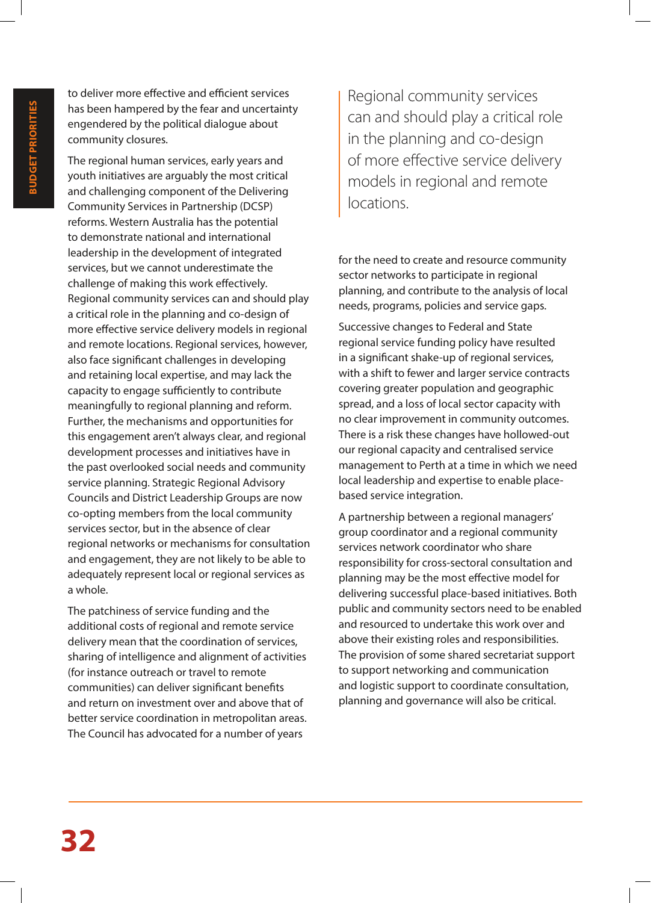to deliver more effective and efficient services has been hampered by the fear and uncertainty engendered by the political dialogue about community closures.

The regional human services, early years and youth initiatives are arguably the most critical and challenging component of the Delivering Community Services in Partnership (DCSP) reforms. Western Australia has the potential to demonstrate national and international leadership in the development of integrated services, but we cannot underestimate the challenge of making this work effectively. Regional community services can and should play a critical role in the planning and co-design of more effective service delivery models in regional and remote locations. Regional services, however, also face significant challenges in developing and retaining local expertise, and may lack the capacity to engage sufficiently to contribute meaningfully to regional planning and reform. Further, the mechanisms and opportunities for this engagement aren't always clear, and regional development processes and initiatives have in the past overlooked social needs and community service planning. Strategic Regional Advisory Councils and District Leadership Groups are now co-opting members from the local community services sector, but in the absence of clear regional networks or mechanisms for consultation and engagement, they are not likely to be able to adequately represent local or regional services as a whole.

The patchiness of service funding and the additional costs of regional and remote service delivery mean that the coordination of services, sharing of intelligence and alignment of activities (for instance outreach or travel to remote communities) can deliver significant benefits and return on investment over and above that of better service coordination in metropolitan areas. The Council has advocated for a number of years

Regional community services can and should play a critical role in the planning and co-design of more effective service delivery models in regional and remote locations.

for the need to create and resource community sector networks to participate in regional planning, and contribute to the analysis of local needs, programs, policies and service gaps.

Successive changes to Federal and State regional service funding policy have resulted in a significant shake-up of regional services, with a shift to fewer and larger service contracts covering greater population and geographic spread, and a loss of local sector capacity with no clear improvement in community outcomes. There is a risk these changes have hollowed-out our regional capacity and centralised service management to Perth at a time in which we need local leadership and expertise to enable placebased service integration.

A partnership between a regional managers' group coordinator and a regional community services network coordinator who share responsibility for cross-sectoral consultation and planning may be the most effective model for delivering successful place-based initiatives. Both public and community sectors need to be enabled and resourced to undertake this work over and above their existing roles and responsibilities. The provision of some shared secretariat support to support networking and communication and logistic support to coordinate consultation, planning and governance will also be critical.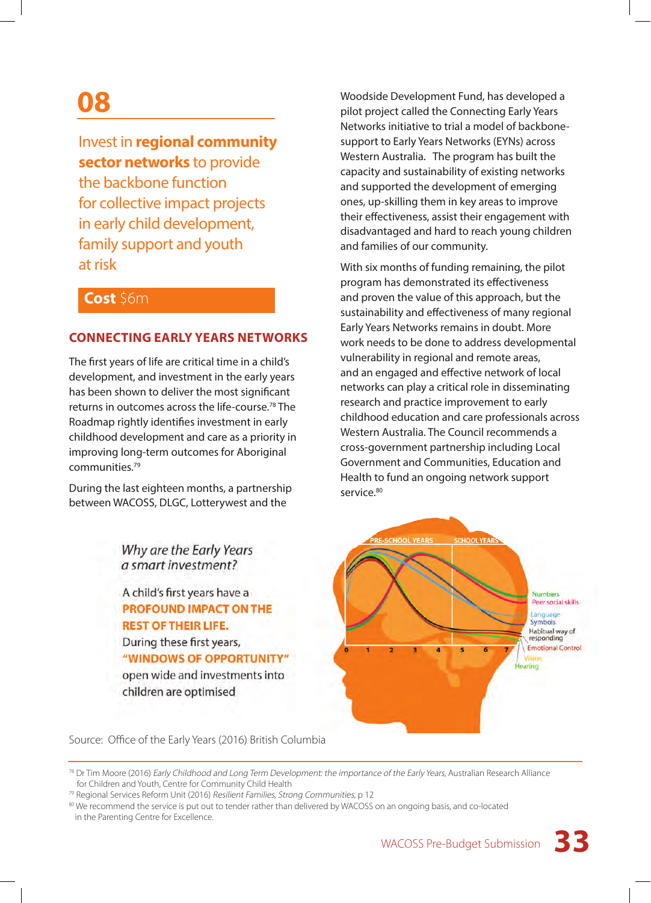### **08**

#### Invest in **regional community sector networks** to provide

the backbone function for collective impact projects in early child development, family support and youth at risk

#### **Cost** \$6m

#### **CONNECTING EARLY YEARS NETWORKS**

The first years of life are critical time in a child's development, and investment in the early years has been shown to deliver the most significant returns in outcomes across the life-course.78 The Roadmap rightly identifies investment in early childhood development and care as a priority in improving long-term outcomes for Aboriginal communities.79

During the last eighteen months, a partnership between WACOSS, DLGC, Lotterywest and the

> Why are the Early Years a smart investment?

A child's first years have a **PROFOUND IMPACT ON THE REST OF THEIR LIFE.** During these first years, "WINDOWS OF OPPORTUNITY" open wide and investments into children are optimised

Woodside Development Fund, has developed a pilot project called the Connecting Early Years Networks initiative to trial a model of backbonesupport to Early Years Networks (EYNs) across Western Australia. The program has built the capacity and sustainability of existing networks and supported the development of emerging ones, up-skilling them in key areas to improve their effectiveness, assist their engagement with disadvantaged and hard to reach young children and families of our community.

With six months of funding remaining, the pilot program has demonstrated its effectiveness and proven the value of this approach, but the sustainability and effectiveness of many regional Early Years Networks remains in doubt. More work needs to be done to address developmental vulnerability in regional and remote areas, and an engaged and effective network of local networks can play a critical role in disseminating research and practice improvement to early childhood education and care professionals across Western Australia. The Council recommends a cross-government partnership including Local Government and Communities, Education and Health to fund an ongoing network support service.<sup>80</sup>



Source: Office of the Early Years (2016) British Columbia

<sup>&</sup>lt;sup>78</sup> Dr Tim Moore (2016) Early Childhood and Long Term Development: the importance of the Early Years, Australian Research Alliance for Children and Youth, Centre for Community Child Health

<sup>&</sup>lt;sup>79</sup> Regional Services Reform Unit (2016) Resilient Families, Strong Communities, p 12

<sup>80</sup> We recommend the service is put out to tender rather than delivered by WACOSS on an ongoing basis, and co-located in the Parenting Centre for Excellence.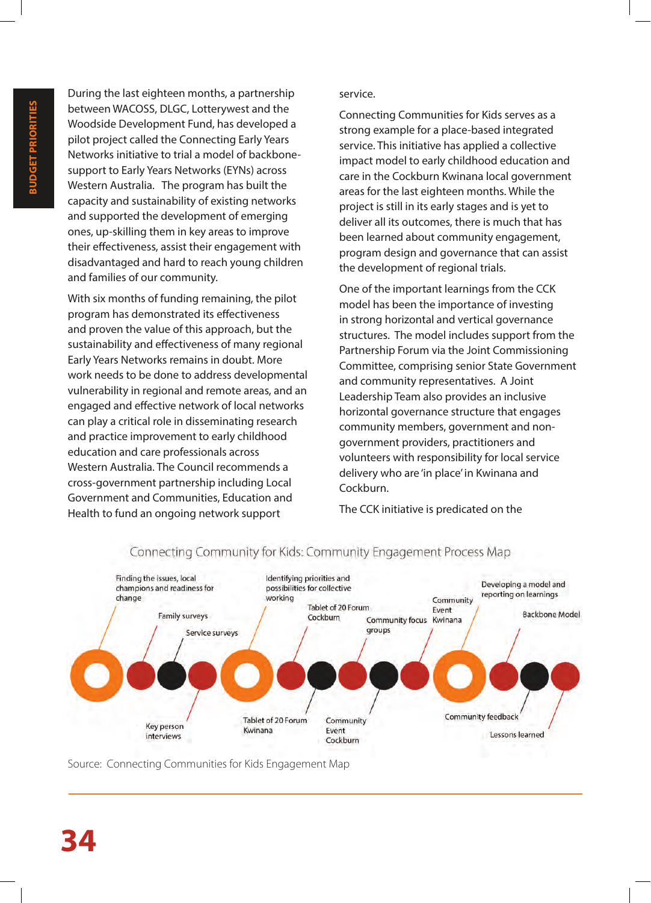During the last eighteen months, a partnership between WACOSS, DLGC, Lotterywest and the Woodside Development Fund, has developed a pilot project called the Connecting Early Years Networks initiative to trial a model of backbonesupport to Early Years Networks (EYNs) across Western Australia. The program has built the capacity and sustainability of existing networks and supported the development of emerging ones, up-skilling them in key areas to improve their effectiveness, assist their engagement with disadvantaged and hard to reach young children and families of our community.

With six months of funding remaining, the pilot program has demonstrated its effectiveness and proven the value of this approach, but the sustainability and effectiveness of many regional Early Years Networks remains in doubt. More work needs to be done to address developmental vulnerability in regional and remote areas, and an engaged and effective network of local networks can play a critical role in disseminating research and practice improvement to early childhood education and care professionals across Western Australia. The Council recommends a cross-government partnership including Local Government and Communities, Education and Health to fund an ongoing network support

#### service.

Connecting Communities for Kids serves as a strong example for a place-based integrated service. This initiative has applied a collective impact model to early childhood education and care in the Cockburn Kwinana local government areas for the last eighteen months. While the project is still in its early stages and is yet to deliver all its outcomes, there is much that has been learned about community engagement, program design and governance that can assist the development of regional trials.

One of the important learnings from the CCK model has been the importance of investing in strong horizontal and vertical governance structures. The model includes support from the Partnership Forum via the Joint Commissioning Committee, comprising senior State Government and community representatives. A Joint Leadership Team also provides an inclusive horizontal governance structure that engages community members, government and nongovernment providers, practitioners and volunteers with responsibility for local service delivery who are 'in place' in Kwinana and Cockburn.

The CCK initiative is predicated on the



#### Connecting Community for Kids: Community Engagement Process Map

Source: Connecting Communities for Kids Engagement Map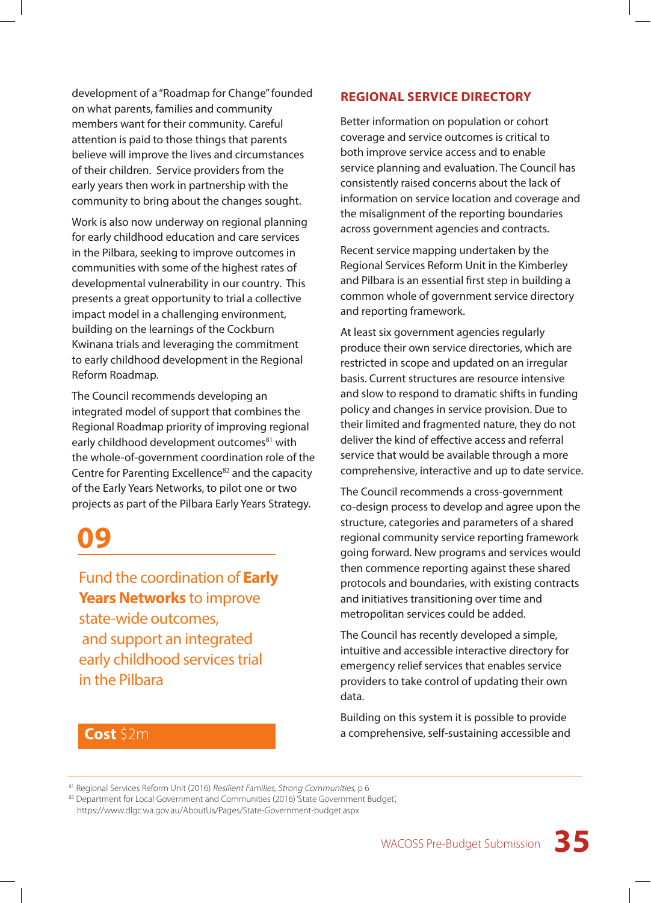development of a "Roadmap for Change" founded on what parents, families and community members want for their community. Careful attention is paid to those things that parents believe will improve the lives and circumstances of their children. Service providers from the early years then work in partnership with the community to bring about the changes sought.

Work is also now underway on regional planning for early childhood education and care services in the Pilbara, seeking to improve outcomes in communities with some of the highest rates of developmental vulnerability in our country. This presents a great opportunity to trial a collective impact model in a challenging environment, building on the learnings of the Cockburn Kwinana trials and leveraging the commitment to early childhood development in the Regional Reform Roadmap.

The Council recommends developing an integrated model of support that combines the Regional Roadmap priority of improving regional early childhood development outcomes<sup>81</sup> with the whole-of-government coordination role of the Centre for Parenting Excellence<sup>82</sup> and the capacity of the Early Years Networks, to pilot one or two projects as part of the Pilbara Early Years Strategy.

### **09**

Fund the coordination of **Early Years Networks** to improve state-wide outcomes, and support an integrated early childhood services trial in the Pilbara

#### **REGIONAL SERVICE DIRECTORY**

Better information on population or cohort coverage and service outcomes is critical to both improve service access and to enable service planning and evaluation. The Council has consistently raised concerns about the lack of information on service location and coverage and the misalignment of the reporting boundaries across government agencies and contracts.

Recent service mapping undertaken by the Regional Services Reform Unit in the Kimberley and Pilbara is an essential first step in building a common whole of government service directory and reporting framework.

At least six government agencies regularly produce their own service directories, which are restricted in scope and updated on an irregular basis. Current structures are resource intensive and slow to respond to dramatic shifts in funding policy and changes in service provision. Due to their limited and fragmented nature, they do not deliver the kind of effective access and referral service that would be available through a more comprehensive, interactive and up to date service.

The Council recommends a cross-government co-design process to develop and agree upon the structure, categories and parameters of a shared regional community service reporting framework going forward. New programs and services would then commence reporting against these shared protocols and boundaries, with existing contracts and initiatives transitioning over time and metropolitan services could be added.

The Council has recently developed a simple, intuitive and accessible interactive directory for emergency relief services that enables service providers to take control of updating their own data.

Building on this system it is possible to provide a comprehensive, self-sustaining accessible and

#### **Cost** \$2m

81 Regional Services Reform Unit (2016) Resilient Families, Strong Communities, p 6

82 Department for Local Government and Communities (2016) 'State Government Budget', https://www.dlgc.wa.gov.au/AboutUs/Pages/State-Government-budget.aspx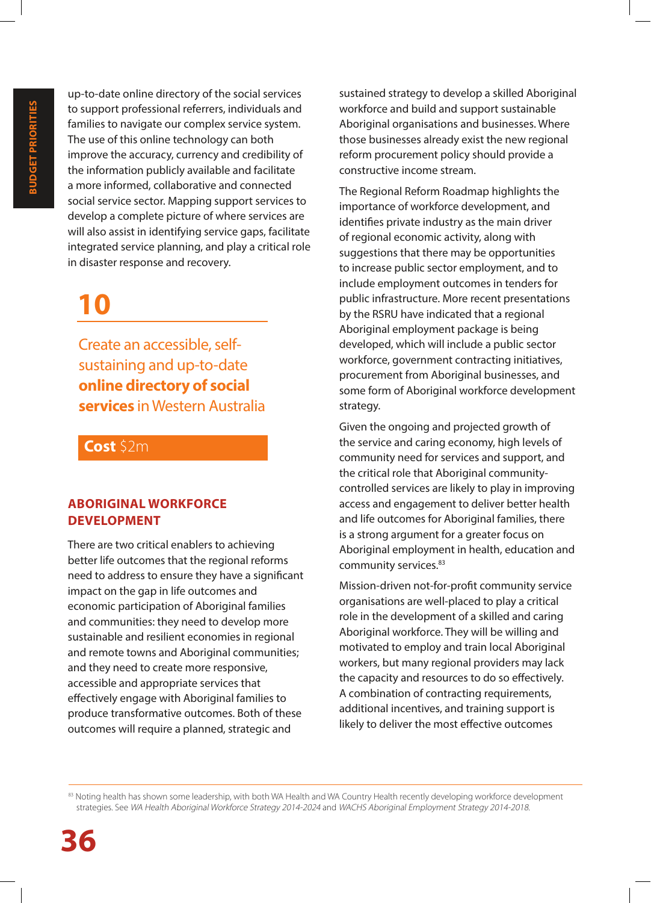up-to-date online directory of the social services to support professional referrers, individuals and families to navigate our complex service system. The use of this online technology can both improve the accuracy, currency and credibility of the information publicly available and facilitate a more informed, collaborative and connected social service sector. Mapping support services to develop a complete picture of where services are will also assist in identifying service gaps, facilitate integrated service planning, and play a critical role in disaster response and recovery.

### **10**

Create an accessible, selfsustaining and up-to-date **online directory of social services** in Western Australia

#### **Cost** \$2m

#### **ABORIGINAL WORKFORCE DEVELOPMENT**

There are two critical enablers to achieving better life outcomes that the regional reforms need to address to ensure they have a significant impact on the gap in life outcomes and economic participation of Aboriginal families and communities: they need to develop more sustainable and resilient economies in regional and remote towns and Aboriginal communities; and they need to create more responsive, accessible and appropriate services that effectively engage with Aboriginal families to produce transformative outcomes. Both of these outcomes will require a planned, strategic and

sustained strategy to develop a skilled Aboriginal workforce and build and support sustainable Aboriginal organisations and businesses. Where those businesses already exist the new regional reform procurement policy should provide a constructive income stream.

The Regional Reform Roadmap highlights the importance of workforce development, and identifies private industry as the main driver of regional economic activity, along with suggestions that there may be opportunities to increase public sector employment, and to include employment outcomes in tenders for public infrastructure. More recent presentations by the RSRU have indicated that a regional Aboriginal employment package is being developed, which will include a public sector workforce, government contracting initiatives, procurement from Aboriginal businesses, and some form of Aboriginal workforce development strategy.

Given the ongoing and projected growth of the service and caring economy, high levels of community need for services and support, and the critical role that Aboriginal communitycontrolled services are likely to play in improving access and engagement to deliver better health and life outcomes for Aboriginal families, there is a strong argument for a greater focus on Aboriginal employment in health, education and community services.<sup>83</sup>

Mission-driven not-for-profit community service organisations are well-placed to play a critical role in the development of a skilled and caring Aboriginal workforce. They will be willing and motivated to employ and train local Aboriginal workers, but many regional providers may lack the capacity and resources to do so effectively. A combination of contracting requirements, additional incentives, and training support is likely to deliver the most effective outcomes

<sup>83</sup> Noting health has shown some leadership, with both WA Health and WA Country Health recently developing workforce development strategies. See WA Health Aboriginal Workforce Strategy 2014-2024 and WACHS Aboriginal Employment Strategy 2014-2018.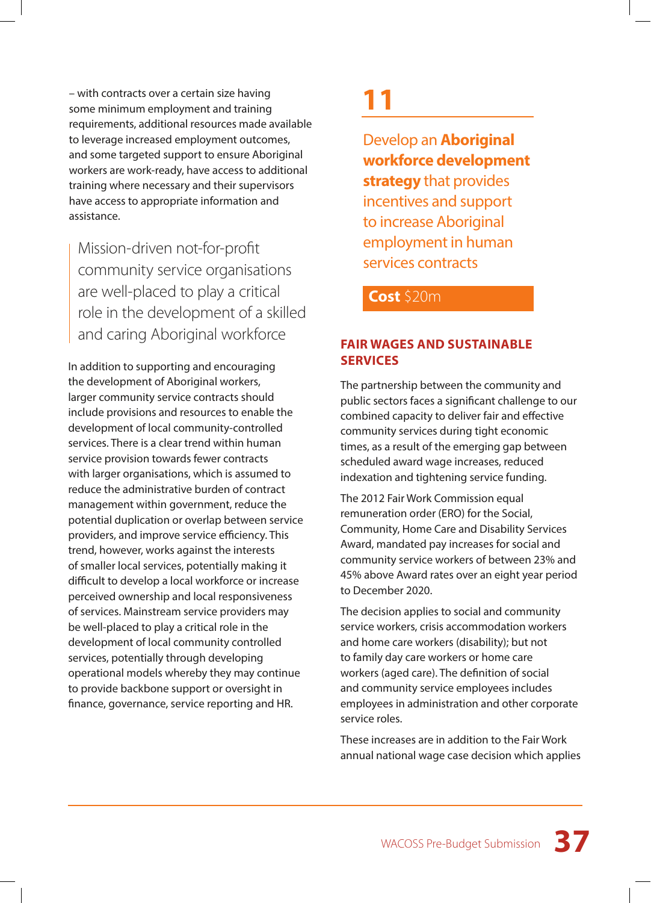– with contracts over a certain size having some minimum employment and training requirements, additional resources made available to leverage increased employment outcomes, and some targeted support to ensure Aboriginal workers are work-ready, have access to additional training where necessary and their supervisors have access to appropriate information and assistance.

Mission-driven not-for-profit community service organisations are well-placed to play a critical role in the development of a skilled and caring Aboriginal workforce

In addition to supporting and encouraging the development of Aboriginal workers, larger community service contracts should include provisions and resources to enable the development of local community-controlled services. There is a clear trend within human service provision towards fewer contracts with larger organisations, which is assumed to reduce the administrative burden of contract management within government, reduce the potential duplication or overlap between service providers, and improve service efficiency. This trend, however, works against the interests of smaller local services, potentially making it difficult to develop a local workforce or increase perceived ownership and local responsiveness of services. Mainstream service providers may be well-placed to play a critical role in the development of local community controlled services, potentially through developing operational models whereby they may continue to provide backbone support or oversight in finance, governance, service reporting and HR.

### **11**

Develop an **Aboriginal workforce development strategy** that provides incentives and support to increase Aboriginal employment in human services contracts

#### **Cost** \$20m

#### **FAIR WAGES AND SUSTAINABLE SERVICES**

The partnership between the community and public sectors faces a significant challenge to our combined capacity to deliver fair and effective community services during tight economic times, as a result of the emerging gap between scheduled award wage increases, reduced indexation and tightening service funding.

The 2012 Fair Work Commission equal remuneration order (ERO) for the Social, Community, Home Care and Disability Services Award, mandated pay increases for social and community service workers of between 23% and 45% above Award rates over an eight year period to December 2020.

The decision applies to social and community service workers, crisis accommodation workers and home care workers (disability); but not to family day care workers or home care workers (aged care). The definition of social and community service employees includes employees in administration and other corporate service roles.

These increases are in addition to the Fair Work annual national wage case decision which applies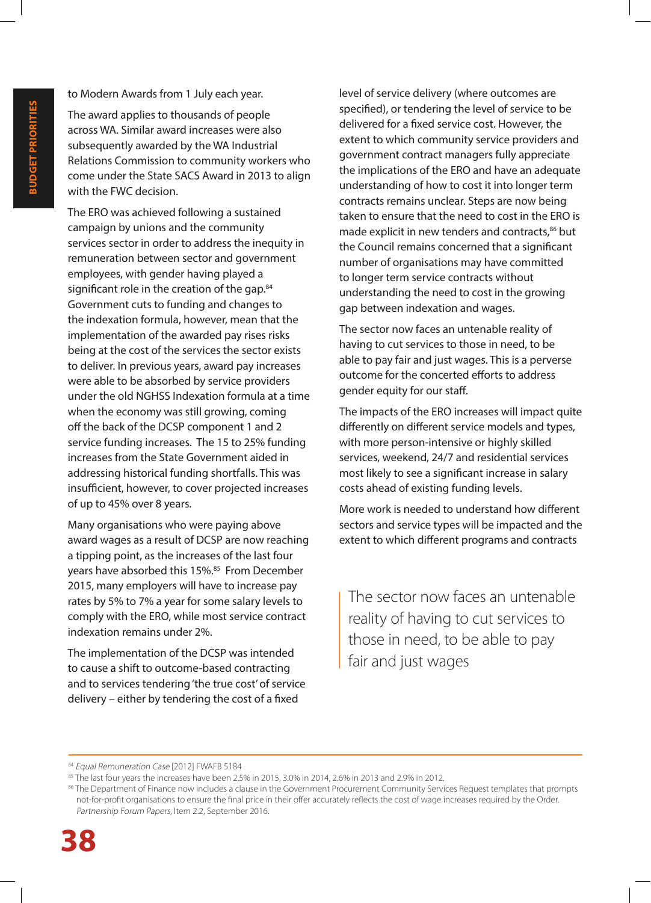to Modern Awards from 1 July each year.

The award applies to thousands of people across WA. Similar award increases were also subsequently awarded by the WA Industrial Relations Commission to community workers who come under the State SACS Award in 2013 to align with the FWC decision.

The ERO was achieved following a sustained campaign by unions and the community services sector in order to address the inequity in remuneration between sector and government employees, with gender having played a significant role in the creation of the gap.<sup>84</sup> Government cuts to funding and changes to the indexation formula, however, mean that the implementation of the awarded pay rises risks being at the cost of the services the sector exists to deliver. In previous years, award pay increases were able to be absorbed by service providers under the old NGHSS Indexation formula at a time when the economy was still growing, coming off the back of the DCSP component 1 and 2 service funding increases. The 15 to 25% funding increases from the State Government aided in addressing historical funding shortfalls. This was insufficient, however, to cover projected increases of up to 45% over 8 years.

Many organisations who were paying above award wages as a result of DCSP are now reaching a tipping point, as the increases of the last four years have absorbed this 15%.<sup>85</sup> From December 2015, many employers will have to increase pay rates by 5% to 7% a year for some salary levels to comply with the ERO, while most service contract indexation remains under 2%.

The implementation of the DCSP was intended to cause a shift to outcome-based contracting and to services tendering 'the true cost' of service delivery – either by tendering the cost of a fixed

level of service delivery (where outcomes are specified), or tendering the level of service to be delivered for a fixed service cost. However, the extent to which community service providers and government contract managers fully appreciate the implications of the ERO and have an adequate understanding of how to cost it into longer term contracts remains unclear. Steps are now being taken to ensure that the need to cost in the ERO is made explicit in new tenders and contracts,<sup>86</sup> but the Council remains concerned that a significant number of organisations may have committed to longer term service contracts without understanding the need to cost in the growing gap between indexation and wages.

The sector now faces an untenable reality of having to cut services to those in need, to be able to pay fair and just wages. This is a perverse outcome for the concerted efforts to address gender equity for our staff.

The impacts of the ERO increases will impact quite differently on different service models and types, with more person-intensive or highly skilled services, weekend, 24/7 and residential services most likely to see a significant increase in salary costs ahead of existing funding levels.

More work is needed to understand how different sectors and service types will be impacted and the extent to which different programs and contracts

The sector now faces an untenable reality of having to cut services to those in need, to be able to pay fair and just wages

<sup>84</sup> Equal Remuneration Case [2012] FWAFB 5184

<sup>85</sup> The last four years the increases have been 2.5% in 2015, 3.0% in 2014, 2.6% in 2013 and 2.9% in 2012.

<sup>86</sup> The Department of Finance now includes a clause in the Government Procurement Community Services Request templates that prompts not-for-profit organisations to ensure the final price in their offer accurately reflects the cost of wage increases required by the Order. Partnership Forum Papers, Item 2.2, September 2016.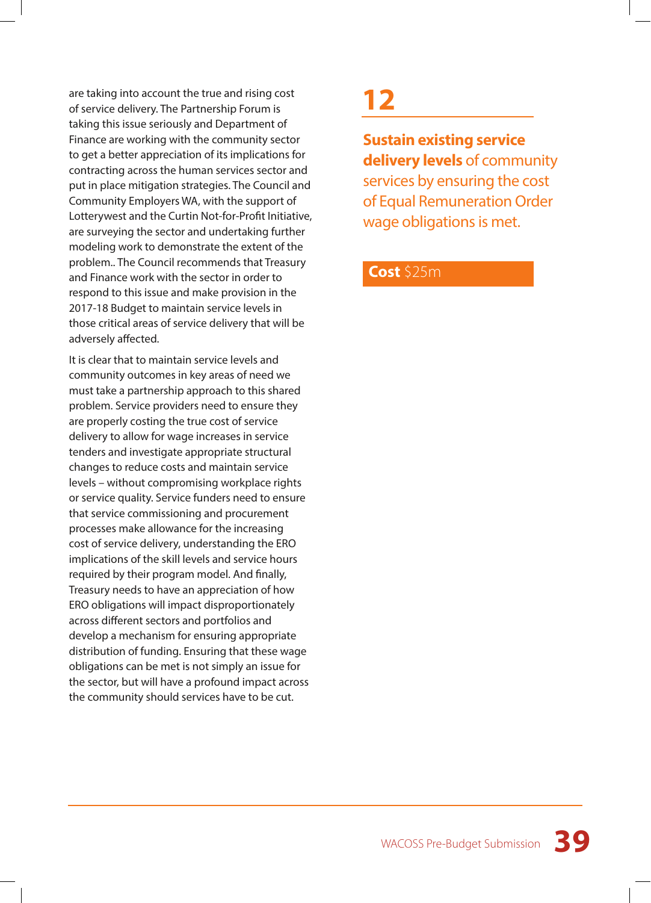are taking into account the true and rising cost of service delivery. The Partnership Forum is taking this issue seriously and Department of Finance are working with the community sector to get a better appreciation of its implications for contracting across the human services sector and put in place mitigation strategies. The Council and Community Employers WA, with the support of Lotterywest and the Curtin Not-for-Profit Initiative, are surveying the sector and undertaking further modeling work to demonstrate the extent of the problem.. The Council recommends that Treasury and Finance work with the sector in order to respond to this issue and make provision in the 2017-18 Budget to maintain service levels in those critical areas of service delivery that will be adversely affected.

It is clear that to maintain service levels and community outcomes in key areas of need we must take a partnership approach to this shared problem. Service providers need to ensure they are properly costing the true cost of service delivery to allow for wage increases in service tenders and investigate appropriate structural changes to reduce costs and maintain service levels – without compromising workplace rights or service quality. Service funders need to ensure that service commissioning and procurement processes make allowance for the increasing cost of service delivery, understanding the ERO implications of the skill levels and service hours required by their program model. And finally, Treasury needs to have an appreciation of how ERO obligations will impact disproportionately across different sectors and portfolios and develop a mechanism for ensuring appropriate distribution of funding. Ensuring that these wage obligations can be met is not simply an issue for the sector, but will have a profound impact across the community should services have to be cut.

### **12**

**Sustain existing service delivery levels** of community services by ensuring the cost of Equal Remuneration Order wage obligations is met.

#### **Cost** \$25m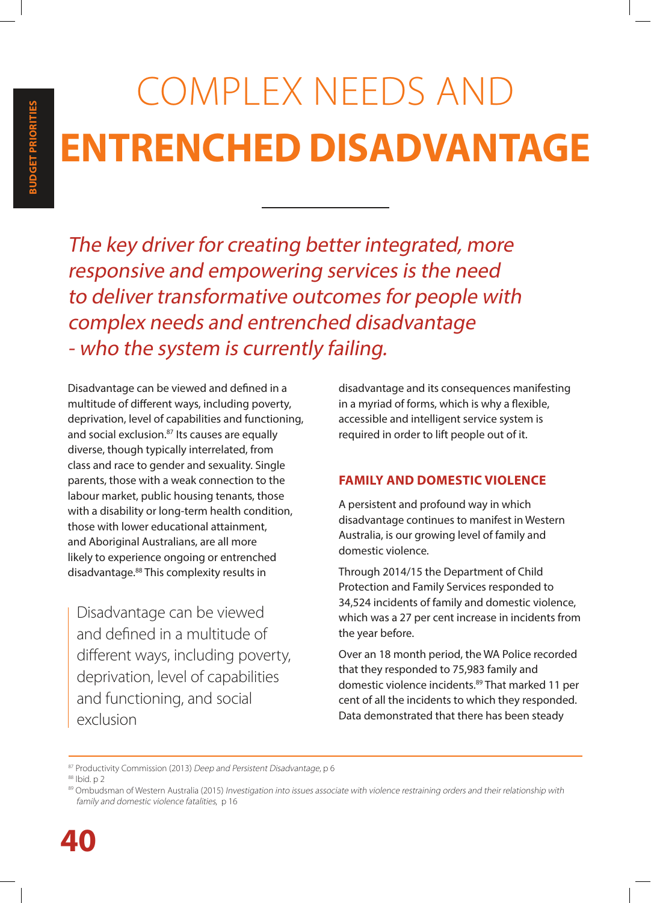# COMPLEX NEEDS AND **ENTRENCHED DISADVANTAGE**

The key driver for creating better integrated, more responsive and empowering services is the need to deliver transformative outcomes for people with complex needs and entrenched disadvantage - who the system is currently failing.

Disadvantage can be viewed and defined in a multitude of different ways, including poverty, deprivation, level of capabilities and functioning, and social exclusion.<sup>87</sup> Its causes are equally diverse, though typically interrelated, from class and race to gender and sexuality. Single parents, those with a weak connection to the labour market, public housing tenants, those with a disability or long-term health condition, those with lower educational attainment, and Aboriginal Australians, are all more likely to experience ongoing or entrenched disadvantage.88 This complexity results in

Disadvantage can be viewed and defined in a multitude of different ways, including poverty, deprivation, level of capabilities and functioning, and social exclusion

disadvantage and its consequences manifesting in a myriad of forms, which is why a flexible, accessible and intelligent service system is required in order to lift people out of it.

#### **FAMILY AND DOMESTIC VIOLENCE**

A persistent and profound way in which disadvantage continues to manifest in Western Australia, is our growing level of family and domestic violence.

Through 2014/15 the Department of Child Protection and Family Services responded to 34,524 incidents of family and domestic violence, which was a 27 per cent increase in incidents from the year before.

Over an 18 month period, the WA Police recorded that they responded to 75,983 family and domestic violence incidents.89 That marked 11 per cent of all the incidents to which they responded. Data demonstrated that there has been steady

87 Productivity Commission (2013) Deep and Persistent Disadvantage, p 6

88 Ibid. p 2

<sup>89</sup> Ombudsman of Western Australia (2015) Investigation into issues associate with violence restraining orders and their relationship with family and domestic violence fatalities, p 16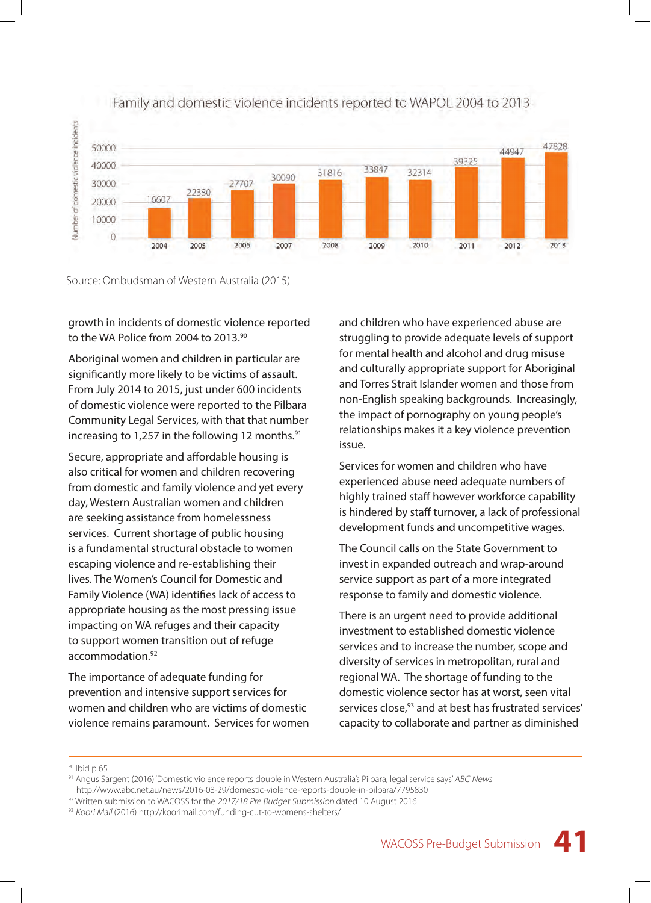

#### Family and domestic violence incidents reported to WAPOL 2004 to 2013

#### Source: Ombudsman of Western Australia (2015)

growth in incidents of domestic violence reported to the WA Police from 2004 to 2013.<sup>90</sup>

Aboriginal women and children in particular are significantly more likely to be victims of assault. From July 2014 to 2015, just under 600 incidents of domestic violence were reported to the Pilbara Community Legal Services, with that that number increasing to 1,257 in the following 12 months.<sup>91</sup>

Secure, appropriate and affordable housing is also critical for women and children recovering from domestic and family violence and yet every day, Western Australian women and children are seeking assistance from homelessness services. Current shortage of public housing is a fundamental structural obstacle to women escaping violence and re-establishing their lives. The Women's Council for Domestic and Family Violence (WA) identifies lack of access to appropriate housing as the most pressing issue impacting on WA refuges and their capacity to support women transition out of refuge accommodation.<sup>92</sup>

The importance of adequate funding for prevention and intensive support services for women and children who are victims of domestic violence remains paramount. Services for women and children who have experienced abuse are struggling to provide adequate levels of support for mental health and alcohol and drug misuse and culturally appropriate support for Aboriginal and Torres Strait Islander women and those from non-English speaking backgrounds. Increasingly, the impact of pornography on young people's relationships makes it a key violence prevention issue.

Services for women and children who have experienced abuse need adequate numbers of highly trained staff however workforce capability is hindered by staff turnover, a lack of professional development funds and uncompetitive wages.

The Council calls on the State Government to invest in expanded outreach and wrap-around service support as part of a more integrated response to family and domestic violence.

There is an urgent need to provide additional investment to established domestic violence services and to increase the number, scope and diversity of services in metropolitan, rural and regional WA. The shortage of funding to the domestic violence sector has at worst, seen vital services close,<sup>93</sup> and at best has frustrated services' capacity to collaborate and partner as diminished

<sup>90</sup> Ibid p 65

<sup>91</sup> Angus Sargent (2016) 'Domestic violence reports double in Western Australia's Pilbara, legal service says' ABC News

http://www.abc.net.au/news/2016-08-29/domestic-violence-reports-double-in-pilbara/7795830

 $92$  Written submission to WACOSS for the 2017/18 Pre Budget Submission dated 10 August 2016

<sup>93</sup> Koori Mail (2016) http://koorimail.com/funding-cut-to-womens-shelters/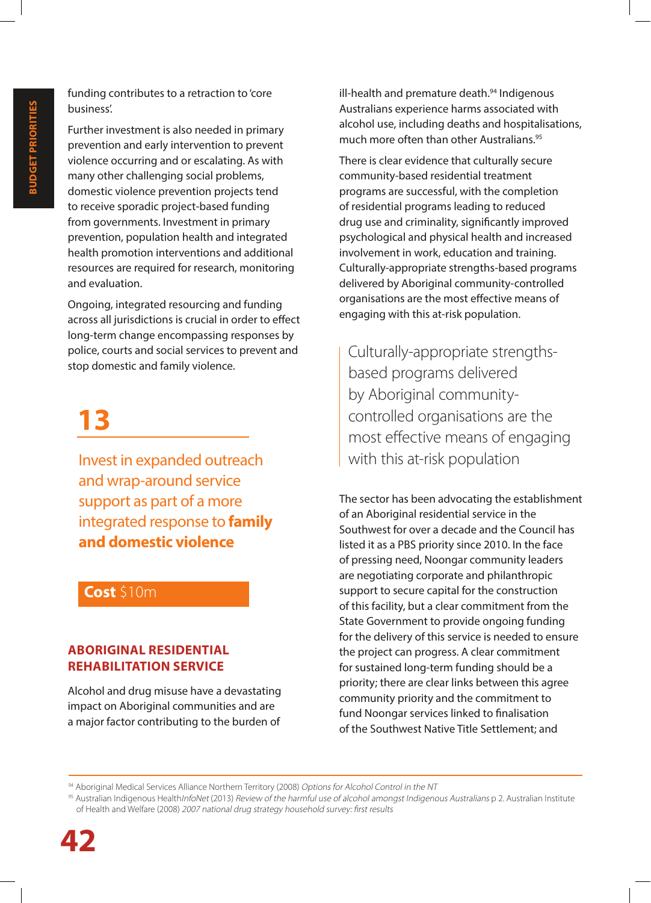funding contributes to a retraction to 'core business'.

Further investment is also needed in primary prevention and early intervention to prevent violence occurring and or escalating. As with many other challenging social problems, domestic violence prevention projects tend to receive sporadic project-based funding from governments. Investment in primary prevention, population health and integrated health promotion interventions and additional resources are required for research, monitoring and evaluation.

Ongoing, integrated resourcing and funding across all jurisdictions is crucial in order to effect long-term change encompassing responses by police, courts and social services to prevent and stop domestic and family violence.

### **13**

Invest in expanded outreach and wrap-around service support as part of a more integrated response to **family and domestic violence**

#### **Cost** \$10m

#### **ABORIGINAL RESIDENTIAL REHABILITATION SERVICE**

Alcohol and drug misuse have a devastating impact on Aboriginal communities and are a major factor contributing to the burden of

ill-health and premature death.<sup>94</sup> Indigenous Australians experience harms associated with alcohol use, including deaths and hospitalisations, much more often than other Australians.<sup>95</sup>

There is clear evidence that culturally secure community-based residential treatment programs are successful, with the completion of residential programs leading to reduced drug use and criminality, significantly improved psychological and physical health and increased involvement in work, education and training. Culturally-appropriate strengths-based programs delivered by Aboriginal community-controlled organisations are the most effective means of engaging with this at-risk population.

Culturally-appropriate strengthsbased programs delivered by Aboriginal communitycontrolled organisations are the most effective means of engaging with this at-risk population

The sector has been advocating the establishment of an Aboriginal residential service in the Southwest for over a decade and the Council has listed it as a PBS priority since 2010. In the face of pressing need, Noongar community leaders are negotiating corporate and philanthropic support to secure capital for the construction of this facility, but a clear commitment from the State Government to provide ongoing funding for the delivery of this service is needed to ensure the project can progress. A clear commitment for sustained long-term funding should be a priority; there are clear links between this agree community priority and the commitment to fund Noongar services linked to finalisation of the Southwest Native Title Settlement; and

94 Aboriginal Medical Services Alliance Northern Territory (2008) Options for Alcohol Control in the NT

<sup>95</sup> Australian Indigenous Health/nfoNet (2013) Review of the harmful use of alcohol amongst Indigenous Australians p 2. Australian Institute of Health and Welfare (2008) 2007 national drug strategy household survey: first results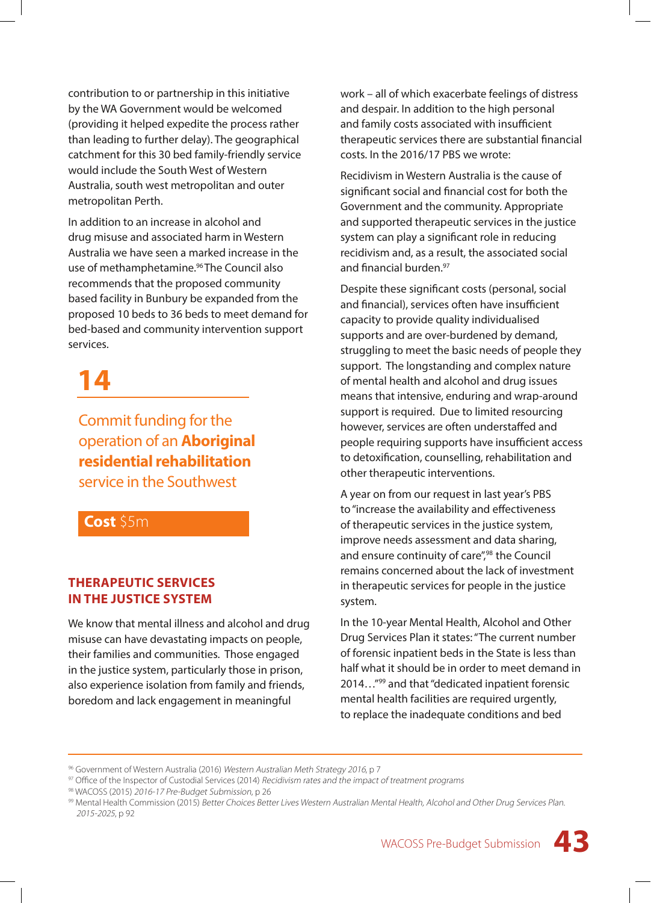contribution to or partnership in this initiative by the WA Government would be welcomed (providing it helped expedite the process rather than leading to further delay). The geographical catchment for this 30 bed family-friendly service would include the South West of Western Australia, south west metropolitan and outer metropolitan Perth.

In addition to an increase in alcohol and drug misuse and associated harm in Western Australia we have seen a marked increase in the use of methamphetamine.<sup>96</sup> The Council also recommends that the proposed community based facility in Bunbury be expanded from the proposed 10 beds to 36 beds to meet demand for bed-based and community intervention support services.

### **14**

Commit funding for the operation of an **Aboriginal residential rehabilitation** service in the Southwest

#### **Cost** \$5m

#### **THERAPEUTIC SERVICES IN THE JUSTICE SYSTEM**

We know that mental illness and alcohol and drug misuse can have devastating impacts on people, their families and communities. Those engaged in the justice system, particularly those in prison, also experience isolation from family and friends, boredom and lack engagement in meaningful

work – all of which exacerbate feelings of distress and despair. In addition to the high personal and family costs associated with insufficient therapeutic services there are substantial financial costs. In the 2016/17 PBS we wrote:

Recidivism in Western Australia is the cause of significant social and financial cost for both the Government and the community. Appropriate and supported therapeutic services in the justice system can play a significant role in reducing recidivism and, as a result, the associated social and financial burden.97

Despite these significant costs (personal, social and financial), services often have insufficient capacity to provide quality individualised supports and are over-burdened by demand, struggling to meet the basic needs of people they support. The longstanding and complex nature of mental health and alcohol and drug issues means that intensive, enduring and wrap-around support is required. Due to limited resourcing however, services are often understaffed and people requiring supports have insufficient access to detoxification, counselling, rehabilitation and other therapeutic interventions.

A year on from our request in last year's PBS to "increase the availability and effectiveness of therapeutic services in the justice system, improve needs assessment and data sharing, and ensure continuity of care",<sup>98</sup> the Council remains concerned about the lack of investment in therapeutic services for people in the justice system.

In the 10-year Mental Health, Alcohol and Other Drug Services Plan it states: "The current number of forensic inpatient beds in the State is less than half what it should be in order to meet demand in 2014…"99 and that "dedicated inpatient forensic mental health facilities are required urgently, to replace the inadequate conditions and bed

<sup>&</sup>lt;sup>96</sup> Government of Western Australia (2016) Western Australian Meth Strategy 2016, p 7<br><sup>97</sup> Office of the Inspector of Custodial Services (2014) Recidivism rates and the impact of treatment programs

<sup>98</sup> WACOSS (2015) 2016-17 Pre-Budget Submission, p 26

<sup>99</sup> Mental Health Commission (2015) Better Choices Better Lives Western Australian Mental Health, Alcohol and Other Drug Services Plan. 2015-2025, p 92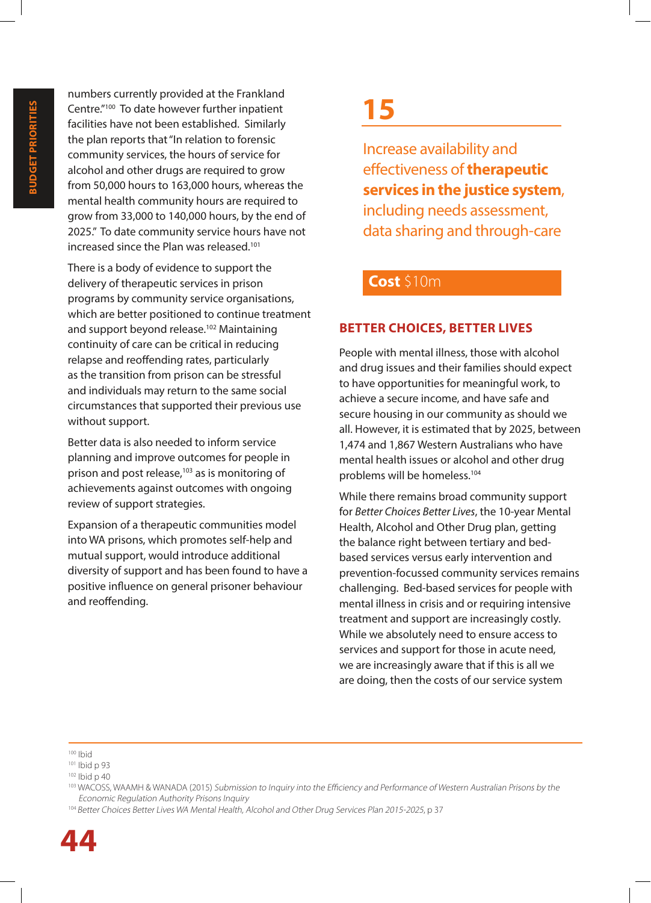numbers currently provided at the Frankland Centre."100 To date however further inpatient facilities have not been established. Similarly the plan reports that "In relation to forensic community services, the hours of service for alcohol and other drugs are required to grow from 50,000 hours to 163,000 hours, whereas the mental health community hours are required to grow from 33,000 to 140,000 hours, by the end of 2025." To date community service hours have not increased since the Plan was released.<sup>101</sup>

There is a body of evidence to support the delivery of therapeutic services in prison programs by community service organisations, which are better positioned to continue treatment and support beyond release.<sup>102</sup> Maintaining continuity of care can be critical in reducing relapse and reoffending rates, particularly as the transition from prison can be stressful and individuals may return to the same social circumstances that supported their previous use without support.

Better data is also needed to inform service planning and improve outcomes for people in prison and post release,<sup>103</sup> as is monitoring of achievements against outcomes with ongoing review of support strategies.

Expansion of a therapeutic communities model into WA prisons, which promotes self-help and mutual support, would introduce additional diversity of support and has been found to have a positive influence on general prisoner behaviour and reoffending.

### **15**

Increase availability and effectiveness of **therapeutic services in the justice system**, including needs assessment, data sharing and through-care

#### **Cost** \$10m

#### **BETTER CHOICES, BETTER LIVES**

People with mental illness, those with alcohol and drug issues and their families should expect to have opportunities for meaningful work, to achieve a secure income, and have safe and secure housing in our community as should we all. However, it is estimated that by 2025, between 1,474 and 1,867 Western Australians who have mental health issues or alcohol and other drug problems will be homeless.104

While there remains broad community support for *Better Choices Better Lives*, the 10-year Mental Health, Alcohol and Other Drug plan, getting the balance right between tertiary and bedbased services versus early intervention and prevention-focussed community services remains challenging. Bed-based services for people with mental illness in crisis and or requiring intensive treatment and support are increasingly costly. While we absolutely need to ensure access to services and support for those in acute need, we are increasingly aware that if this is all we are doing, then the costs of our service system

 $100$  Ibid

<sup>101</sup> Ibid p 93

<sup>102</sup> Ibid p 40

<sup>103</sup> WACOSS, WAAMH & WANADA (2015) Submission to Inquiry into the Efficiency and Performance of Western Australian Prisons by the Economic Regulation Authority Prisons Inquiry

<sup>104</sup> Better Choices Better Lives WA Mental Health, Alcohol and Other Drug Services Plan 2015-2025, p 37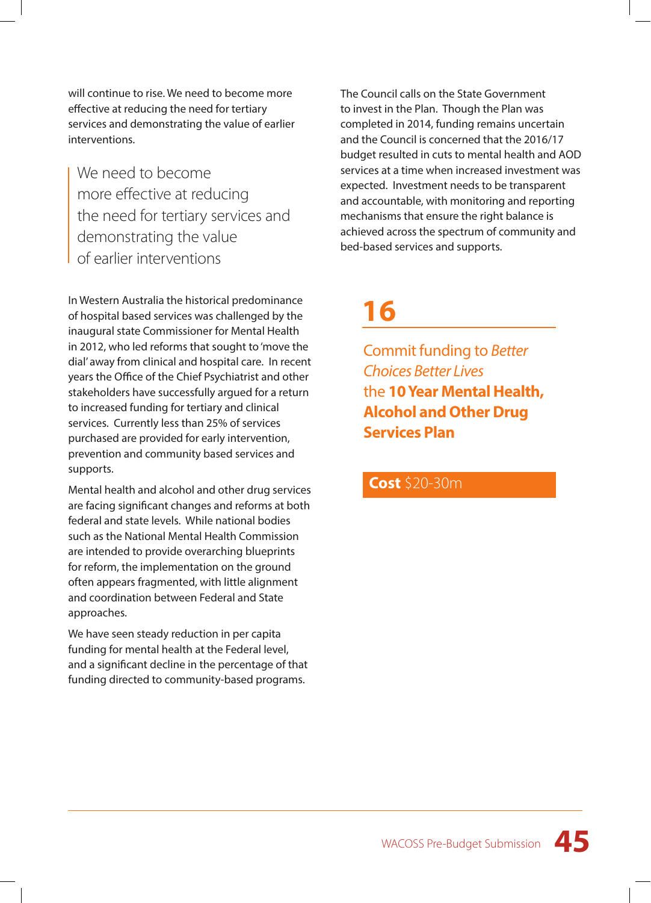will continue to rise. We need to become more effective at reducing the need for tertiary services and demonstrating the value of earlier interventions.

We need to become more effective at reducing the need for tertiary services and demonstrating the value of earlier interventions

In Western Australia the historical predominance of hospital based services was challenged by the inaugural state Commissioner for Mental Health in 2012, who led reforms that sought to 'move the dial' away from clinical and hospital care. In recent years the Office of the Chief Psychiatrist and other stakeholders have successfully argued for a return to increased funding for tertiary and clinical services. Currently less than 25% of services purchased are provided for early intervention, prevention and community based services and supports.

Mental health and alcohol and other drug services are facing significant changes and reforms at both federal and state levels. While national bodies such as the National Mental Health Commission are intended to provide overarching blueprints for reform, the implementation on the ground often appears fragmented, with little alignment and coordination between Federal and State approaches.

We have seen steady reduction in per capita funding for mental health at the Federal level, and a significant decline in the percentage of that funding directed to community-based programs.

The Council calls on the State Government to invest in the Plan. Though the Plan was completed in 2014, funding remains uncertain and the Council is concerned that the 2016/17 budget resulted in cuts to mental health and AOD services at a time when increased investment was expected. Investment needs to be transparent and accountable, with monitoring and reporting mechanisms that ensure the right balance is achieved across the spectrum of community and bed-based services and supports.

### **16**

Commit funding to *Better Choices Better Lives* the **10 Year Mental Health, Alcohol and Other Drug Services Plan**

#### **Cost** \$20-30m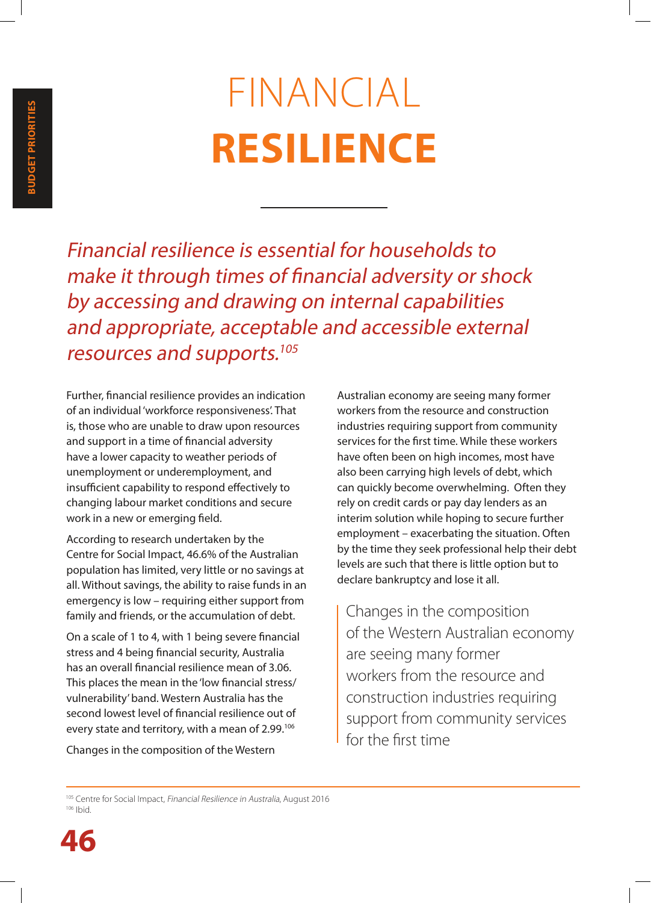# FINANCIAL **RESILIENCE**

Financial resilience is essential for households to make it through times of financial adversity or shock by accessing and drawing on internal capabilities and appropriate, acceptable and accessible external resources and supports.<sup>105</sup>

Further, financial resilience provides an indication of an individual 'workforce responsiveness'. That is, those who are unable to draw upon resources and support in a time of financial adversity have a lower capacity to weather periods of unemployment or underemployment, and insufficient capability to respond effectively to changing labour market conditions and secure work in a new or emerging field.

According to research undertaken by the Centre for Social Impact, 46.6% of the Australian population has limited, very little or no savings at all. Without savings, the ability to raise funds in an emergency is low – requiring either support from family and friends, or the accumulation of debt.

On a scale of 1 to 4, with 1 being severe financial stress and 4 being financial security, Australia has an overall financial resilience mean of 3.06. This places the mean in the 'low financial stress/ vulnerability' band. Western Australia has the second lowest level of financial resilience out of every state and territory, with a mean of 2.99.<sup>106</sup>

Changes in the composition of the Western

Australian economy are seeing many former workers from the resource and construction industries requiring support from community services for the first time. While these workers have often been on high incomes, most have also been carrying high levels of debt, which can quickly become overwhelming. Often they rely on credit cards or pay day lenders as an interim solution while hoping to secure further employment – exacerbating the situation. Often by the time they seek professional help their debt levels are such that there is little option but to declare bankruptcy and lose it all.

Changes in the composition of the Western Australian economy are seeing many former workers from the resource and construction industries requiring support from community services for the first time

<sup>&</sup>lt;sup>105</sup> Centre for Social Impact, Financial Resilience in Australia, August 2016 106 Ibid.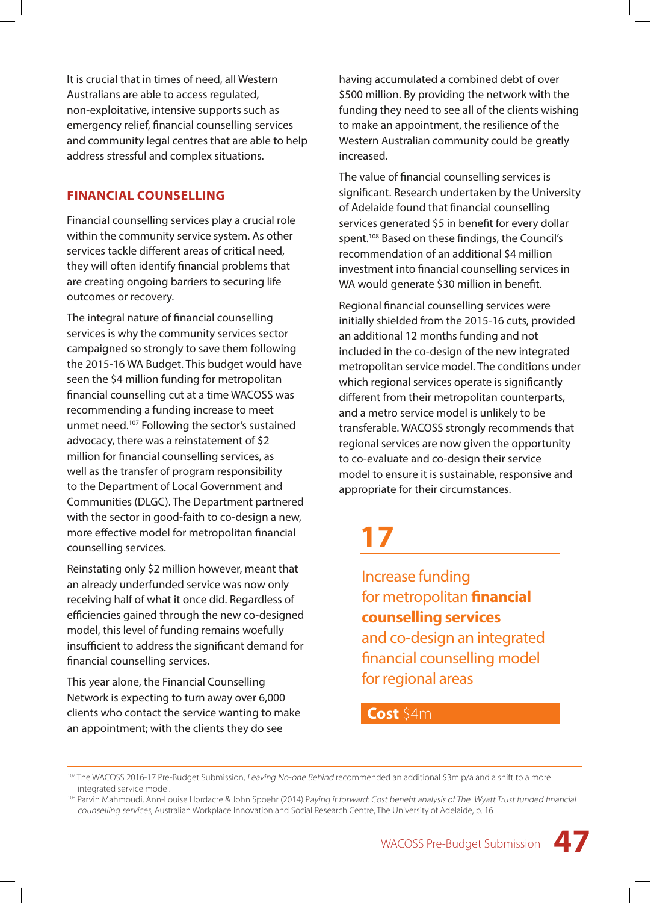It is crucial that in times of need, all Western Australians are able to access regulated, non-exploitative, intensive supports such as emergency relief, financial counselling services and community legal centres that are able to help address stressful and complex situations.

#### **FINANCIAL COUNSELLING**

Financial counselling services play a crucial role within the community service system. As other services tackle different areas of critical need, they will often identify financial problems that are creating ongoing barriers to securing life outcomes or recovery.

The integral nature of financial counselling services is why the community services sector campaigned so strongly to save them following the 2015-16 WA Budget. This budget would have seen the \$4 million funding for metropolitan financial counselling cut at a time WACOSS was recommending a funding increase to meet unmet need.107 Following the sector's sustained advocacy, there was a reinstatement of \$2 million for financial counselling services, as well as the transfer of program responsibility to the Department of Local Government and Communities (DLGC). The Department partnered with the sector in good-faith to co-design a new, more effective model for metropolitan financial counselling services.

Reinstating only \$2 million however, meant that an already underfunded service was now only receiving half of what it once did. Regardless of efficiencies gained through the new co-designed model, this level of funding remains woefully insufficient to address the significant demand for financial counselling services.

This year alone, the Financial Counselling Network is expecting to turn away over 6,000 clients who contact the service wanting to make an appointment; with the clients they do see

having accumulated a combined debt of over \$500 million. By providing the network with the funding they need to see all of the clients wishing to make an appointment, the resilience of the Western Australian community could be greatly increased.

The value of financial counselling services is significant. Research undertaken by the University of Adelaide found that financial counselling services generated \$5 in benefit for every dollar spent.<sup>108</sup> Based on these findings, the Council's recommendation of an additional \$4 million investment into financial counselling services in WA would generate \$30 million in benefit.

Regional financial counselling services were initially shielded from the 2015-16 cuts, provided an additional 12 months funding and not included in the co-design of the new integrated metropolitan service model. The conditions under which regional services operate is significantly different from their metropolitan counterparts, and a metro service model is unlikely to be transferable. WACOSS strongly recommends that regional services are now given the opportunity to co-evaluate and co-design their service model to ensure it is sustainable, responsive and appropriate for their circumstances.

### **17**

Increase funding for metropolitan **financial counselling services**  and co-design an integrated financial counselling model for regional areas

#### **Cost** \$4m

<sup>&</sup>lt;sup>107</sup> The WACOSS 2016-17 Pre-Budget Submission, Leaving No-one Behind recommended an additional \$3m p/a and a shift to a more integrated service model.

<sup>&</sup>lt;sup>108</sup> Parvin Mahmoudi, Ann-Louise Hordacre & John Spoehr (2014) Paying it forward: Cost benefit analysis of The Wyatt Trust funded financial counselling services, Australian Workplace Innovation and Social Research Centre, The University of Adelaide, p. 16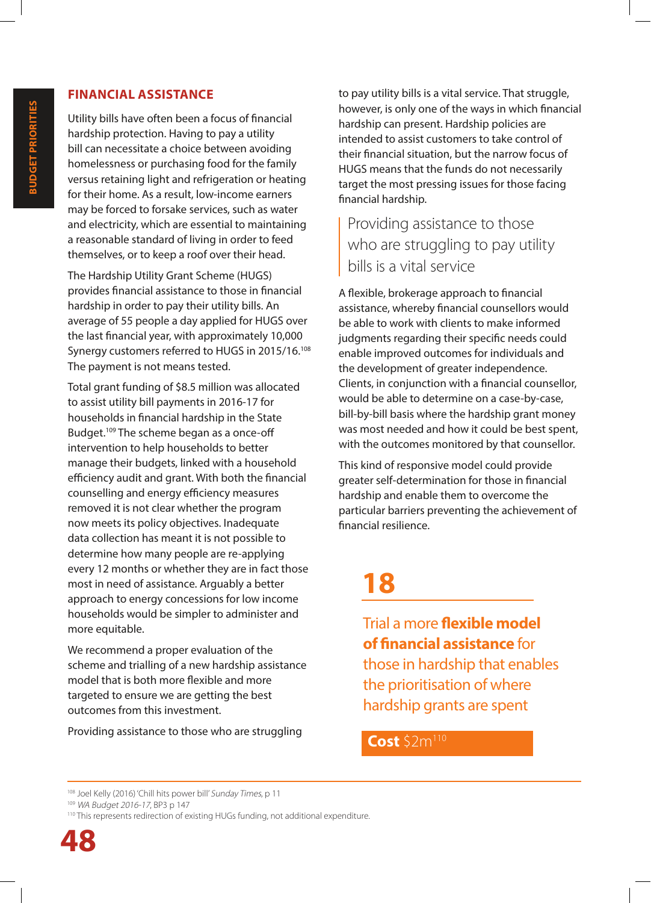#### **FINANCIAL ASSISTANCE**

Utility bills have often been a focus of financial hardship protection. Having to pay a utility bill can necessitate a choice between avoiding homelessness or purchasing food for the family versus retaining light and refrigeration or heating for their home. As a result, low-income earners may be forced to forsake services, such as water and electricity, which are essential to maintaining a reasonable standard of living in order to feed themselves, or to keep a roof over their head.

The Hardship Utility Grant Scheme (HUGS) provides financial assistance to those in financial hardship in order to pay their utility bills. An average of 55 people a day applied for HUGS over the last financial year, with approximately 10,000 Synergy customers referred to HUGS in 2015/16.<sup>108</sup> The payment is not means tested.

Total grant funding of \$8.5 million was allocated to assist utility bill payments in 2016-17 for households in financial hardship in the State Budget.<sup>109</sup> The scheme began as a once-off intervention to help households to better manage their budgets, linked with a household efficiency audit and grant. With both the financial counselling and energy efficiency measures removed it is not clear whether the program now meets its policy objectives. Inadequate data collection has meant it is not possible to determine how many people are re-applying every 12 months or whether they are in fact those most in need of assistance. Arguably a better approach to energy concessions for low income households would be simpler to administer and more equitable.

We recommend a proper evaluation of the scheme and trialling of a new hardship assistance model that is both more flexible and more targeted to ensure we are getting the best outcomes from this investment.

Providing assistance to those who are struggling

to pay utility bills is a vital service. That struggle, however, is only one of the ways in which financial hardship can present. Hardship policies are intended to assist customers to take control of their financial situation, but the narrow focus of HUGS means that the funds do not necessarily target the most pressing issues for those facing financial hardship.

Providing assistance to those who are struggling to pay utility bills is a vital service

A flexible, brokerage approach to financial assistance, whereby financial counsellors would be able to work with clients to make informed judgments regarding their specific needs could enable improved outcomes for individuals and the development of greater independence. Clients, in conjunction with a financial counsellor, would be able to determine on a case-by-case, bill-by-bill basis where the hardship grant money was most needed and how it could be best spent, with the outcomes monitored by that counsellor.

This kind of responsive model could provide greater self-determination for those in financial hardship and enable them to overcome the particular barriers preventing the achievement of financial resilience.

### **18**

Trial a more **flexible model of financial assistance** for those in hardship that enables the prioritisation of where hardship grants are spent

#### **Cost** \$2m<sup>110</sup>

<sup>108</sup> Joel Kelly (2016) 'Chill hits power bill' Sunday Times, p 11

<sup>109</sup> WA Budget 2016-17, BP3 p 147

<sup>&</sup>lt;sup>110</sup> This represents redirection of existing HUGs funding, not additional expenditure.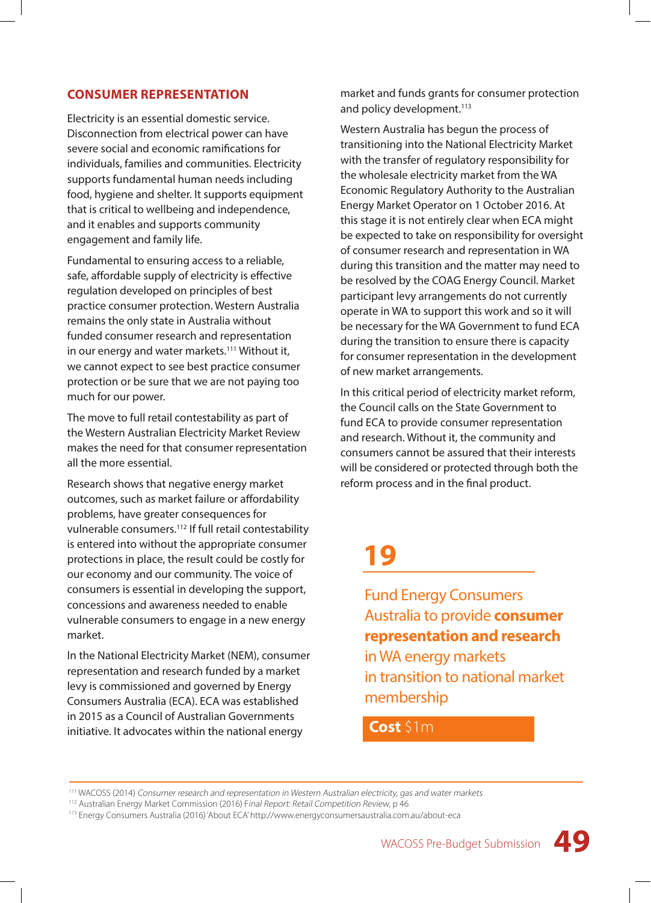#### **CONSUMER REPRESENTATION**

Electricity is an essential domestic service. Disconnection from electrical power can have severe social and economic ramifications for individuals, families and communities. Electricity supports fundamental human needs including food, hygiene and shelter. It supports equipment that is critical to wellbeing and independence, and it enables and supports community engagement and family life.

Fundamental to ensuring access to a reliable, safe, affordable supply of electricity is effective regulation developed on principles of best practice consumer protection. Western Australia remains the only state in Australia without funded consumer research and representation in our energy and water markets.<sup>111</sup> Without it, we cannot expect to see best practice consumer protection or be sure that we are not paying too much for our power.

The move to full retail contestability as part of the Western Australian Electricity Market Review makes the need for that consumer representation all the more essential.

Research shows that negative energy market outcomes, such as market failure or affordability problems, have greater consequences for vulnerable consumers.112 If full retail contestability is entered into without the appropriate consumer protections in place, the result could be costly for our economy and our community. The voice of consumers is essential in developing the support, concessions and awareness needed to enable vulnerable consumers to engage in a new energy market.

In the National Electricity Market (NEM), consumer representation and research funded by a market levy is commissioned and governed by Energy Consumers Australia (ECA). ECA was established in 2015 as a Council of Australian Governments initiative. It advocates within the national energy

market and funds grants for consumer protection and policy development.<sup>113</sup>

Western Australia has begun the process of transitioning into the National Electricity Market with the transfer of regulatory responsibility for the wholesale electricity market from the WA Economic Regulatory Authority to the Australian Energy Market Operator on 1 October 2016. At this stage it is not entirely clear when ECA might be expected to take on responsibility for oversight of consumer research and representation in WA during this transition and the matter may need to be resolved by the COAG Energy Council. Market participant levy arrangements do not currently operate in WA to support this work and so it will be necessary for the WA Government to fund ECA during the transition to ensure there is capacity for consumer representation in the development of new market arrangements.

In this critical period of electricity market reform, the Council calls on the State Government to fund ECA to provide consumer representation and research. Without it, the community and consumers cannot be assured that their interests will be considered or protected through both the reform process and in the final product.

### **19**

Fund Energy Consumers Australia to provide **consumer representation and research** in WA energy markets in transition to national market membership

#### **Cost** \$1m



<sup>111</sup> WACOSS (2014) Consumer research and representation in Western Australian electricity, gas and water markets

<sup>&</sup>lt;sup>112</sup> Australian Energy Market Commission (2016) Final Report: Retail Competition Review, p 46

<sup>113</sup> Energy Consumers Australia (2016) 'About ECA' http://www.energyconsumersaustralia.com.au/about-eca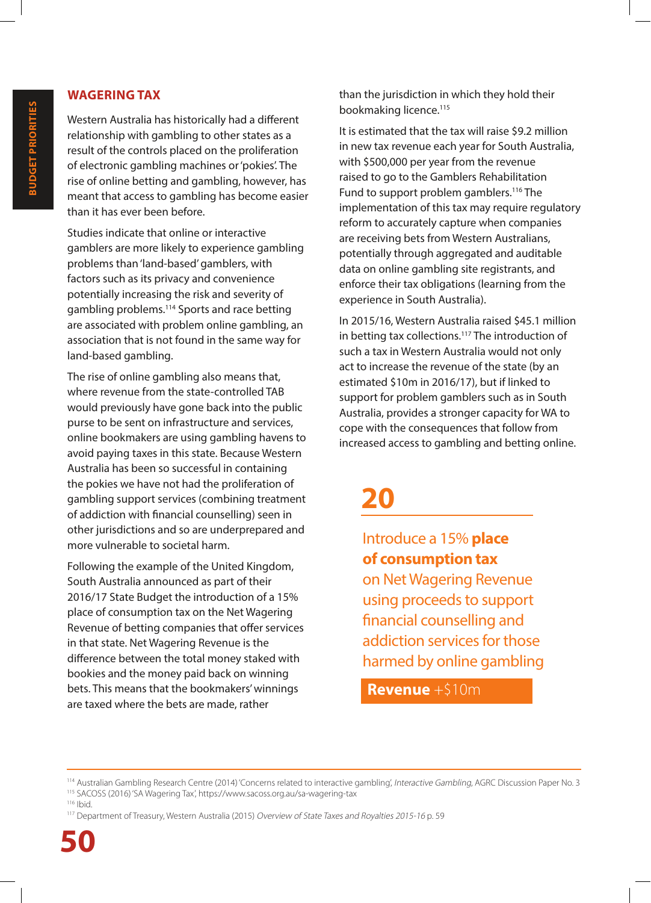#### **WAGERING TAX**

Western Australia has historically had a different relationship with gambling to other states as a result of the controls placed on the proliferation of electronic gambling machines or 'pokies'. The rise of online betting and gambling, however, has meant that access to gambling has become easier than it has ever been before.

Studies indicate that online or interactive gamblers are more likely to experience gambling problems than 'land-based' gamblers, with factors such as its privacy and convenience potentially increasing the risk and severity of gambling problems.114 Sports and race betting are associated with problem online gambling, an association that is not found in the same way for land-based gambling.

The rise of online gambling also means that, where revenue from the state-controlled TAB would previously have gone back into the public purse to be sent on infrastructure and services, online bookmakers are using gambling havens to avoid paying taxes in this state. Because Western Australia has been so successful in containing the pokies we have not had the proliferation of gambling support services (combining treatment of addiction with financial counselling) seen in other jurisdictions and so are underprepared and more vulnerable to societal harm.

Following the example of the United Kingdom, South Australia announced as part of their 2016/17 State Budget the introduction of a 15% place of consumption tax on the Net Wagering Revenue of betting companies that offer services in that state. Net Wagering Revenue is the difference between the total money staked with bookies and the money paid back on winning bets. This means that the bookmakers' winnings are taxed where the bets are made, rather

than the jurisdiction in which they hold their bookmaking licence.<sup>115</sup>

It is estimated that the tax will raise \$9.2 million in new tax revenue each year for South Australia, with \$500,000 per year from the revenue raised to go to the Gamblers Rehabilitation Fund to support problem gamblers.<sup>116</sup> The implementation of this tax may require regulatory reform to accurately capture when companies are receiving bets from Western Australians, potentially through aggregated and auditable data on online gambling site registrants, and enforce their tax obligations (learning from the experience in South Australia).

In 2015/16, Western Australia raised \$45.1 million in betting tax collections.<sup>117</sup> The introduction of such a tax in Western Australia would not only act to increase the revenue of the state (by an estimated \$10m in 2016/17), but if linked to support for problem gamblers such as in South Australia, provides a stronger capacity for WA to cope with the consequences that follow from increased access to gambling and betting online.

### **20**

Introduce a 15% **place of consumption tax**  on Net Wagering Revenue using proceeds to support financial counselling and addiction services for those harmed by online gambling

**Revenue** +\$10m

<sup>114</sup> Australian Gambling Research Centre (2014) 'Concerns related to interactive gambling', Interactive Gambling, AGRC Discussion Paper No. 3 115 SACOSS (2016) 'SA Wagering Tax', https://www.sacoss.org.au/sa-wagering-tax

<sup>116</sup> Ibid.

<sup>&</sup>lt;sup>117</sup> Department of Treasury, Western Australia (2015) Overview of State Taxes and Royalties 2015-16 p. 59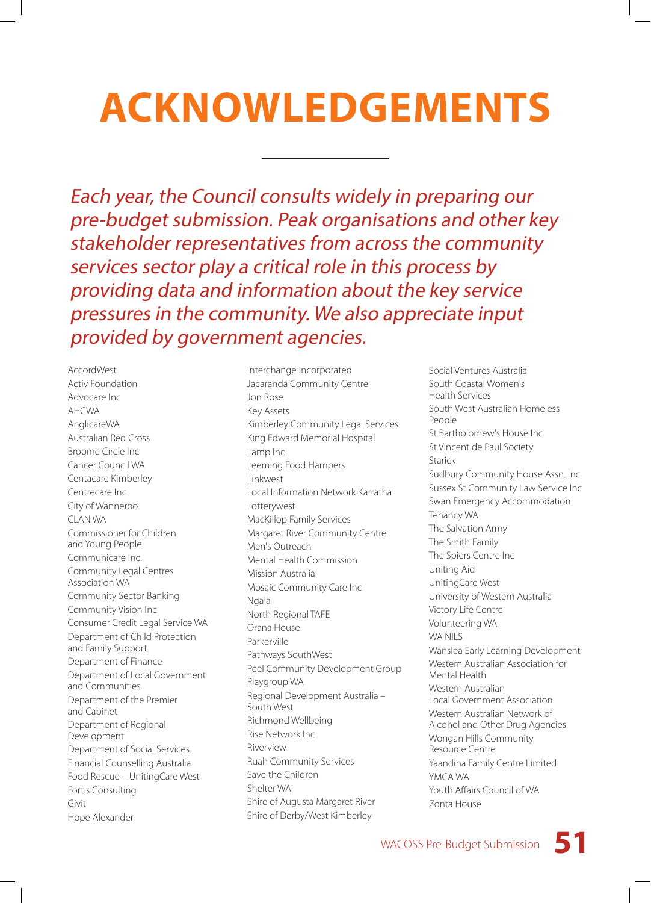# **ACKNOWLEDGEMENTS**

Each year, the Council consults widely in preparing our pre-budget submission. Peak organisations and other key stakeholder representatives from across the community services sector play a critical role in this process by providing data and information about the key service pressures in the community. We also appreciate input provided by government agencies.

AccordWest Activ Foundation Advocare Inc AHCWA AnglicareWA Australian Red Cross Broome Circle Inc Cancer Council WA Centacare Kimberley Centrecare Inc City of Wanneroo CLAN WA Commissioner for Children and Young People Communicare Inc. Community Legal Centres Association WA Community Sector Banking Community Vision Inc Consumer Credit Legal Service WA Department of Child Protection and Family Support Department of Finance Department of Local Government and Communities Department of the Premier and Cabinet Department of Regional Development Department of Social Services Financial Counselling Australia Food Rescue – UnitingCare West Fortis Consulting Givit Hope Alexander

Interchange Incorporated Jacaranda Community Centre Jon Rose Key Assets Kimberley Community Legal Services King Edward Memorial Hospital Lamp Inc Leeming Food Hampers Linkwest Local Information Network Karratha Lotterywest MacKillop Family Services Margaret River Community Centre Men's Outreach Mental Health Commission Mission Australia Mosaic Community Care Inc Ngala North Regional TAFE Orana House Parkerville Pathways SouthWest Peel Community Development Group Playgroup WA Regional Development Australia – South West Richmond Wellbeing Rise Network Inc Riverview Ruah Community Services Save the Children Shelter WA Shire of Augusta Margaret River Shire of Derby/West Kimberley

Social Ventures Australia South Coastal Women's Health Services South West Australian Homeless People St Bartholomew's House Inc St Vincent de Paul Society Starick Sudbury Community House Assn. Inc Sussex St Community Law Service Inc Swan Emergency Accommodation Tenancy WA The Salvation Army The Smith Family The Spiers Centre Inc Uniting Aid UnitingCare West University of Western Australia Victory Life Centre Volunteering WA WA NILS Wanslea Early Learning Development Western Australian Association for Mental Health Western Australian Local Government Association Western Australian Network of Alcohol and Other Drug Agencies Wongan Hills Community Resource Centre Yaandina Family Centre Limited YMCA WA Youth Affairs Council of WA Zonta House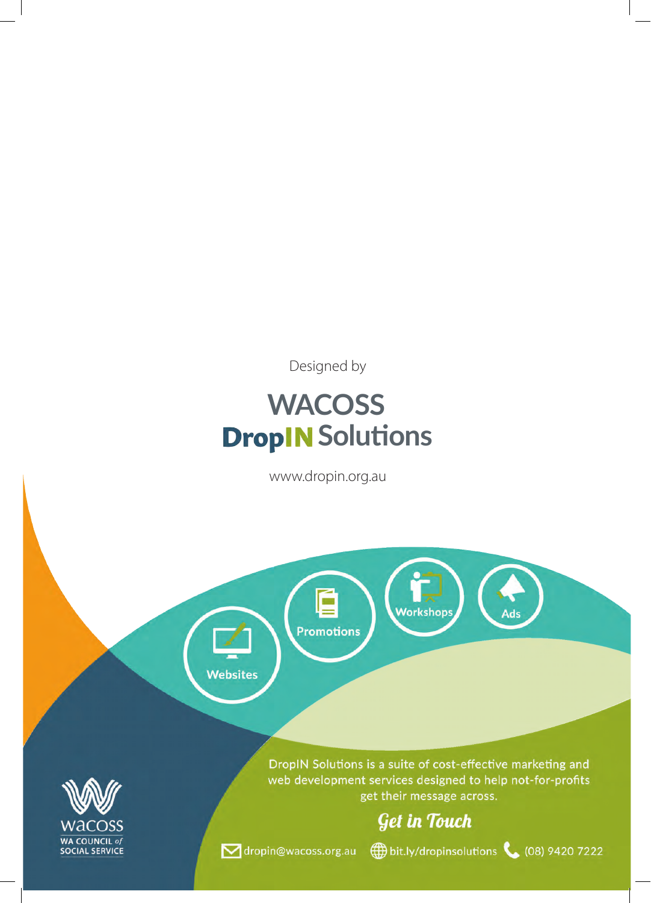Designed by

### **WACOSS DropIN** Solutions

www.dropin.org.au

Ó

**Promotions** 

Websites



DropIN Solutions is a suite of cost-effective marketing and web development services designed to help not-for-profits get their message across.

**Workshops** 

#### **Get in Touch**

bit.ly/dropinsolutions (08) 9420 7222

Ads